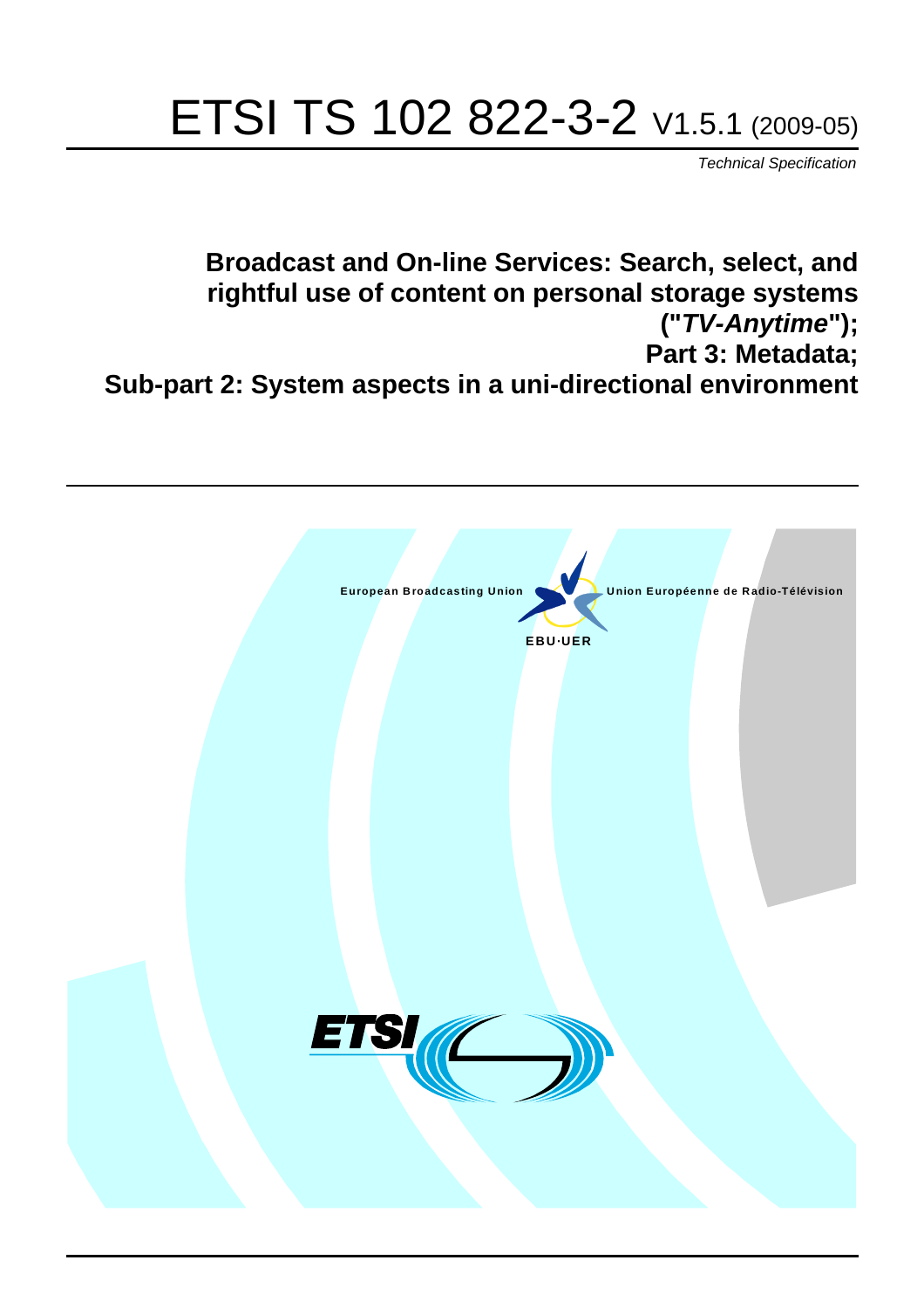# ETSI TS 102 822-3-2 V1.5.1 (2009-05)

*Technical Specification*

**Broadcast and On-line Services: Search, select, and rightful use of content on personal storage systems ("***TV-Anytime***"); Part 3: Metadata; Sub-part 2: System aspects in a uni-directional environment**

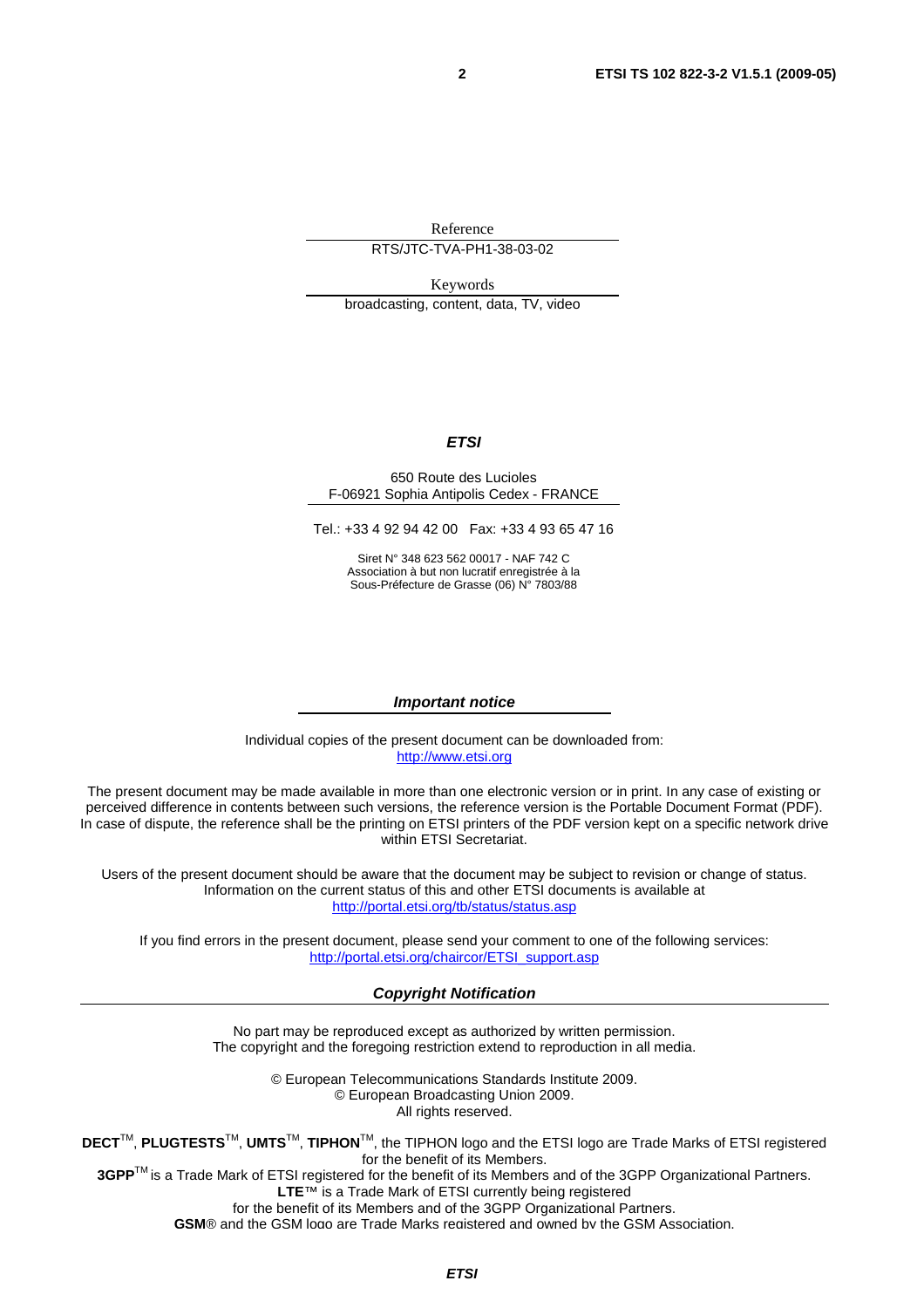Reference

RTS/JTC-TVA-PH1-38-03-02

Keywords broadcasting, content, data, TV, video

#### *ETSI*

#### 650 Route des Lucioles F-06921 Sophia Antipolis Cedex - FRANCE

Tel.: +33 4 92 94 42 00 Fax: +33 4 93 65 47 16

Siret N° 348 623 562 00017 - NAF 742 C Association à but non lucratif enregistrée à la Sous-Préfecture de Grasse (06) N° 7803/88

#### *Important notice*

Individual copies of the present document can be downloaded from: [http://www.etsi.org](http://www.etsi.org/)

The present document may be made available in more than one electronic version or in print. In any case of existing or perceived difference in contents between such versions, the reference version is the Portable Document Format (PDF). In case of dispute, the reference shall be the printing on ETSI printers of the PDF version kept on a specific network drive within ETSI Secretariat.

Users of the present document should be aware that the document may be subject to revision or change of status. Information on the current status of this and other ETSI documents is available at <http://portal.etsi.org/tb/status/status.asp>

If you find errors in the present document, please send your comment to one of the following services: [http://portal.etsi.org/chaircor/ETSI\\_support.asp](http://portal.etsi.org/chaircor/ETSI_support.asp)

#### *Copyright Notification*

No part may be reproduced except as authorized by written permission. The copyright and the foregoing restriction extend to reproduction in all media.

> © European Telecommunications Standards Institute 2009. © European Broadcasting Union 2009. All rights reserved.

**DECT**TM, **PLUGTESTS**TM, **UMTS**TM, **TIPHON**TM, the TIPHON logo and the ETSI logo are Trade Marks of ETSI registered for the benefit of its Members. **3GPP**TM is a Trade Mark of ETSI registered for the benefit of its Members and of the 3GPP Organizational Partners.

**LTE**™ is a Trade Mark of ETSI currently being registered

for the benefit of its Members and of the 3GPP Organizational Partners.

**GSM**® and the GSM logo are Trade Marks registered and owned by the GSM Association.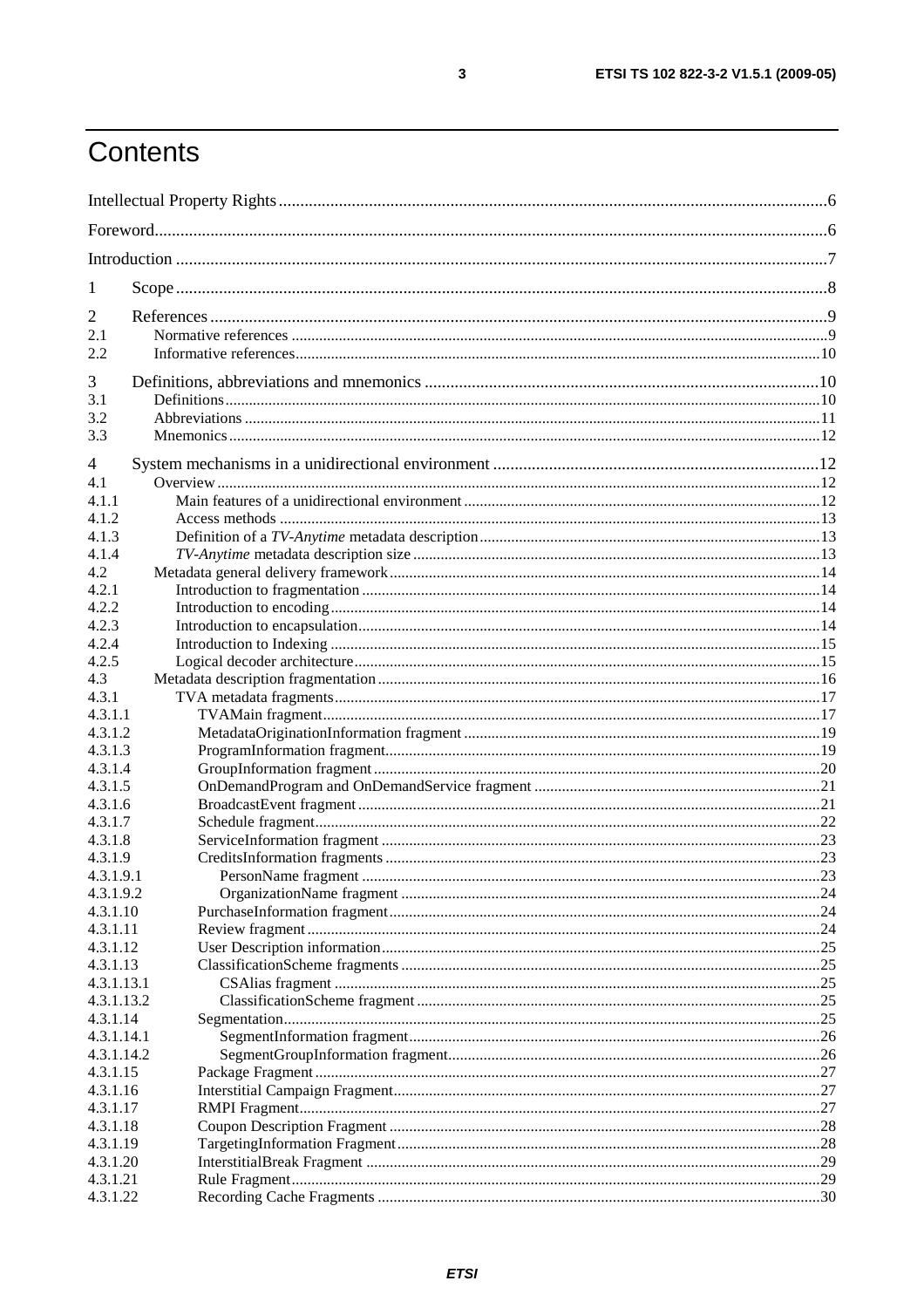# Contents

| 1                      |  |
|------------------------|--|
| $\overline{2}$         |  |
| 2.1                    |  |
| 2.2                    |  |
|                        |  |
| 3                      |  |
| 3.1<br>3.2             |  |
| 3.3                    |  |
|                        |  |
| 4                      |  |
| 4.1                    |  |
| 4.1.1                  |  |
| 4.1.2                  |  |
| 4.1.3                  |  |
| 4.1.4                  |  |
| 4.2                    |  |
| 4.2.1                  |  |
| 4.2.2<br>4.2.3         |  |
| 4.2.4                  |  |
| 4.2.5                  |  |
| 4.3                    |  |
| 4.3.1                  |  |
| 4.3.1.1                |  |
| 4.3.1.2                |  |
| 4.3.1.3                |  |
| 4.3.1.4                |  |
| 4.3.1.5                |  |
| 4.3.1.6                |  |
| 4.3.1.7                |  |
| 4.3.1.8                |  |
| 4.3.1.9                |  |
| 4.3.1.9.1              |  |
| 4.3.1.9.2              |  |
| 4.3.1.10               |  |
| 4.3.1.11               |  |
| 4.3.1.12               |  |
| 4.3.1.13<br>4.3.1.13.1 |  |
| 4.3.1.13.2             |  |
| 4.3.1.14               |  |
| 4.3.1.14.1             |  |
| 4.3.1.14.2             |  |
| 4.3.1.15               |  |
| 4.3.1.16               |  |
| 4.3.1.17               |  |
| 4.3.1.18               |  |
| 4.3.1.19               |  |
| 4.3.1.20               |  |
| 4.3.1.21               |  |
| 4.3.1.22               |  |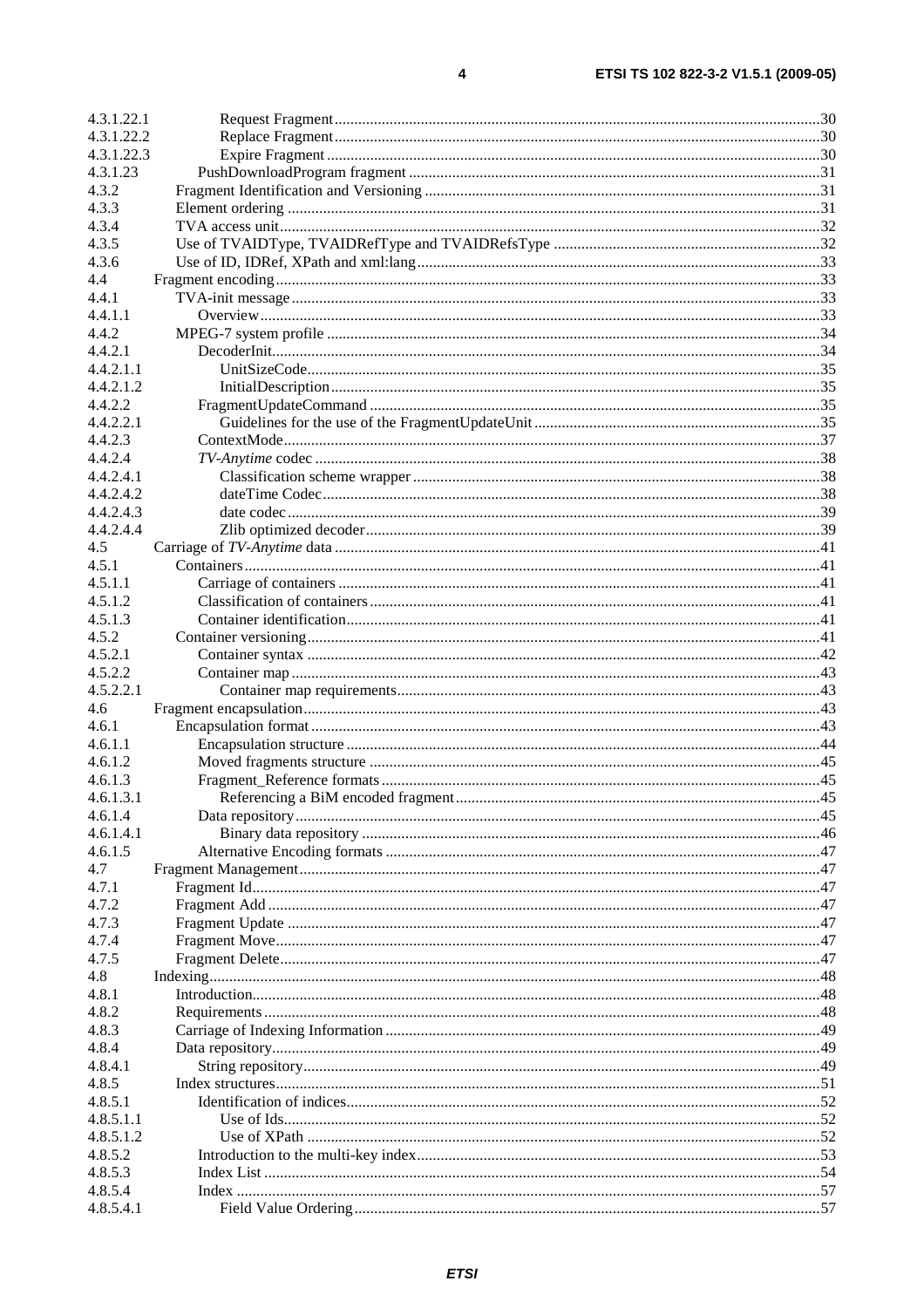| 4.3.1.22.1 |  |
|------------|--|
| 4.3.1.22.2 |  |
| 4.3.1.22.3 |  |
| 4.3.1.23   |  |
| 4.3.2      |  |
| 4.3.3      |  |
| 4.3.4      |  |
| 4.3.5      |  |
| 4.3.6      |  |
| 4.4        |  |
| 4.4.1      |  |
| 4.4.1.1    |  |
| 4.4.2      |  |
| 4.4.2.1    |  |
| 4.4.2.1.1  |  |
| 4.4.2.1.2  |  |
| 4.4.2.2    |  |
| 4.4.2.2.1  |  |
| 4.4.2.3    |  |
| 4.4.2.4    |  |
| 4.4.2.4.1  |  |
| 4.4.2.4.2  |  |
| 4.4.2.4.3  |  |
| 4.4.2.4.4  |  |
| 4.5        |  |
| 4.5.1      |  |
| 4.5.1.1    |  |
| 4.5.1.2    |  |
| 4.5.1.3    |  |
| 4.5.2      |  |
| 4.5.2.1    |  |
| 4.5.2.2    |  |
| 4.5.2.2.1  |  |
| 4.6        |  |
| 4.6.1      |  |
| 4.6.1.1    |  |
| 4.6.1.2    |  |
| 4.6.1.3    |  |
| 4.6.1.3.1  |  |
| 4.6.1.4    |  |
| 4.6.1.4.1  |  |
| 4.6.1.5    |  |
| 4.7        |  |
| 4.7.1      |  |
| 4.7.2      |  |
| 4.7.3      |  |
| 4.7.4      |  |
| 4.7.5      |  |
| 4.8        |  |
| 4.8.1      |  |
| 4.8.2      |  |
| 4.8.3      |  |
| 4.8.4      |  |
| 4.8.4.1    |  |
| 4.8.5      |  |
| 4.8.5.1    |  |
| 4.8.5.1.1  |  |
| 4.8.5.1.2  |  |
| 4.8.5.2    |  |
| 4.8.5.3    |  |
| 4.8.5.4    |  |
| 4.8.5.4.1  |  |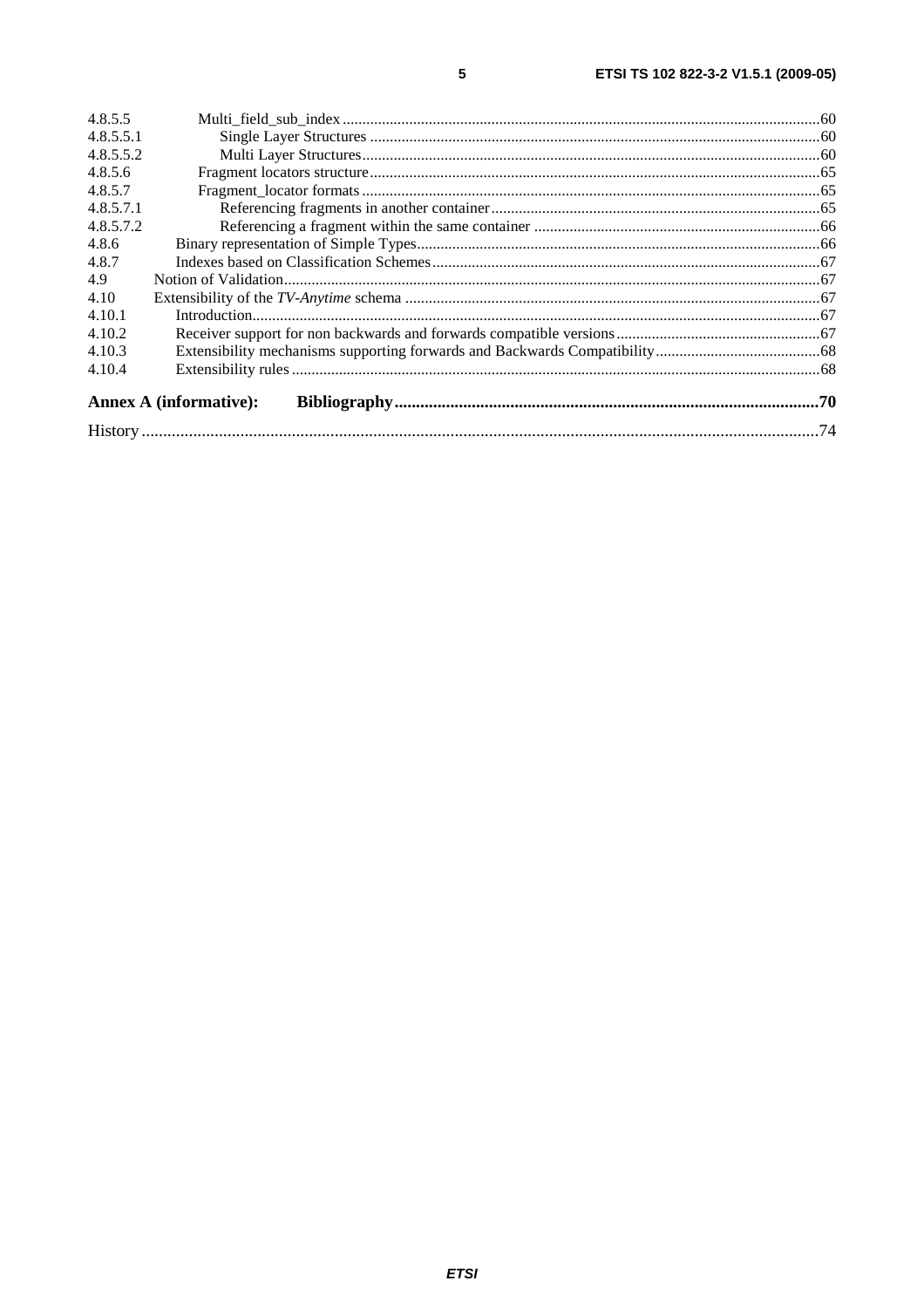| 4.8.5.5   |                               |  |
|-----------|-------------------------------|--|
| 4.8.5.5.1 |                               |  |
| 4.8.5.5.2 |                               |  |
| 4.8.5.6   |                               |  |
| 4.8.5.7   |                               |  |
| 4.8.5.7.1 |                               |  |
| 4.8.5.7.2 |                               |  |
| 4.8.6     |                               |  |
| 4.8.7     |                               |  |
| 4.9       |                               |  |
| 4.10      |                               |  |
| 4.10.1    |                               |  |
| 4.10.2    |                               |  |
| 4.10.3    |                               |  |
| 4.10.4    |                               |  |
|           | <b>Annex A (informative):</b> |  |
|           |                               |  |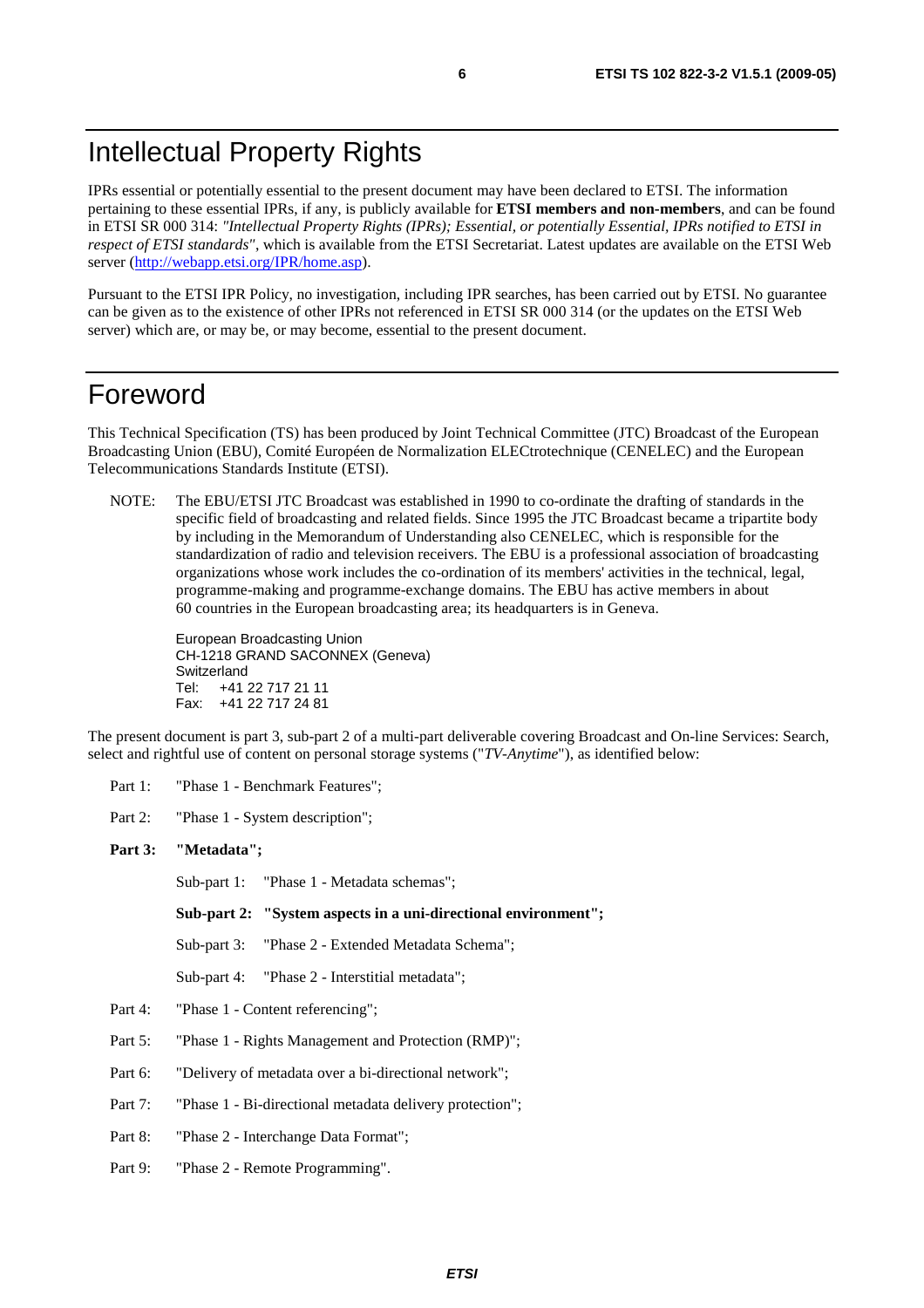# Intellectual Property Rights

IPRs essential or potentially essential to the present document may have been declared to ETSI. The information pertaining to these essential IPRs, if any, is publicly available for **ETSI members and non-members**, and can be found in ETSI SR 000 314: *"Intellectual Property Rights (IPRs); Essential, or potentially Essential, IPRs notified to ETSI in respect of ETSI standards"*, which is available from the ETSI Secretariat. Latest updates are available on the ETSI Web server ([http://webapp.etsi.org/IPR/home.asp\)](http://webapp.etsi.org/IPR/home.asp).

Pursuant to the ETSI IPR Policy, no investigation, including IPR searches, has been carried out by ETSI. No guarantee can be given as to the existence of other IPRs not referenced in ETSI SR 000 314 (or the updates on the ETSI Web server) which are, or may be, or may become, essential to the present document.

# Foreword

This Technical Specification (TS) has been produced by Joint Technical Committee (JTC) Broadcast of the European Broadcasting Union (EBU), Comité Européen de Normalization ELECtrotechnique (CENELEC) and the European Telecommunications Standards Institute (ETSI).

NOTE: The EBU/ETSI JTC Broadcast was established in 1990 to co-ordinate the drafting of standards in the specific field of broadcasting and related fields. Since 1995 the JTC Broadcast became a tripartite body by including in the Memorandum of Understanding also CENELEC, which is responsible for the standardization of radio and television receivers. The EBU is a professional association of broadcasting organizations whose work includes the co-ordination of its members' activities in the technical, legal, programme-making and programme-exchange domains. The EBU has active members in about 60 countries in the European broadcasting area; its headquarters is in Geneva.

European Broadcasting Union CH-1218 GRAND SACONNEX (Geneva) Switzerland Tel: +41 22 717 21 11 Fax: +41 22 717 24 81

The present document is part 3, sub-part 2 of a multi-part deliverable covering Broadcast and On-line Services: Search, select and rightful use of content on personal storage systems ("*TV-Anytime*"), as identified below:

Part 1: "Phase 1 - Benchmark Features";

Part 2: "Phase 1 - System description";

#### **Part 3: "Metadata";**

Sub-part 1: "Phase 1 - Metadata schemas";

 **Sub-part 2: "System aspects in a uni-directional environment";** 

Sub-part 3: "Phase 2 - Extended Metadata Schema";

Sub-part 4: "Phase 2 - Interstitial metadata";

- Part 4: "Phase 1 Content referencing";
- Part 5: "Phase 1 Rights Management and Protection (RMP)";

Part 6: "Delivery of metadata over a bi-directional network";

Part 7: "Phase 1 - Bi-directional metadata delivery protection";

Part 8: "Phase 2 - Interchange Data Format";

Part 9: "Phase 2 - Remote Programming".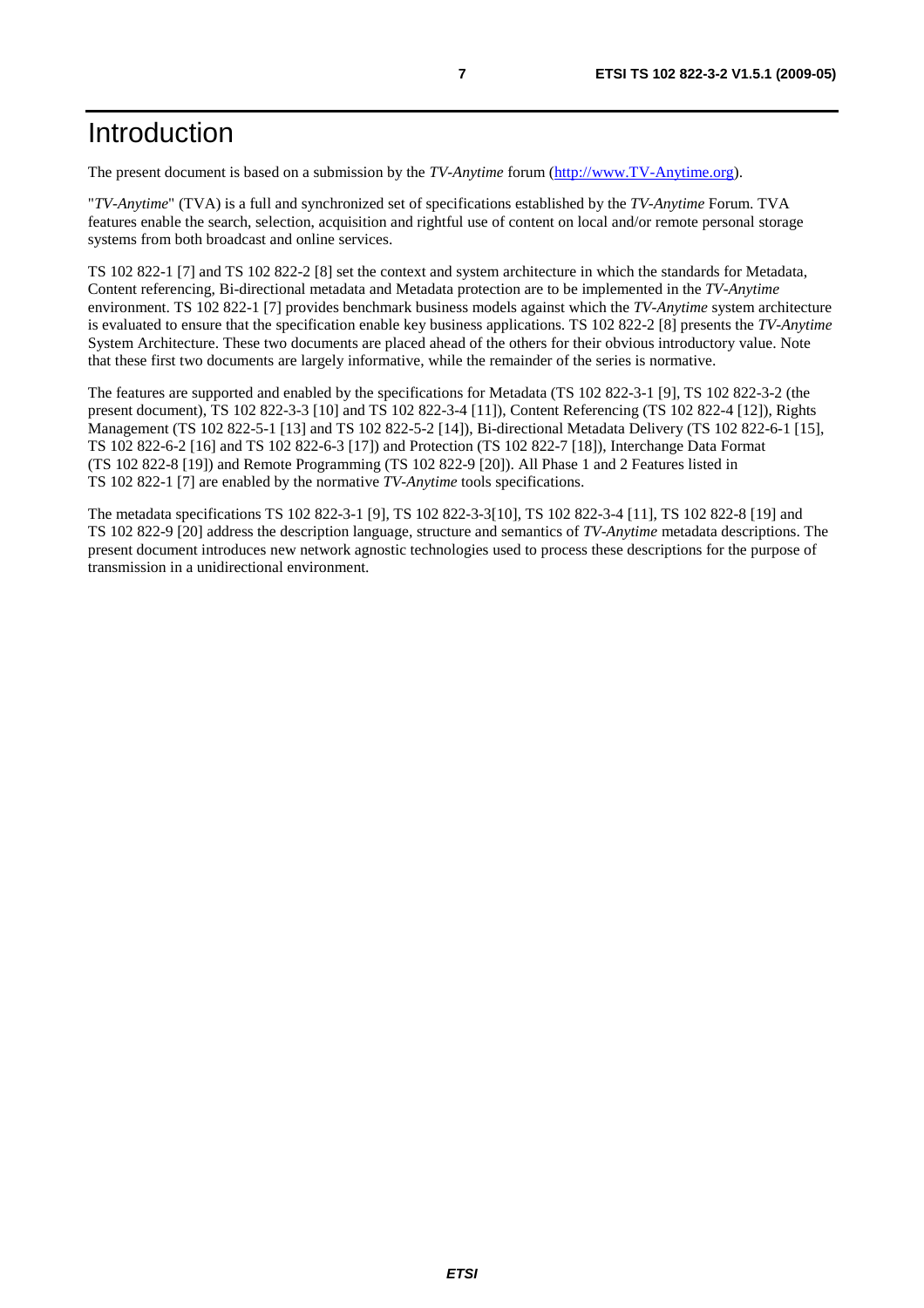The present document is based on a submission by the *TV-Anytime* forum ([http://www.TV-Anytime.org](http://www.tv-anytime.org/)).

"*TV-Anytime*" (TVA) is a full and synchronized set of specifications established by the *TV-Anytime* Forum. TVA features enable the search, selection, acquisition and rightful use of content on local and/or remote personal storage systems from both broadcast and online services.

TS 102 822-1 [7] and TS 102 822-2 [8] set the context and system architecture in which the standards for Metadata, Content referencing, Bi-directional metadata and Metadata protection are to be implemented in the *TV-Anytime* environment. TS 102 822-1 [7] provides benchmark business models against which the *TV-Anytime* system architecture is evaluated to ensure that the specification enable key business applications. TS 102 822-2 [8] presents the *TV-Anytime* System Architecture. These two documents are placed ahead of the others for their obvious introductory value. Note that these first two documents are largely informative, while the remainder of the series is normative.

The features are supported and enabled by the specifications for Metadata (TS 102 822-3-1 [9], TS 102 822-3-2 (the present document), TS 102 822-3-3 [10] and TS 102 822-3-4 [11]), Content Referencing (TS 102 822-4 [12]), Rights Management (TS 102 822-5-1 [13] and TS 102 822-5-2 [14]), Bi-directional Metadata Delivery (TS 102 822-6-1 [15], TS 102 822-6-2 [16] and TS 102 822-6-3 [17]) and Protection (TS 102 822-7 [18]), Interchange Data Format (TS 102 822-8 [19]) and Remote Programming (TS 102 822-9 [20]). All Phase 1 and 2 Features listed in TS 102 822-1 [7] are enabled by the normative *TV-Anytime* tools specifications.

The metadata specifications TS 102 822-3-1 [9], TS 102 822-3-3[10], TS 102 822-3-4 [11], TS 102 822-8 [19] and TS 102 822-9 [20] address the description language, structure and semantics of *TV-Anytime* metadata descriptions. The present document introduces new network agnostic technologies used to process these descriptions for the purpose of transmission in a unidirectional environment.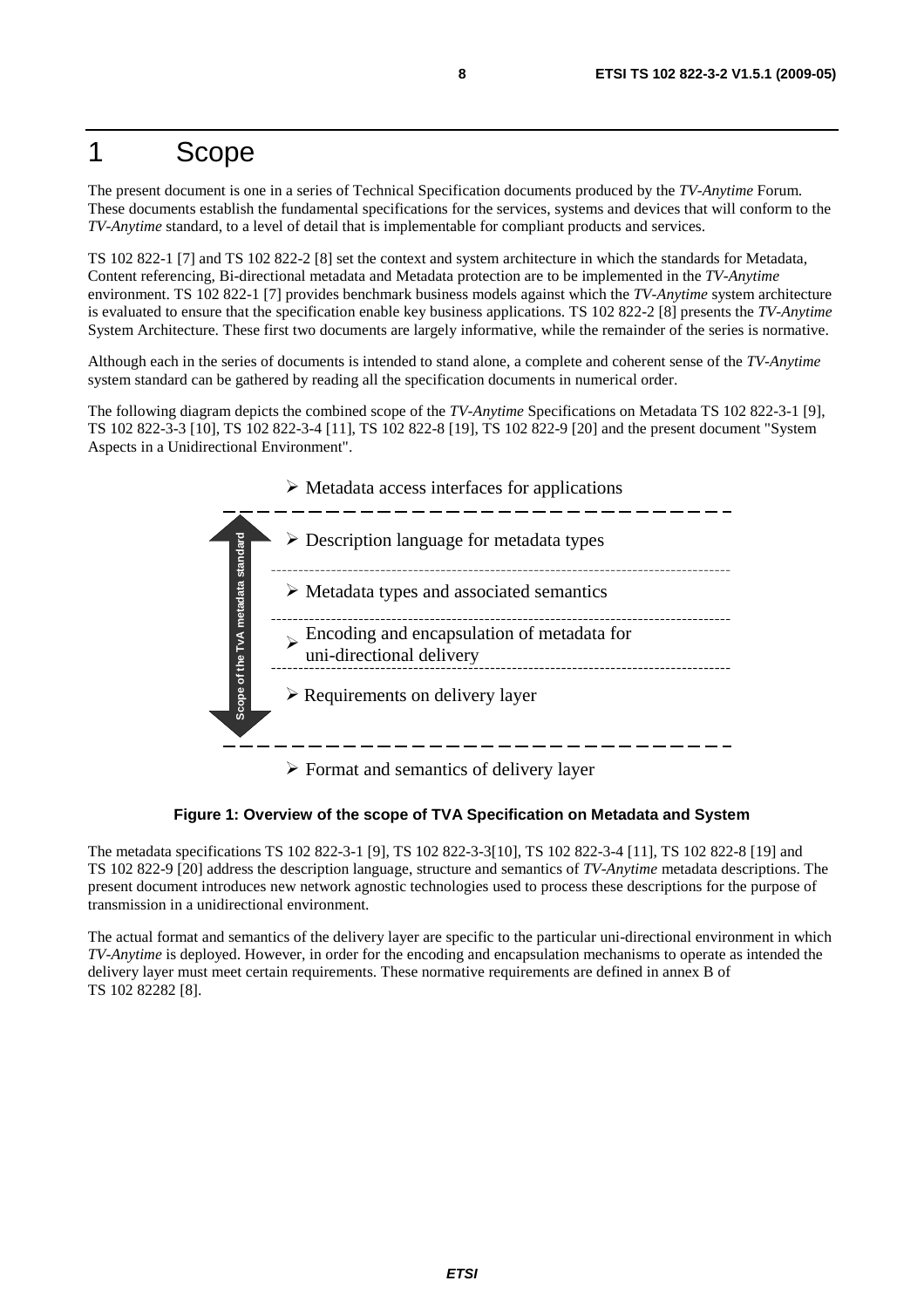# 1 Scope

The present document is one in a series of Technical Specification documents produced by the *TV-Anytime* Forum. These documents establish the fundamental specifications for the services, systems and devices that will conform to the *TV-Anytime* standard, to a level of detail that is implementable for compliant products and services.

TS 102 822-1 [7] and TS 102 822-2 [8] set the context and system architecture in which the standards for Metadata, Content referencing, Bi-directional metadata and Metadata protection are to be implemented in the *TV-Anytime* environment. TS 102 822-1 [7] provides benchmark business models against which the *TV-Anytime* system architecture is evaluated to ensure that the specification enable key business applications. TS 102 822-2 [8] presents the *TV-Anytime* System Architecture. These first two documents are largely informative, while the remainder of the series is normative.

Although each in the series of documents is intended to stand alone, a complete and coherent sense of the *TV-Anytime* system standard can be gathered by reading all the specification documents in numerical order.

The following diagram depicts the combined scope of the *TV-Anytime* Specifications on Metadata TS 102 822-3-1 [9], TS 102 822-3-3 [10], TS 102 822-3-4 [11], TS 102 822-8 [19], TS 102 822-9 [20] and the present document "System Aspects in a Unidirectional Environment".



 $\triangleright$  Format and semantics of delivery layer

**Figure 1: Overview of the scope of TVA Specification on Metadata and System** 

The metadata specifications TS 102 822-3-1 [9], TS 102 822-3-3[10], TS 102 822-3-4 [11], TS 102 822-8 [19] and TS 102 822-9 [20] address the description language, structure and semantics of *TV-Anytime* metadata descriptions. The present document introduces new network agnostic technologies used to process these descriptions for the purpose of transmission in a unidirectional environment.

The actual format and semantics of the delivery layer are specific to the particular uni-directional environment in which *TV-Anytime* is deployed. However, in order for the encoding and encapsulation mechanisms to operate as intended the delivery layer must meet certain requirements. These normative requirements are defined in annex B of TS 102 82282 [8].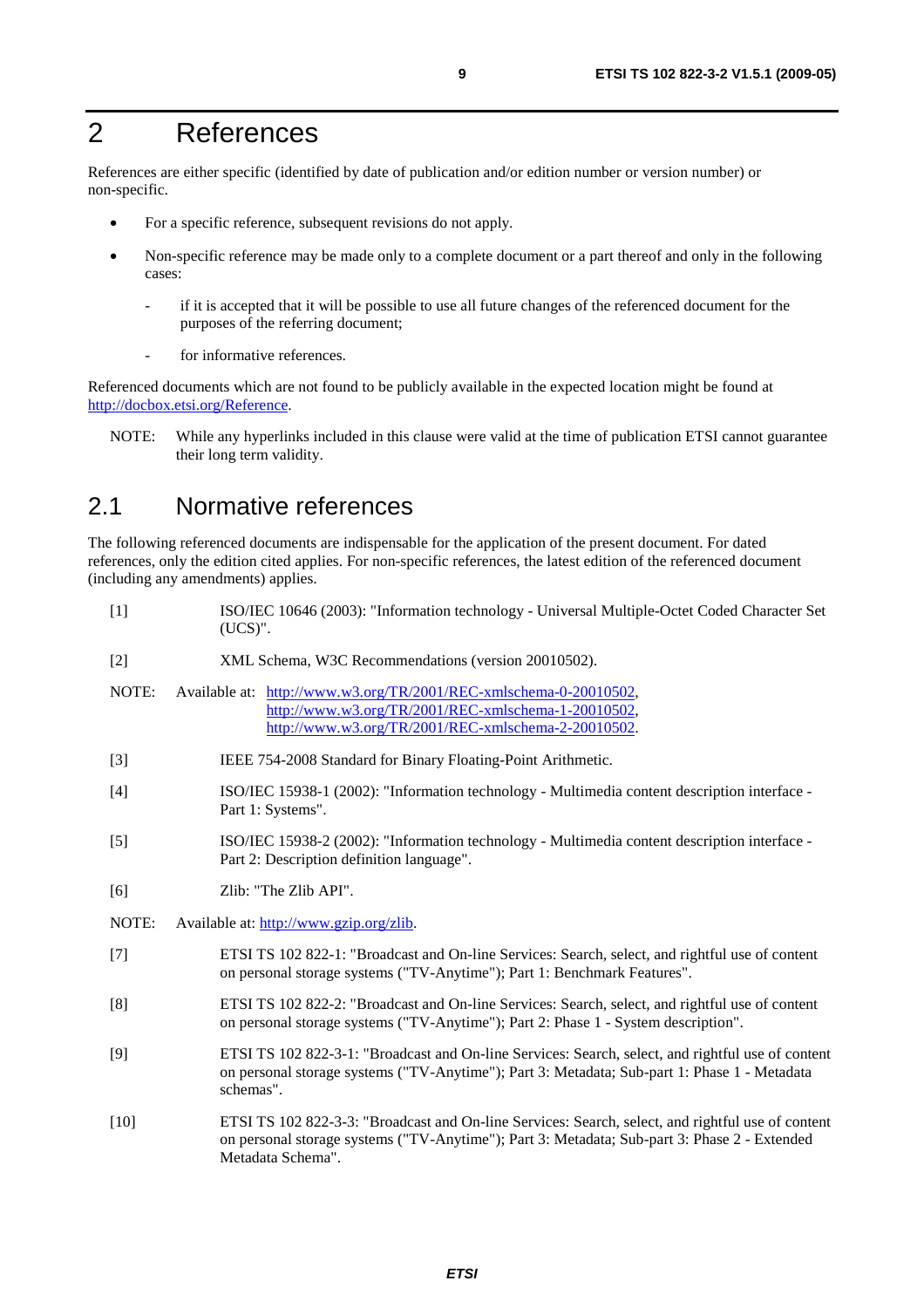# 2 References

References are either specific (identified by date of publication and/or edition number or version number) or non-specific.

- For a specific reference, subsequent revisions do not apply.
- Non-specific reference may be made only to a complete document or a part thereof and only in the following cases:
	- if it is accepted that it will be possible to use all future changes of the referenced document for the purposes of the referring document;
	- for informative references.

Referenced documents which are not found to be publicly available in the expected location might be found at <http://docbox.etsi.org/Reference>.

NOTE: While any hyperlinks included in this clause were valid at the time of publication ETSI cannot guarantee their long term validity.

# 2.1 Normative references

The following referenced documents are indispensable for the application of the present document. For dated references, only the edition cited applies. For non-specific references, the latest edition of the referenced document (including any amendments) applies.

| $[1]$  | ISO/IEC 10646 (2003): "Information technology - Universal Multiple-Octet Coded Character Set<br>$(UCS)$ ".                                                                                                             |
|--------|------------------------------------------------------------------------------------------------------------------------------------------------------------------------------------------------------------------------|
| $[2]$  | XML Schema, W3C Recommendations (version 20010502).                                                                                                                                                                    |
| NOTE:  | Available at: http://www.w3.org/TR/2001/REC-xmlschema-0-20010502,<br>http://www.w3.org/TR/2001/REC-xmlschema-1-20010502,<br>http://www.w3.org/TR/2001/REC-xmlschema-2-20010502.                                        |
| $[3]$  | IEEE 754-2008 Standard for Binary Floating-Point Arithmetic.                                                                                                                                                           |
| $[4]$  | ISO/IEC 15938-1 (2002): "Information technology - Multimedia content description interface -<br>Part 1: Systems".                                                                                                      |
| $[5]$  | ISO/IEC 15938-2 (2002): "Information technology - Multimedia content description interface -<br>Part 2: Description definition language".                                                                              |
| [6]    | Zlib: "The Zlib API".                                                                                                                                                                                                  |
| NOTE:  | Available at: http://www.gzip.org/zlib.                                                                                                                                                                                |
| $[7]$  | ETSI TS 102 822-1: "Broadcast and On-line Services: Search, select, and rightful use of content<br>on personal storage systems ("TV-Anytime"); Part 1: Benchmark Features".                                            |
| [8]    | ETSI TS 102 822-2: "Broadcast and On-line Services: Search, select, and rightful use of content<br>on personal storage systems ("TV-Anytime"); Part 2: Phase 1 - System description".                                  |
| [9]    | ETSI TS 102 822-3-1: "Broadcast and On-line Services: Search, select, and rightful use of content<br>on personal storage systems ("TV-Anytime"); Part 3: Metadata; Sub-part 1: Phase 1 - Metadata<br>schemas".         |
| $[10]$ | ETSI TS 102 822-3-3: "Broadcast and On-line Services: Search, select, and rightful use of content<br>on personal storage systems ("TV-Anytime"); Part 3: Metadata; Sub-part 3: Phase 2 - Extended<br>Metadata Schema". |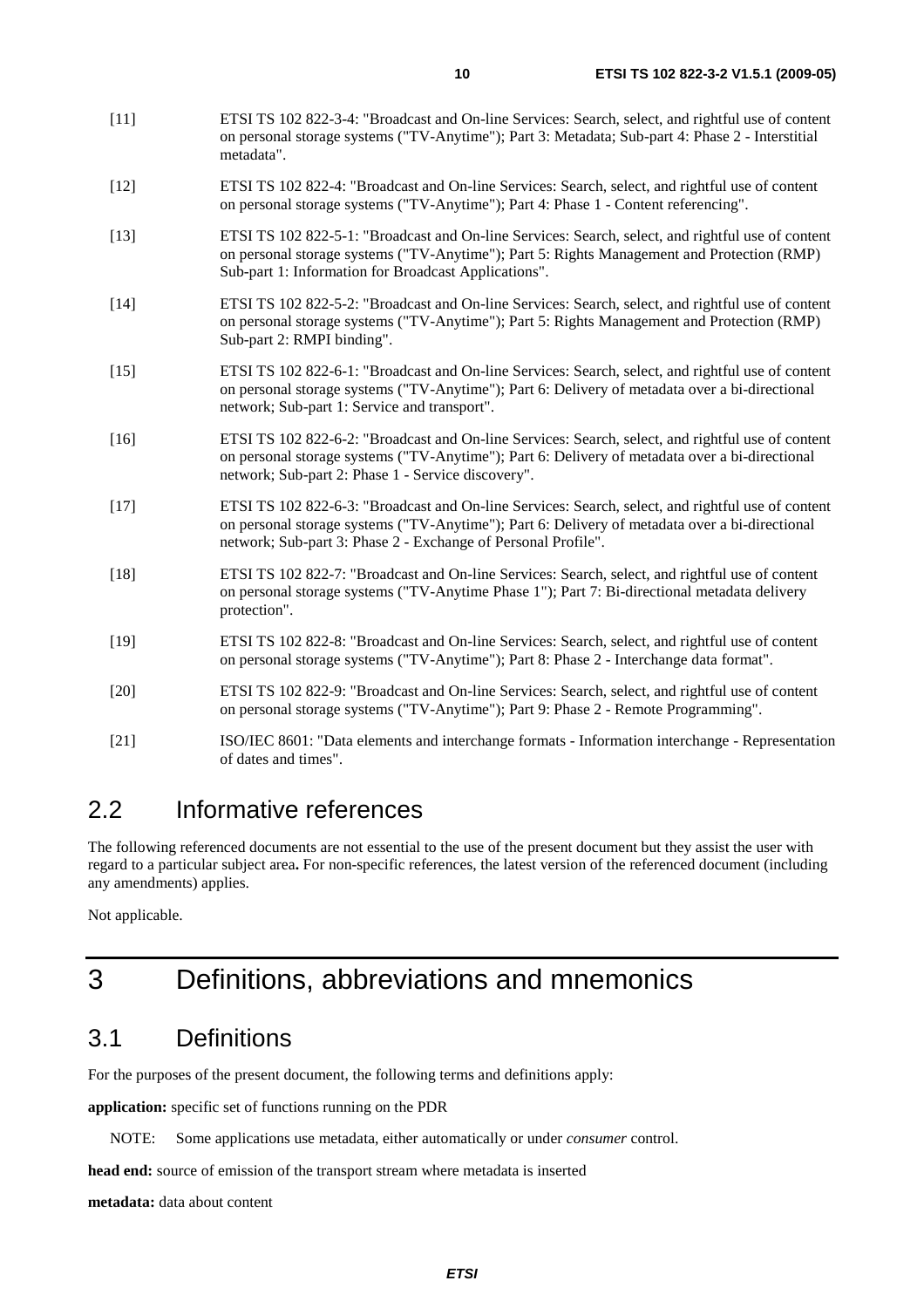- [11] ETSI TS 102 822-3-4: "Broadcast and On-line Services: Search, select, and rightful use of content on personal storage systems ("TV-Anytime"); Part 3: Metadata; Sub-part 4: Phase 2 - Interstitial metadata".
- [12] ETSI TS 102 822-4: "Broadcast and On-line Services: Search, select, and rightful use of content on personal storage systems ("TV-Anytime"); Part 4: Phase 1 - Content referencing".
- [13] ETSI TS 102 822-5-1: "Broadcast and On-line Services: Search, select, and rightful use of content on personal storage systems ("TV-Anytime"); Part 5: Rights Management and Protection (RMP) Sub-part 1: Information for Broadcast Applications".
- [14] ETSI TS 102 822-5-2: "Broadcast and On-line Services: Search, select, and rightful use of content on personal storage systems ("TV-Anytime"); Part 5: Rights Management and Protection (RMP) Sub-part 2: RMPI binding".
- [15] ETSI TS 102 822-6-1: "Broadcast and On-line Services: Search, select, and rightful use of content on personal storage systems ("TV-Anytime"); Part 6: Delivery of metadata over a bi-directional network; Sub-part 1: Service and transport".
- [16] ETSI TS 102 822-6-2: "Broadcast and On-line Services: Search, select, and rightful use of content on personal storage systems ("TV-Anytime"); Part 6: Delivery of metadata over a bi-directional network; Sub-part 2: Phase 1 - Service discovery".
- [17] ETSI TS 102 822-6-3: "Broadcast and On-line Services: Search, select, and rightful use of content on personal storage systems ("TV-Anytime"); Part 6: Delivery of metadata over a bi-directional network; Sub-part 3: Phase 2 - Exchange of Personal Profile".
- [18] ETSI TS 102 822-7: "Broadcast and On-line Services: Search, select, and rightful use of content on personal storage systems ("TV-Anytime Phase 1"); Part 7: Bi-directional metadata delivery protection".
- [19] ETSI TS 102 822-8: "Broadcast and On-line Services: Search, select, and rightful use of content on personal storage systems ("TV-Anytime"); Part 8: Phase 2 - Interchange data format".
- [20] ETSI TS 102 822-9: "Broadcast and On-line Services: Search, select, and rightful use of content on personal storage systems ("TV-Anytime"); Part 9: Phase 2 - Remote Programming".
- [21] ISO/IEC 8601: "Data elements and interchange formats Information interchange Representation of dates and times".

# 2.2 Informative references

The following referenced documents are not essential to the use of the present document but they assist the user with regard to a particular subject area**.** For non-specific references, the latest version of the referenced document (including any amendments) applies.

Not applicable.

# 3 Definitions, abbreviations and mnemonics

# 3.1 Definitions

For the purposes of the present document, the following terms and definitions apply:

**application:** specific set of functions running on the PDR

NOTE: Some applications use metadata, either automatically or under *consumer* control.

**head end:** source of emission of the transport stream where metadata is inserted

**metadata:** data about content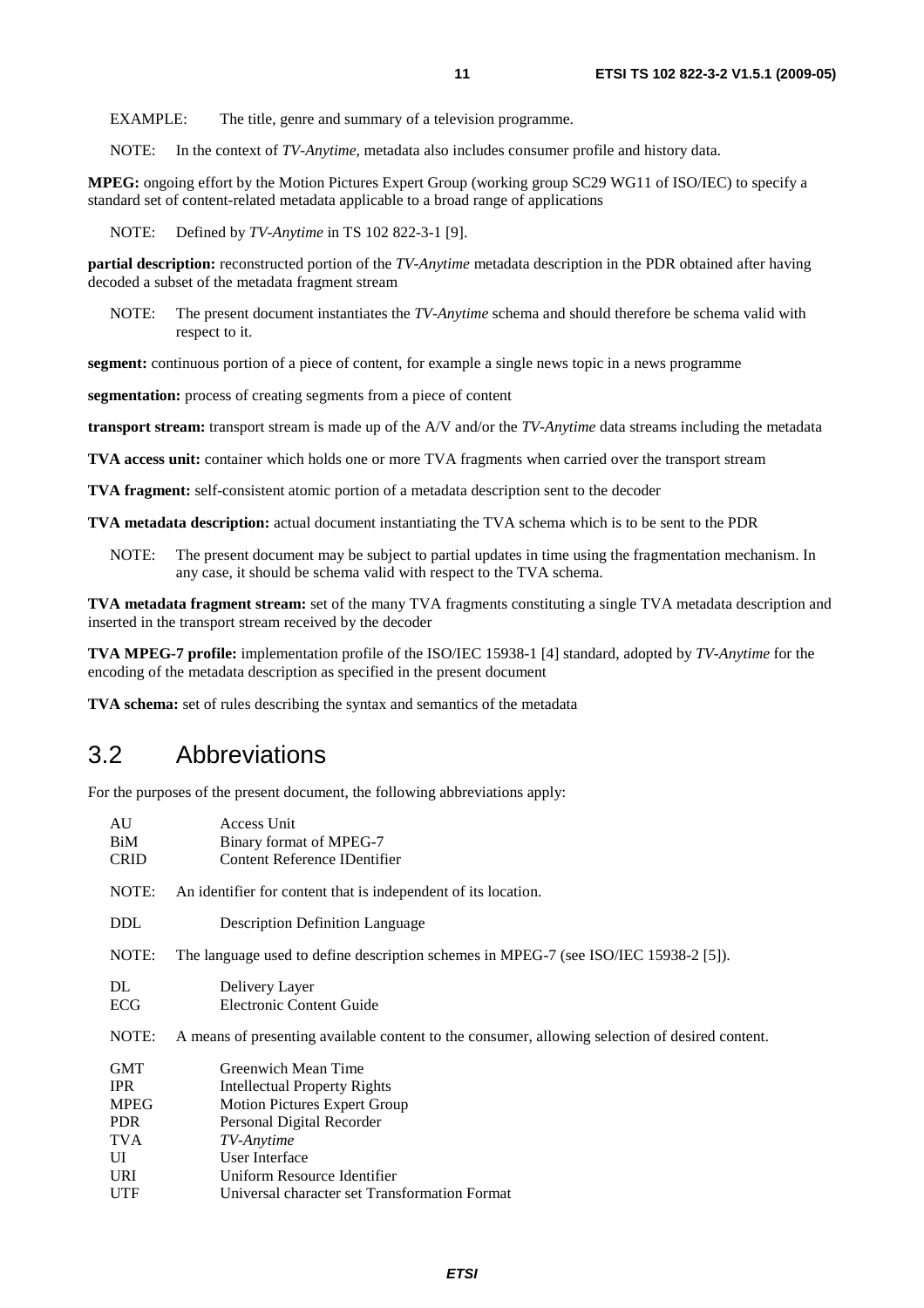NOTE: In the context of *TV-Anytime*, metadata also includes consumer profile and history data.

**MPEG:** ongoing effort by the Motion Pictures Expert Group (working group SC29 WG11 of ISO/IEC) to specify a standard set of content-related metadata applicable to a broad range of applications

NOTE: Defined by *TV-Anytime* in TS 102 822-3-1 [9].

**partial description:** reconstructed portion of the *TV-Anytime* metadata description in the PDR obtained after having decoded a subset of the metadata fragment stream

NOTE: The present document instantiates the *TV-Anytime* schema and should therefore be schema valid with respect to it.

**segment:** continuous portion of a piece of content, for example a single news topic in a news programme

**segmentation:** process of creating segments from a piece of content

**transport stream:** transport stream is made up of the A/V and/or the *TV-Anytime* data streams including the metadata

**TVA access unit:** container which holds one or more TVA fragments when carried over the transport stream

**TVA fragment:** self-consistent atomic portion of a metadata description sent to the decoder

**TVA metadata description:** actual document instantiating the TVA schema which is to be sent to the PDR

NOTE: The present document may be subject to partial updates in time using the fragmentation mechanism. In any case, it should be schema valid with respect to the TVA schema.

**TVA metadata fragment stream:** set of the many TVA fragments constituting a single TVA metadata description and inserted in the transport stream received by the decoder

**TVA MPEG-7 profile:** implementation profile of the ISO/IEC 15938-1 [4] standard, adopted by *TV-Anytime* for the encoding of the metadata description as specified in the present document

**TVA schema:** set of rules describing the syntax and semantics of the metadata

# 3.2 Abbreviations

For the purposes of the present document, the following abbreviations apply:

| AU          | Access Unit                                                                                     |
|-------------|-------------------------------------------------------------------------------------------------|
| BiM         | Binary format of MPEG-7                                                                         |
| <b>CRID</b> | Content Reference IDentifier                                                                    |
| NOTE:       | An identifier for content that is independent of its location.                                  |
| <b>DDL</b>  | <b>Description Definition Language</b>                                                          |
| NOTE:       | The language used to define description schemes in MPEG-7 (see ISO/IEC 15938-2 [5]).            |
| DL          | Delivery Layer                                                                                  |
| ECG         | Electronic Content Guide                                                                        |
| NOTE:       | A means of presenting available content to the consumer, allowing selection of desired content. |
| <b>GMT</b>  | Greenwich Mean Time                                                                             |
| <b>IPR</b>  | <b>Intellectual Property Rights</b>                                                             |
| <b>MPEG</b> | <b>Motion Pictures Expert Group</b>                                                             |
| <b>PDR</b>  | Personal Digital Recorder                                                                       |
| <b>TVA</b>  | TV-Anytime                                                                                      |
| UI          | User Interface                                                                                  |
| <b>URI</b>  | Uniform Resource Identifier                                                                     |
| <b>UTF</b>  | Universal character set Transformation Format                                                   |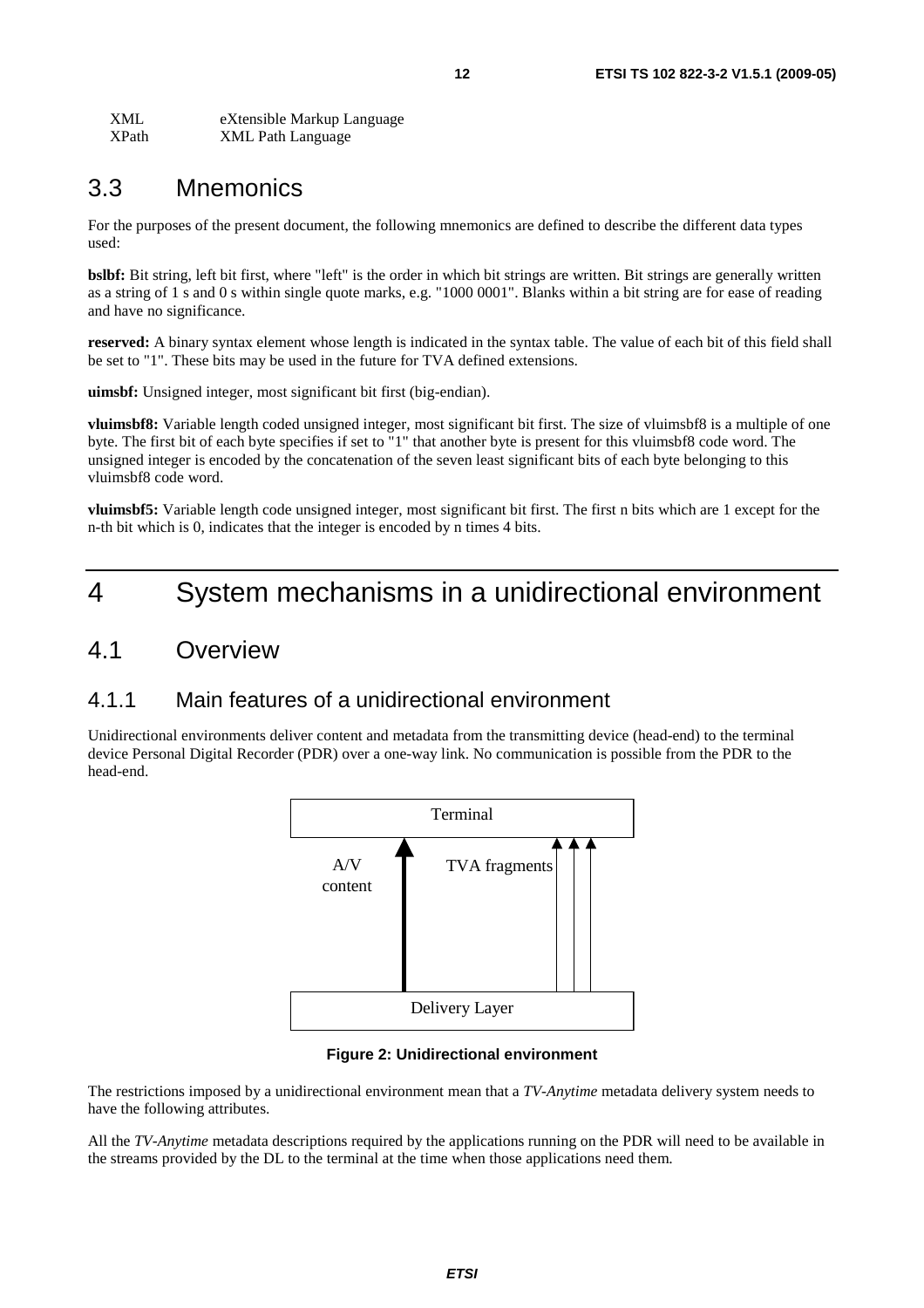| <b>XML</b> | eXtensible Markup Language |
|------------|----------------------------|
| XPath      | <b>XML Path Language</b>   |

# 3.3 Mnemonics

For the purposes of the present document, the following mnemonics are defined to describe the different data types used:

**bslbf:** Bit string, left bit first, where "left" is the order in which bit strings are written. Bit strings are generally written as a string of 1 s and 0 s within single quote marks, e.g. "1000 0001". Blanks within a bit string are for ease of reading and have no significance.

**reserved:** A binary syntax element whose length is indicated in the syntax table. The value of each bit of this field shall be set to "1". These bits may be used in the future for TVA defined extensions.

**uimsbf:** Unsigned integer, most significant bit first (big-endian).

**vluimsbf8:** Variable length coded unsigned integer, most significant bit first. The size of vluimsbf8 is a multiple of one byte. The first bit of each byte specifies if set to "1" that another byte is present for this vluimsbf8 code word. The unsigned integer is encoded by the concatenation of the seven least significant bits of each byte belonging to this vluimsbf8 code word.

**vluimsbf5:** Variable length code unsigned integer, most significant bit first. The first n bits which are 1 except for the n-th bit which is 0, indicates that the integer is encoded by n times 4 bits.

# 4 System mechanisms in a unidirectional environment

# 4.1 Overview

# 4.1.1 Main features of a unidirectional environment

Unidirectional environments deliver content and metadata from the transmitting device (head-end) to the terminal device Personal Digital Recorder (PDR) over a one-way link. No communication is possible from the PDR to the head-end.



#### **Figure 2: Unidirectional environment**

The restrictions imposed by a unidirectional environment mean that a *TV-Anytime* metadata delivery system needs to have the following attributes.

All the *TV-Anytime* metadata descriptions required by the applications running on the PDR will need to be available in the streams provided by the DL to the terminal at the time when those applications need them.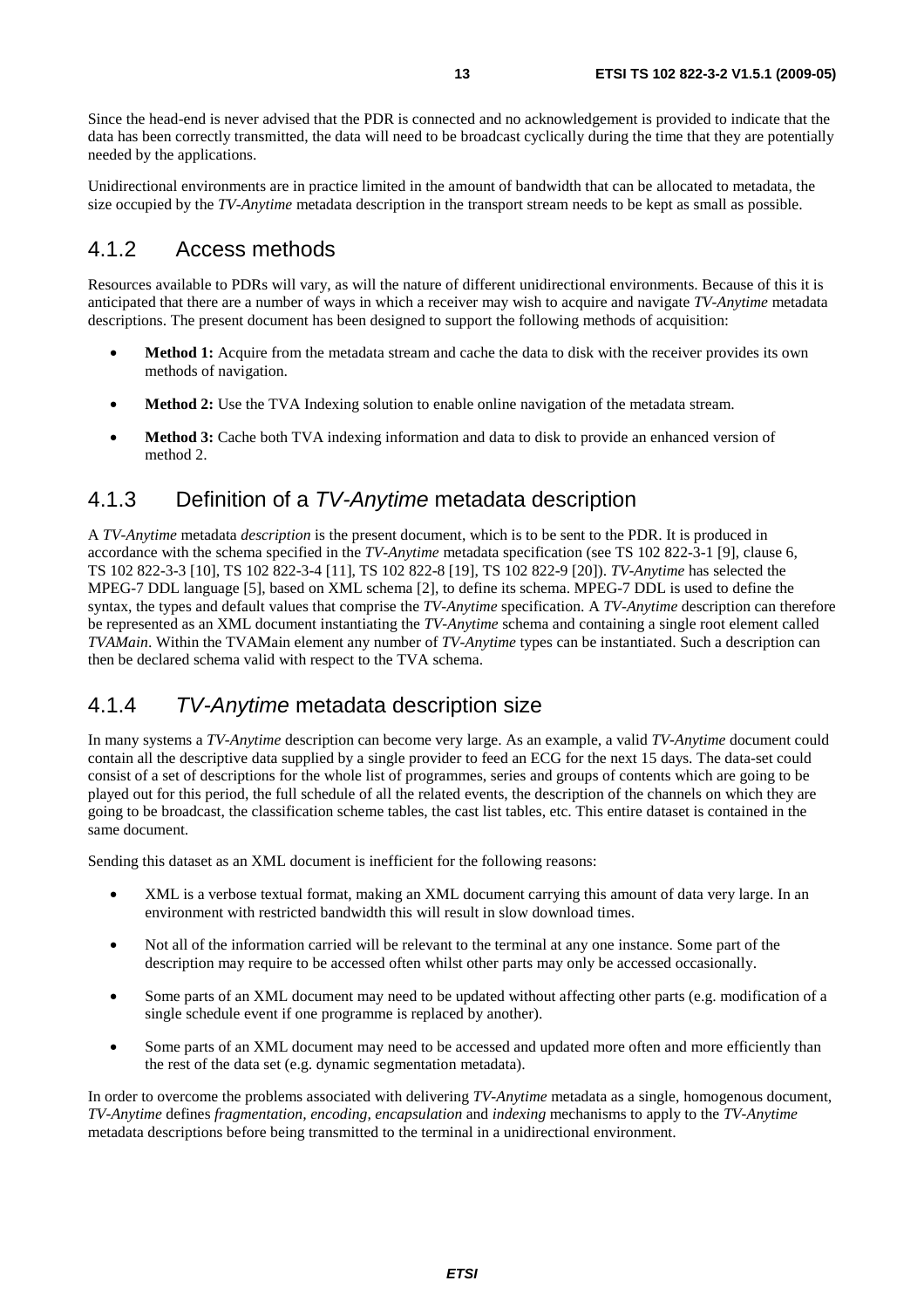Since the head-end is never advised that the PDR is connected and no acknowledgement is provided to indicate that the data has been correctly transmitted, the data will need to be broadcast cyclically during the time that they are potentially needed by the applications.

Unidirectional environments are in practice limited in the amount of bandwidth that can be allocated to metadata, the size occupied by the *TV-Anytime* metadata description in the transport stream needs to be kept as small as possible.

### 4.1.2 Access methods

Resources available to PDRs will vary, as will the nature of different unidirectional environments. Because of this it is anticipated that there are a number of ways in which a receiver may wish to acquire and navigate *TV-Anytime* metadata descriptions. The present document has been designed to support the following methods of acquisition:

- **Method 1:** Acquire from the metadata stream and cache the data to disk with the receiver provides its own methods of navigation.
- **Method 2:** Use the TVA Indexing solution to enable online navigation of the metadata stream.
- **Method 3:** Cache both TVA indexing information and data to disk to provide an enhanced version of method 2.

# 4.1.3 Definition of a *TV-Anytime* metadata description

A *TV-Anytime* metadata *description* is the present document, which is to be sent to the PDR. It is produced in accordance with the schema specified in the *TV-Anytime* metadata specification (see TS 102 822-3-1 [9], clause 6, TS 102 822-3-3 [10], TS 102 822-3-4 [11], TS 102 822-8 [19], TS 102 822-9 [20]). *TV-Anytime* has selected the MPEG-7 DDL language [5], based on XML schema [2], to define its schema. MPEG-7 DDL is used to define the syntax, the types and default values that comprise the *TV-Anytime* specification. A *TV-Anytime* description can therefore be represented as an XML document instantiating the *TV-Anytime* schema and containing a single root element called *TVAMain*. Within the TVAMain element any number of *TV-Anytime* types can be instantiated. Such a description can then be declared schema valid with respect to the TVA schema.

# 4.1.4 *TV-Anytime* metadata description size

In many systems a *TV-Anytime* description can become very large. As an example, a valid *TV-Anytime* document could contain all the descriptive data supplied by a single provider to feed an ECG for the next 15 days. The data-set could consist of a set of descriptions for the whole list of programmes, series and groups of contents which are going to be played out for this period, the full schedule of all the related events, the description of the channels on which they are going to be broadcast, the classification scheme tables, the cast list tables, etc. This entire dataset is contained in the same document.

Sending this dataset as an XML document is inefficient for the following reasons:

- XML is a verbose textual format, making an XML document carrying this amount of data very large. In an environment with restricted bandwidth this will result in slow download times.
- Not all of the information carried will be relevant to the terminal at any one instance. Some part of the description may require to be accessed often whilst other parts may only be accessed occasionally.
- Some parts of an XML document may need to be updated without affecting other parts (e.g. modification of a single schedule event if one programme is replaced by another).
- Some parts of an XML document may need to be accessed and updated more often and more efficiently than the rest of the data set (e.g. dynamic segmentation metadata).

In order to overcome the problems associated with delivering *TV-Anytime* metadata as a single, homogenous document, *TV-Anytime* defines *fragmentation, encoding, encapsulation* and *indexing* mechanisms to apply to the *TV-Anytime* metadata descriptions before being transmitted to the terminal in a unidirectional environment.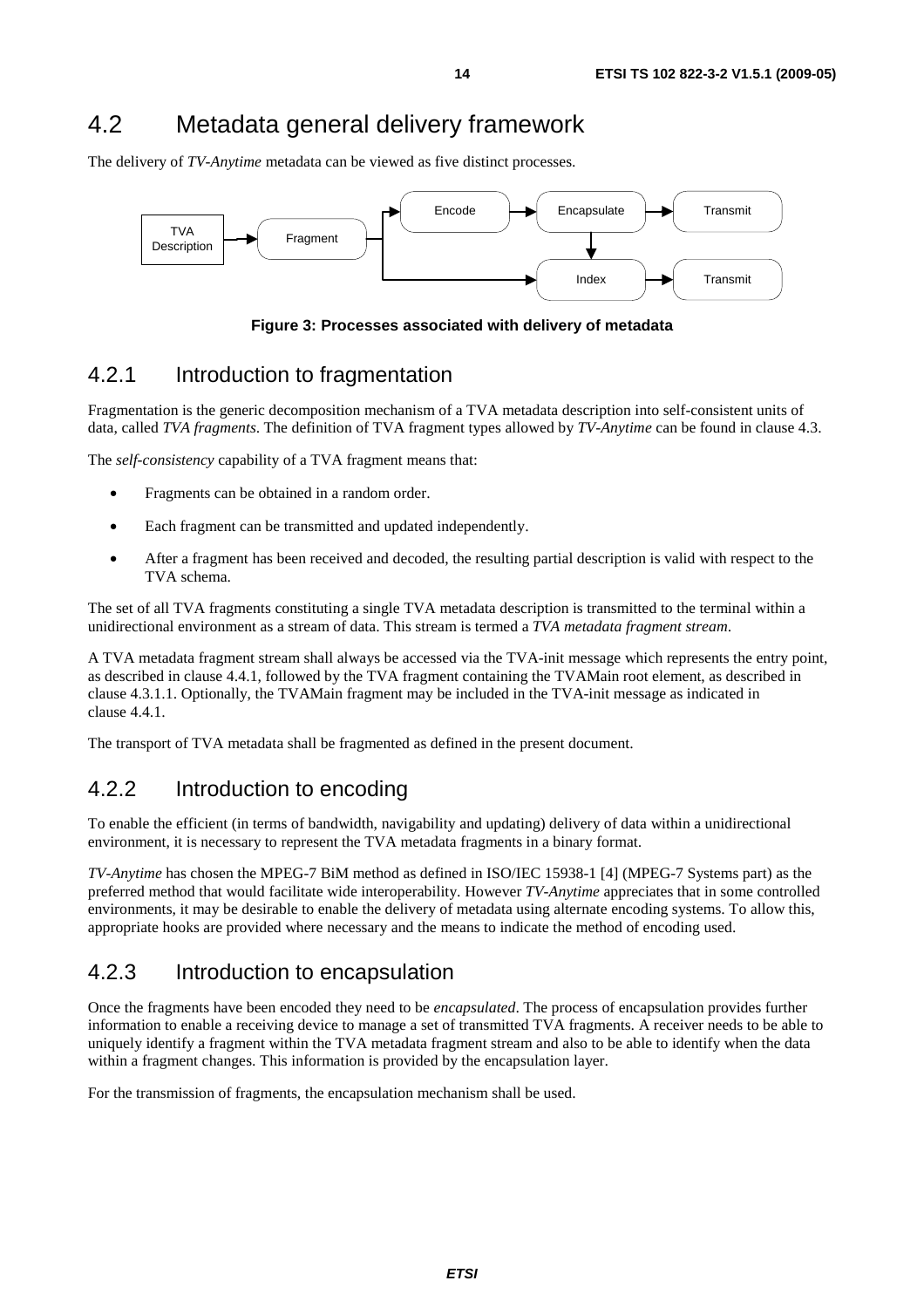# 4.2 Metadata general delivery framework

The delivery of *TV-Anytime* metadata can be viewed as five distinct processes.



**Figure 3: Processes associated with delivery of metadata** 

# 4.2.1 Introduction to fragmentation

Fragmentation is the generic decomposition mechanism of a TVA metadata description into self-consistent units of data, called *TVA fragments*. The definition of TVA fragment types allowed by *TV-Anytime* can be found in clause 4.3.

The *self-consistency* capability of a TVA fragment means that:

- Fragments can be obtained in a random order.
- Each fragment can be transmitted and updated independently.
- After a fragment has been received and decoded, the resulting partial description is valid with respect to the TVA schema.

The set of all TVA fragments constituting a single TVA metadata description is transmitted to the terminal within a unidirectional environment as a stream of data. This stream is termed a *TVA metadata fragment stream*.

A TVA metadata fragment stream shall always be accessed via the TVA-init message which represents the entry point, as described in clause 4.4.1, followed by the TVA fragment containing the TVAMain root element, as described in clause 4.3.1.1. Optionally, the TVAMain fragment may be included in the TVA-init message as indicated in clause 4.4.1.

The transport of TVA metadata shall be fragmented as defined in the present document.

# 4.2.2 Introduction to encoding

To enable the efficient (in terms of bandwidth, navigability and updating) delivery of data within a unidirectional environment, it is necessary to represent the TVA metadata fragments in a binary format.

*TV-Anytime* has chosen the MPEG-7 BiM method as defined in ISO/IEC 15938-1 [4] (MPEG-7 Systems part) as the preferred method that would facilitate wide interoperability. However *TV-Anytime* appreciates that in some controlled environments, it may be desirable to enable the delivery of metadata using alternate encoding systems. To allow this, appropriate hooks are provided where necessary and the means to indicate the method of encoding used.

# 4.2.3 Introduction to encapsulation

Once the fragments have been encoded they need to be *encapsulated*. The process of encapsulation provides further information to enable a receiving device to manage a set of transmitted TVA fragments. A receiver needs to be able to uniquely identify a fragment within the TVA metadata fragment stream and also to be able to identify when the data within a fragment changes. This information is provided by the encapsulation layer.

For the transmission of fragments, the encapsulation mechanism shall be used.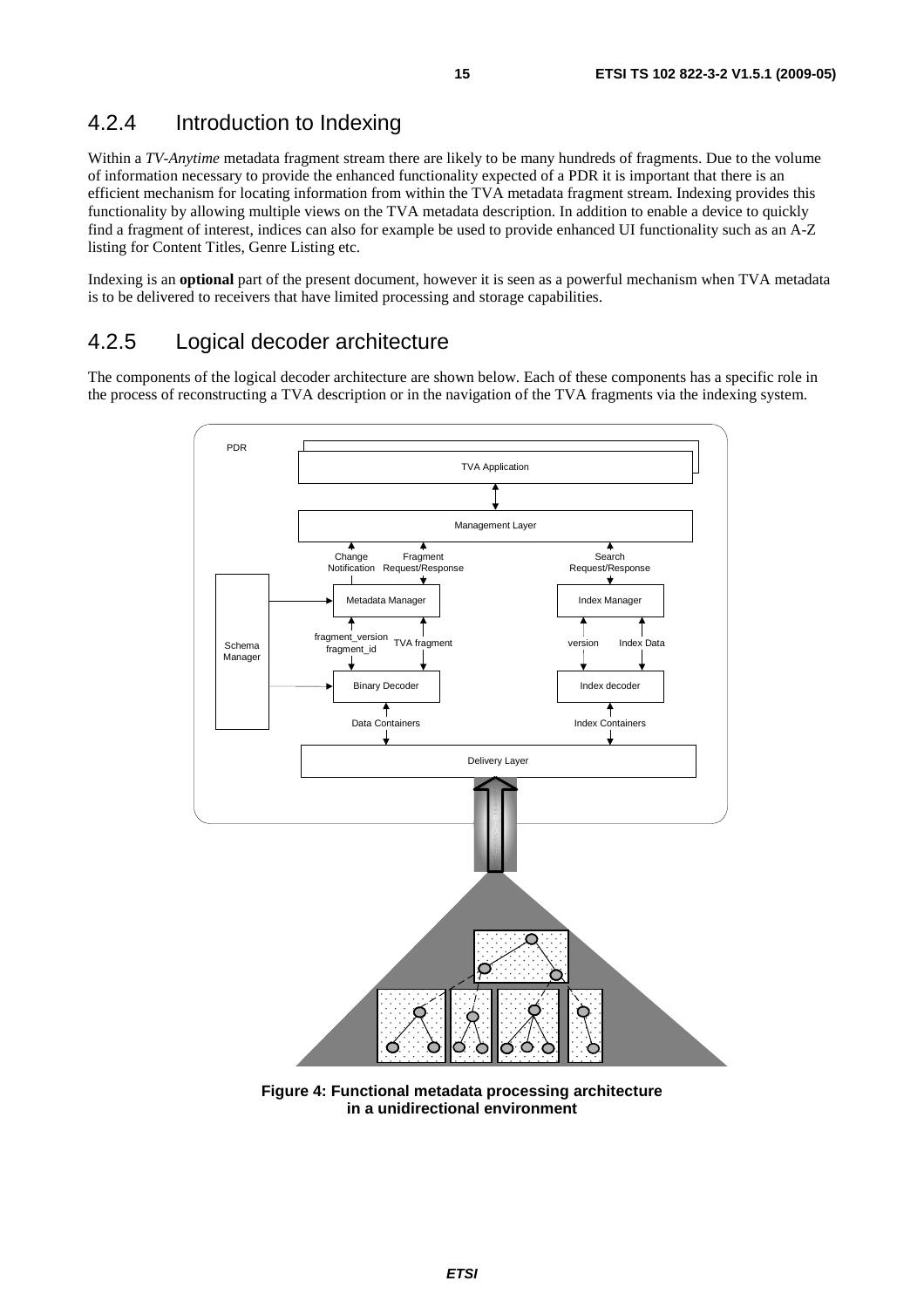# 4.2.4 Introduction to Indexing

Within a *TV-Anytime* metadata fragment stream there are likely to be many hundreds of fragments. Due to the volume of information necessary to provide the enhanced functionality expected of a PDR it is important that there is an efficient mechanism for locating information from within the TVA metadata fragment stream. Indexing provides this functionality by allowing multiple views on the TVA metadata description. In addition to enable a device to quickly find a fragment of interest, indices can also for example be used to provide enhanced UI functionality such as an A-Z listing for Content Titles, Genre Listing etc.

Indexing is an **optional** part of the present document, however it is seen as a powerful mechanism when TVA metadata is to be delivered to receivers that have limited processing and storage capabilities.

# 4.2.5 Logical decoder architecture

The components of the logical decoder architecture are shown below. Each of these components has a specific role in the process of reconstructing a TVA description or in the navigation of the TVA fragments via the indexing system.



**Figure 4: Functional metadata processing architecture in a unidirectional environment**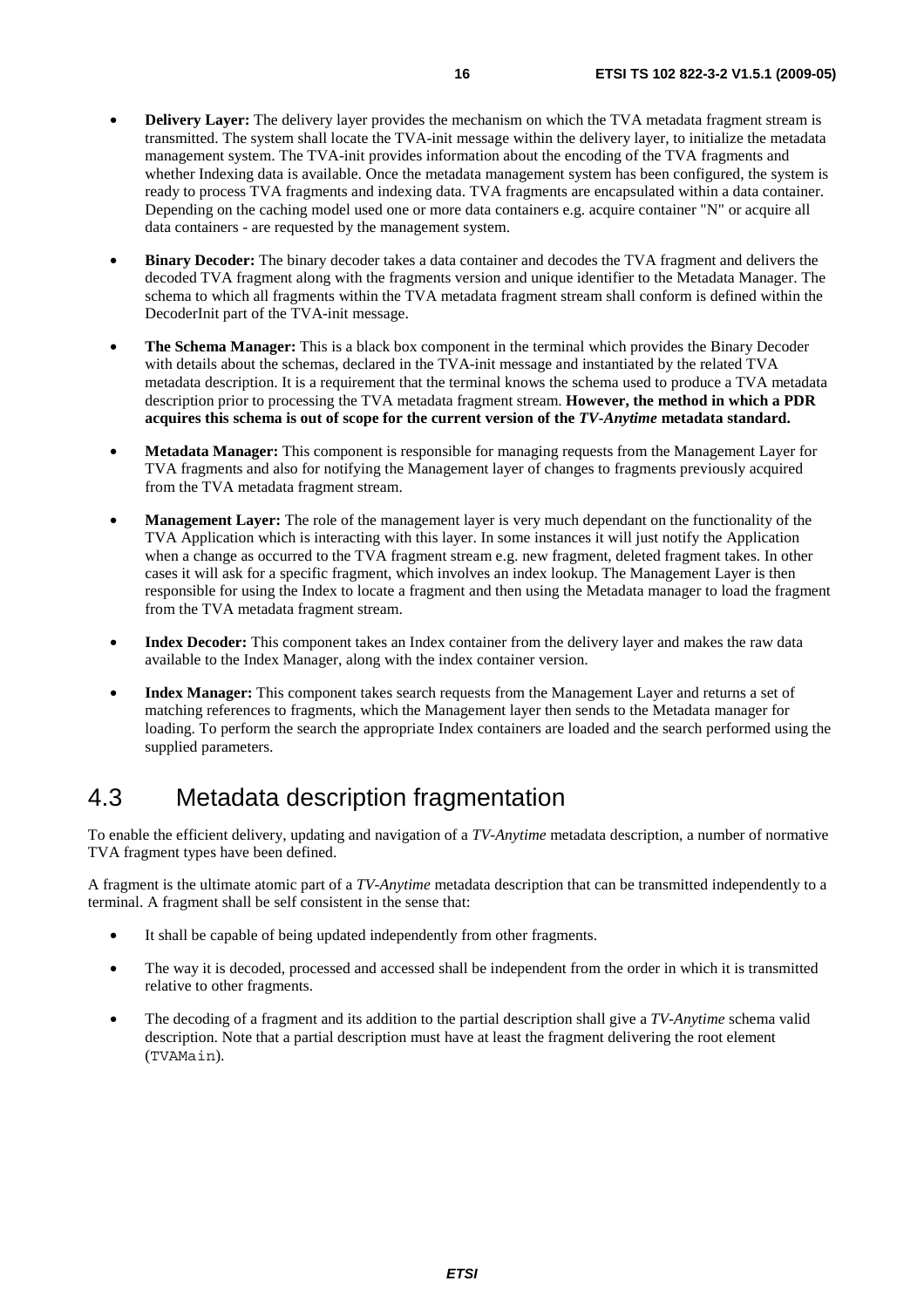- **Delivery Layer:** The delivery layer provides the mechanism on which the TVA metadata fragment stream is transmitted. The system shall locate the TVA-init message within the delivery layer, to initialize the metadata management system. The TVA-init provides information about the encoding of the TVA fragments and whether Indexing data is available. Once the metadata management system has been configured, the system is ready to process TVA fragments and indexing data. TVA fragments are encapsulated within a data container. Depending on the caching model used one or more data containers e.g. acquire container "N" or acquire all data containers - are requested by the management system.
- **Binary Decoder:** The binary decoder takes a data container and decodes the TVA fragment and delivers the decoded TVA fragment along with the fragments version and unique identifier to the Metadata Manager. The schema to which all fragments within the TVA metadata fragment stream shall conform is defined within the DecoderInit part of the TVA-init message.
- **The Schema Manager:** This is a black box component in the terminal which provides the Binary Decoder with details about the schemas, declared in the TVA-init message and instantiated by the related TVA metadata description. It is a requirement that the terminal knows the schema used to produce a TVA metadata description prior to processing the TVA metadata fragment stream. **However, the method in which a PDR acquires this schema is out of scope for the current version of the** *TV-Anytime* **metadata standard.**
- **Metadata Manager:** This component is responsible for managing requests from the Management Layer for TVA fragments and also for notifying the Management layer of changes to fragments previously acquired from the TVA metadata fragment stream.
- **Management Layer:** The role of the management layer is very much dependant on the functionality of the TVA Application which is interacting with this layer. In some instances it will just notify the Application when a change as occurred to the TVA fragment stream e.g. new fragment, deleted fragment takes. In other cases it will ask for a specific fragment, which involves an index lookup. The Management Layer is then responsible for using the Index to locate a fragment and then using the Metadata manager to load the fragment from the TVA metadata fragment stream.
- **Index Decoder:** This component takes an Index container from the delivery layer and makes the raw data available to the Index Manager, along with the index container version.
- **Index Manager:** This component takes search requests from the Management Layer and returns a set of matching references to fragments, which the Management layer then sends to the Metadata manager for loading. To perform the search the appropriate Index containers are loaded and the search performed using the supplied parameters.

# 4.3 Metadata description fragmentation

To enable the efficient delivery, updating and navigation of a *TV-Anytime* metadata description, a number of normative TVA fragment types have been defined.

A fragment is the ultimate atomic part of a *TV-Anytime* metadata description that can be transmitted independently to a terminal. A fragment shall be self consistent in the sense that:

- It shall be capable of being updated independently from other fragments.
- The way it is decoded, processed and accessed shall be independent from the order in which it is transmitted relative to other fragments.
- The decoding of a fragment and its addition to the partial description shall give a *TV-Anytime* schema valid description. Note that a partial description must have at least the fragment delivering the root element (TVAMain).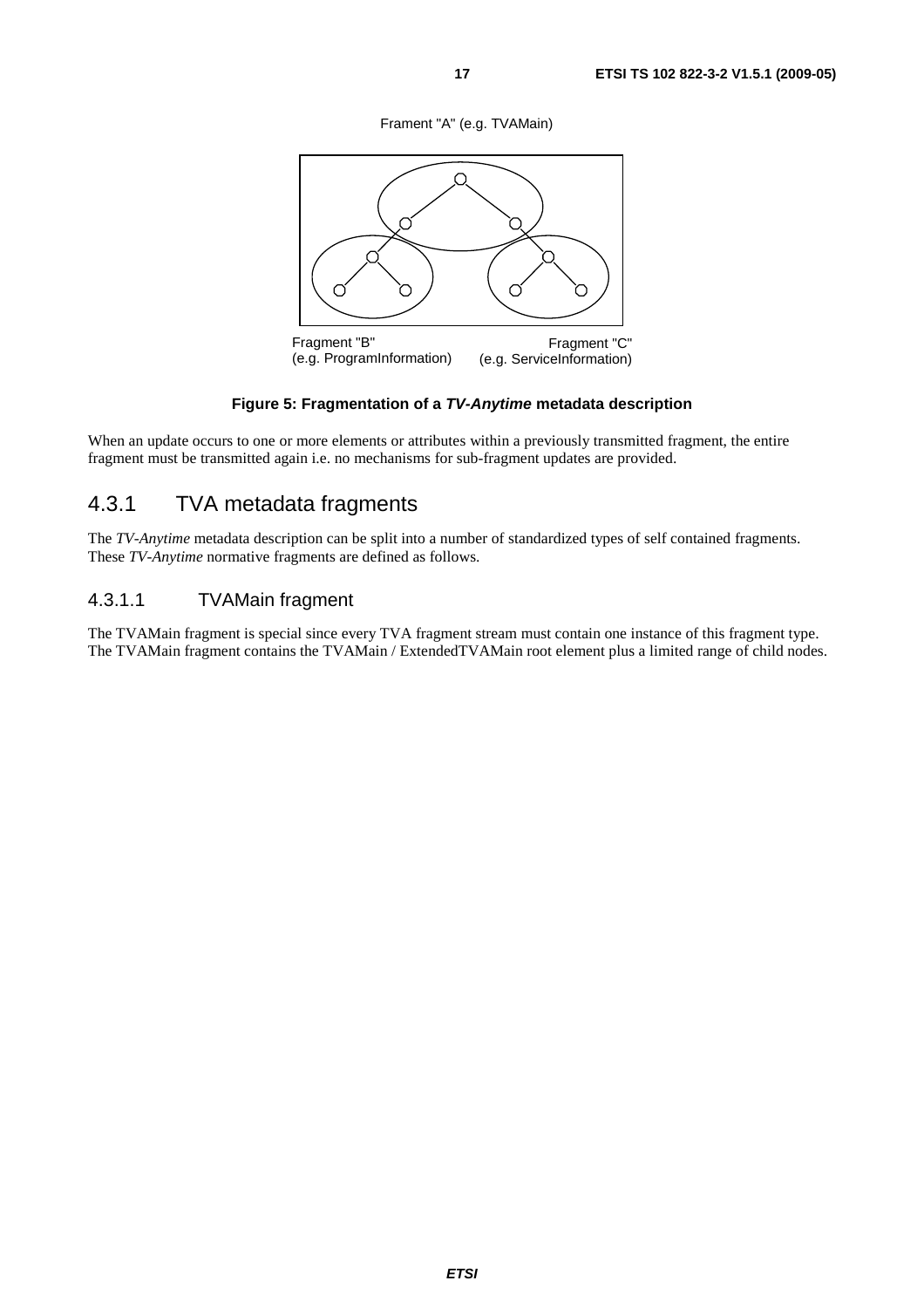Frament "A" (e.g. TVAMain)



#### **Figure 5: Fragmentation of a** *TV-Anytime* **metadata description**

When an update occurs to one or more elements or attributes within a previously transmitted fragment, the entire fragment must be transmitted again i.e. no mechanisms for sub-fragment updates are provided.

# 4.3.1 TVA metadata fragments

The *TV-Anytime* metadata description can be split into a number of standardized types of self contained fragments. These *TV-Anytime* normative fragments are defined as follows.

#### 4.3.1.1 TVAMain fragment

The TVAMain fragment is special since every TVA fragment stream must contain one instance of this fragment type. The TVAMain fragment contains the TVAMain / ExtendedTVAMain root element plus a limited range of child nodes.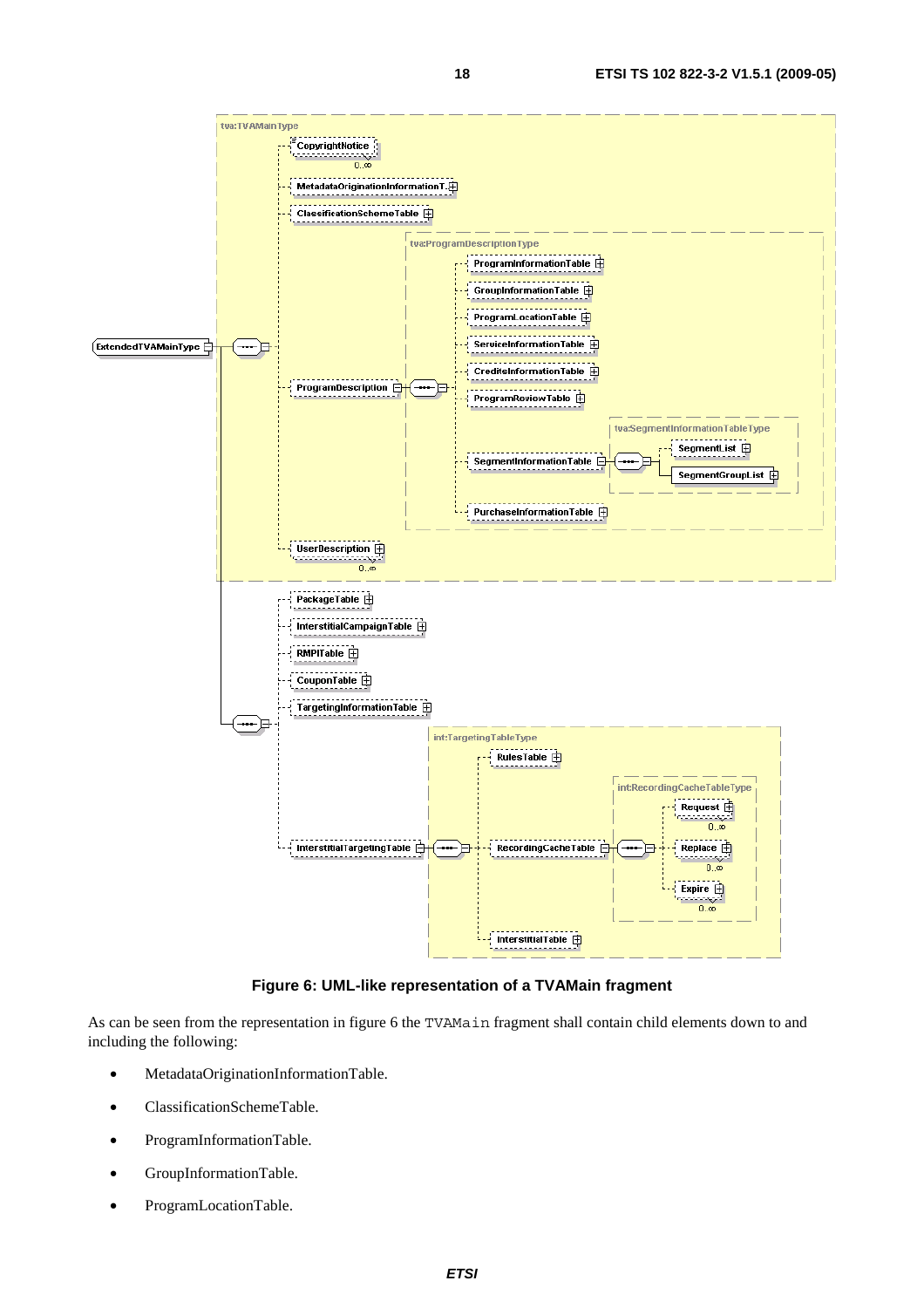

#### **Figure 6: UML-like representation of a TVAMain fragment**

As can be seen from the representation in figure 6 the TVAMain fragment shall contain child elements down to and including the following:

- MetadataOriginationInformationTable.
- ClassificationSchemeTable.
- ProgramInformationTable.
- GroupInformationTable.
- ProgramLocationTable.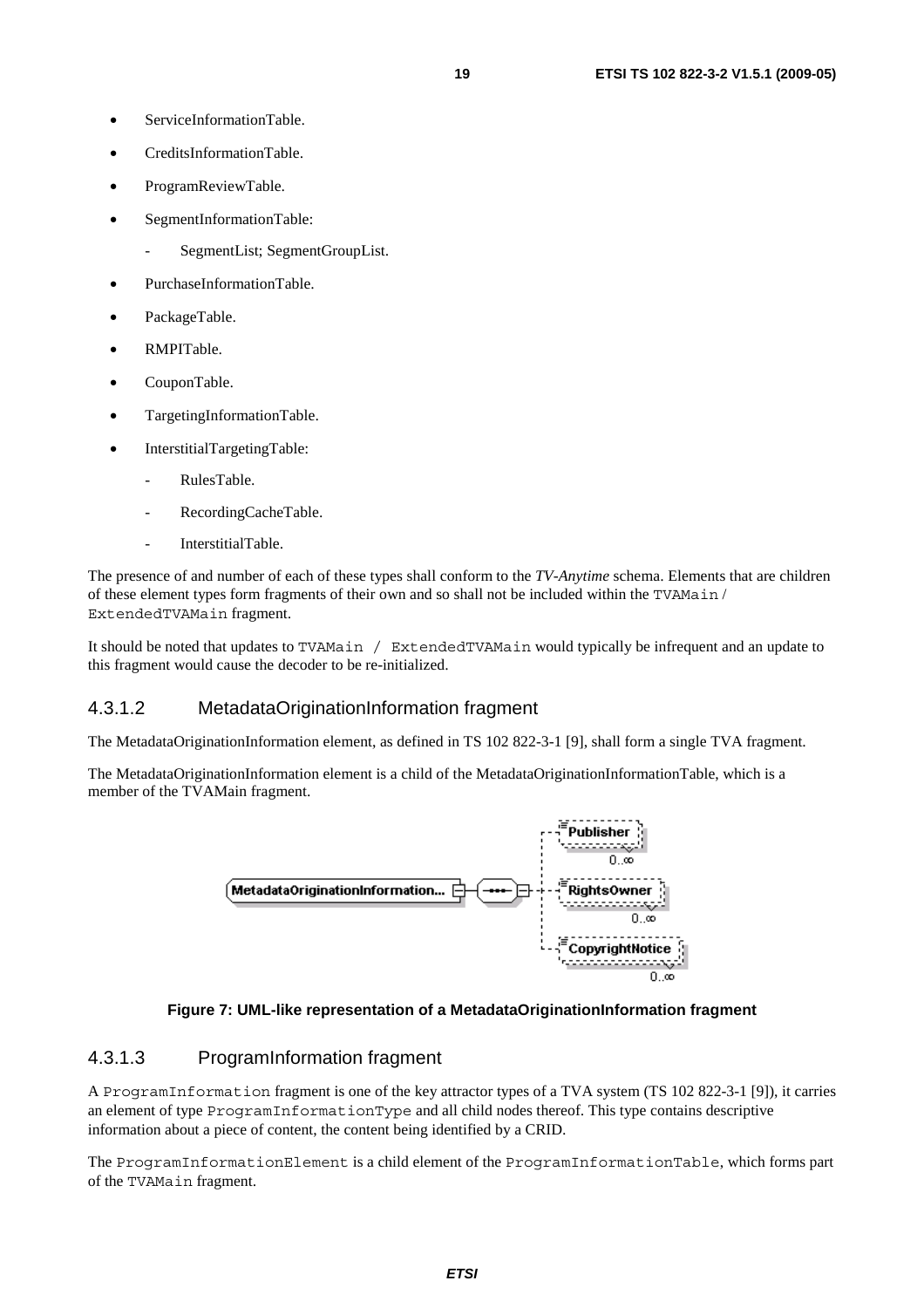- ServiceInformationTable
- CreditsInformationTable.
- ProgramReviewTable.
- SegmentInformationTable:
	- SegmentList; SegmentGroupList.
- PurchaseInformationTable.
- PackageTable.
- RMPITable.
- CouponTable.
- TargetingInformationTable.
- InterstitialTargetingTable:
	- RulesTable.
	- RecordingCacheTable.
	- InterstitialTable.

The presence of and number of each of these types shall conform to the *TV-Anytime* schema. Elements that are children of these element types form fragments of their own and so shall not be included within the TVAMain / ExtendedTVAMain fragment.

It should be noted that updates to TVAMain / ExtendedTVAMain would typically be infrequent and an update to this fragment would cause the decoder to be re-initialized.

#### 4.3.1.2 MetadataOriginationInformation fragment

The MetadataOriginationInformation element, as defined in TS 102 822-3-1 [9], shall form a single TVA fragment.

The MetadataOriginationInformation element is a child of the MetadataOriginationInformationTable, which is a member of the TVAMain fragment.



#### **Figure 7: UML-like representation of a MetadataOriginationInformation fragment**

#### 4.3.1.3 ProgramInformation fragment

A ProgramInformation fragment is one of the key attractor types of a TVA system (TS 102 822-3-1 [9]), it carries an element of type ProgramInformationType and all child nodes thereof. This type contains descriptive information about a piece of content, the content being identified by a CRID.

The ProgramInformationElement is a child element of the ProgramInformationTable, which forms part of the TVAMain fragment.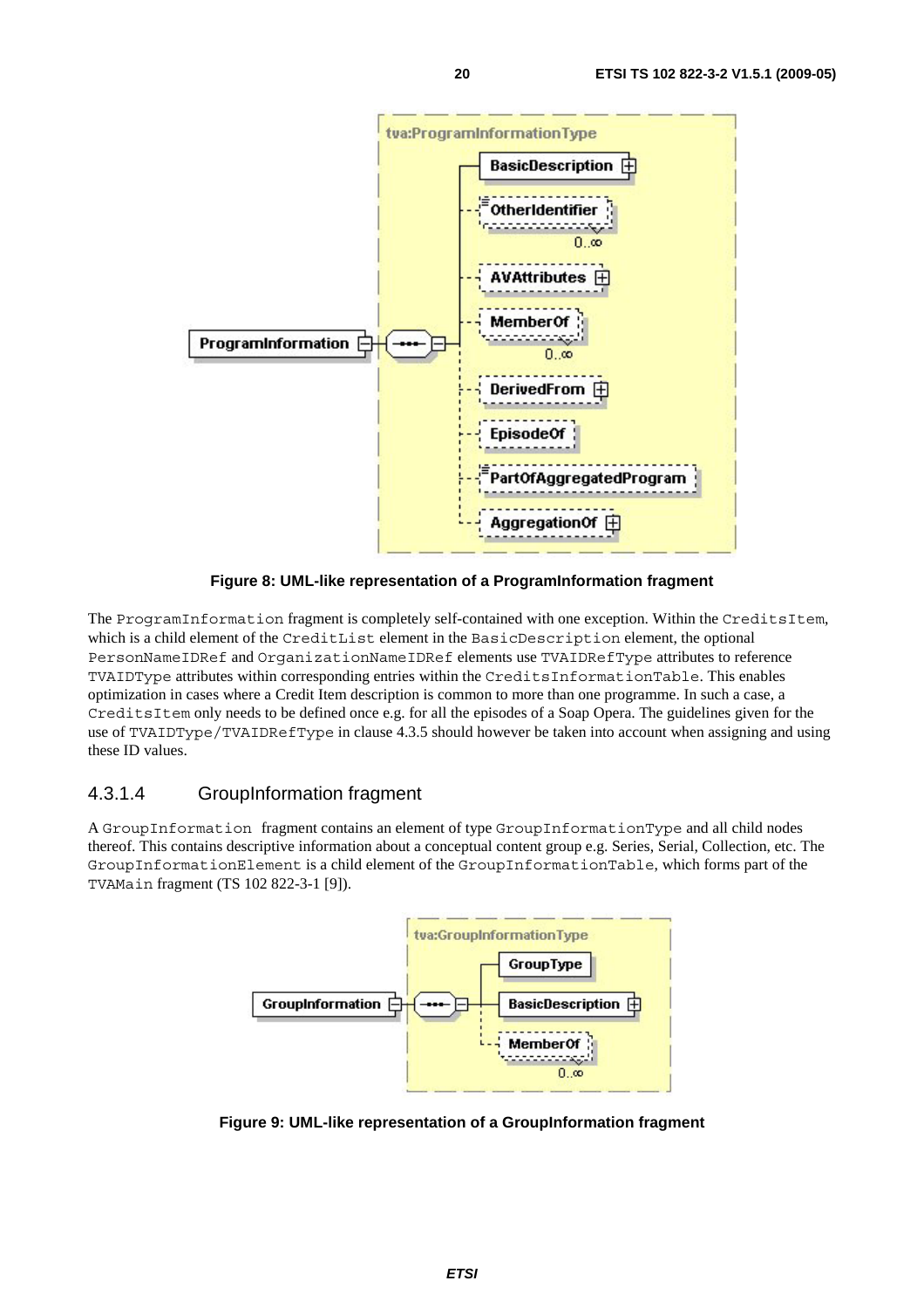

**Figure 8: UML-like representation of a ProgramInformation fragment** 

The ProgramInformation fragment is completely self-contained with one exception. Within the CreditsItem, which is a child element of the CreditList element in the BasicDescription element, the optional PersonNameIDRef and OrganizationNameIDRef elements use TVAIDRefType attributes to reference TVAIDType attributes within corresponding entries within the CreditsInformationTable. This enables optimization in cases where a Credit Item description is common to more than one programme. In such a case, a CreditsItem only needs to be defined once e.g. for all the episodes of a Soap Opera. The guidelines given for the use of TVAIDType/TVAIDRefType in clause 4.3.5 should however be taken into account when assigning and using these ID values.

### 4.3.1.4 GroupInformation fragment

A GroupInformation fragment contains an element of type GroupInformationType and all child nodes thereof. This contains descriptive information about a conceptual content group e.g. Series, Serial, Collection, etc. The GroupInformationElement is a child element of the GroupInformationTable, which forms part of the TVAMain fragment (TS 102 822-3-1 [9]).



**Figure 9: UML-like representation of a GroupInformation fragment**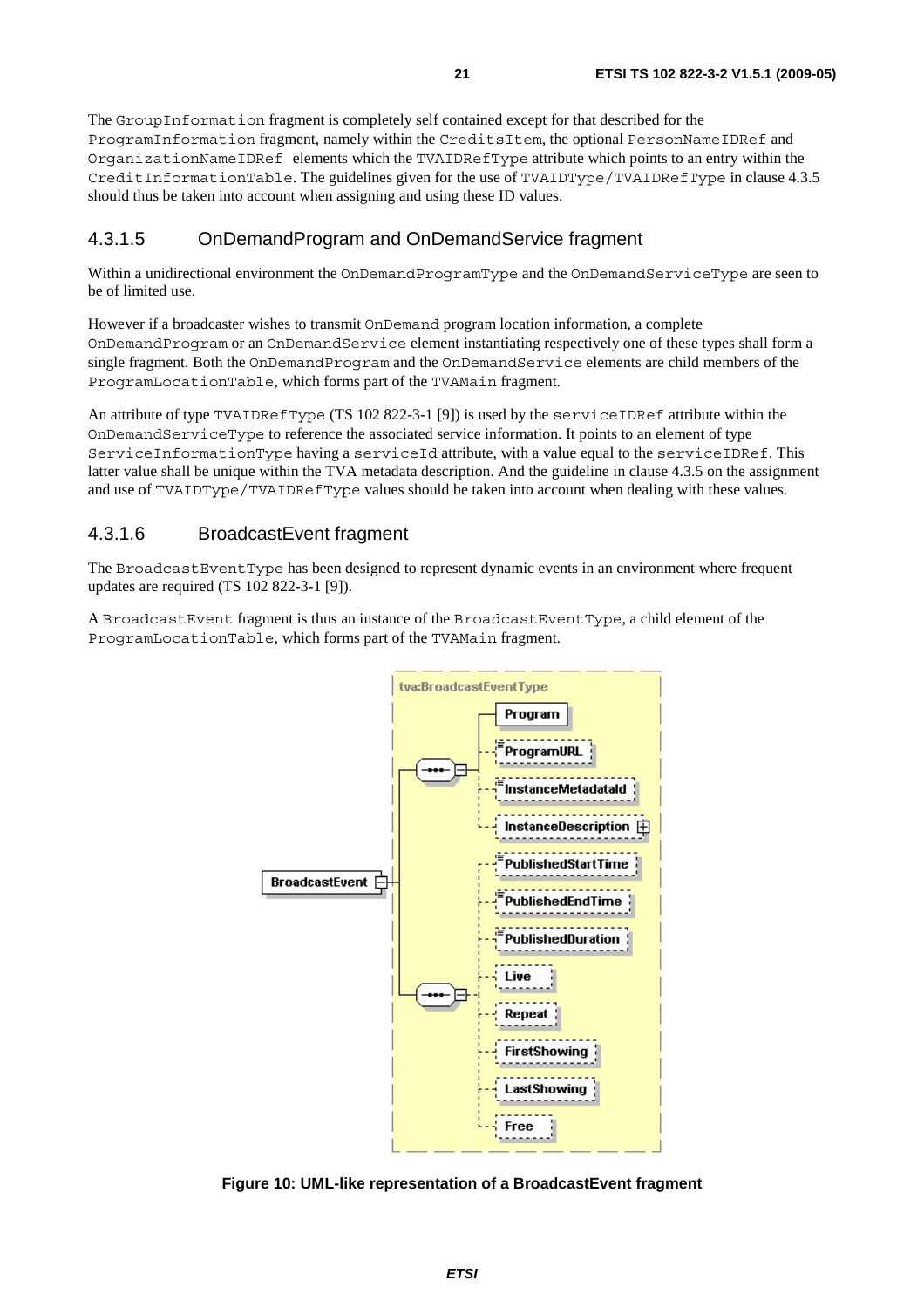The GroupInformation fragment is completely self contained except for that described for the ProgramInformation fragment, namely within the CreditsItem, the optional PersonNameIDRef and OrganizationNameIDRef elements which the TVAIDRefType attribute which points to an entry within the CreditInformationTable. The guidelines given for the use of TVAIDType/TVAIDRefType in clause 4.3.5 should thus be taken into account when assigning and using these ID values.

### 4.3.1.5 OnDemandProgram and OnDemandService fragment

Within a unidirectional environment the OnDemandProgramType and the OnDemandServiceType are seen to be of limited use.

However if a broadcaster wishes to transmit OnDemand program location information, a complete OnDemandProgram or an OnDemandService element instantiating respectively one of these types shall form a single fragment. Both the OnDemandProgram and the OnDemandService elements are child members of the ProgramLocationTable, which forms part of the TVAMain fragment.

An attribute of type TVAIDRefType (TS 102 822-3-1 [9]) is used by the serviceIDRef attribute within the OnDemandServiceType to reference the associated service information. It points to an element of type ServiceInformationType having a serviceId attribute, with a value equal to the serviceIDRef. This latter value shall be unique within the TVA metadata description. And the guideline in clause 4.3.5 on the assignment and use of TVAIDType/TVAIDRefType values should be taken into account when dealing with these values.

### 4.3.1.6 BroadcastEvent fragment

The BroadcastEventType has been designed to represent dynamic events in an environment where frequent updates are required (TS 102 822-3-1 [9]).

A BroadcastEvent fragment is thus an instance of the BroadcastEventType, a child element of the ProgramLocationTable, which forms part of the TVAMain fragment.



**Figure 10: UML-like representation of a BroadcastEvent fragment**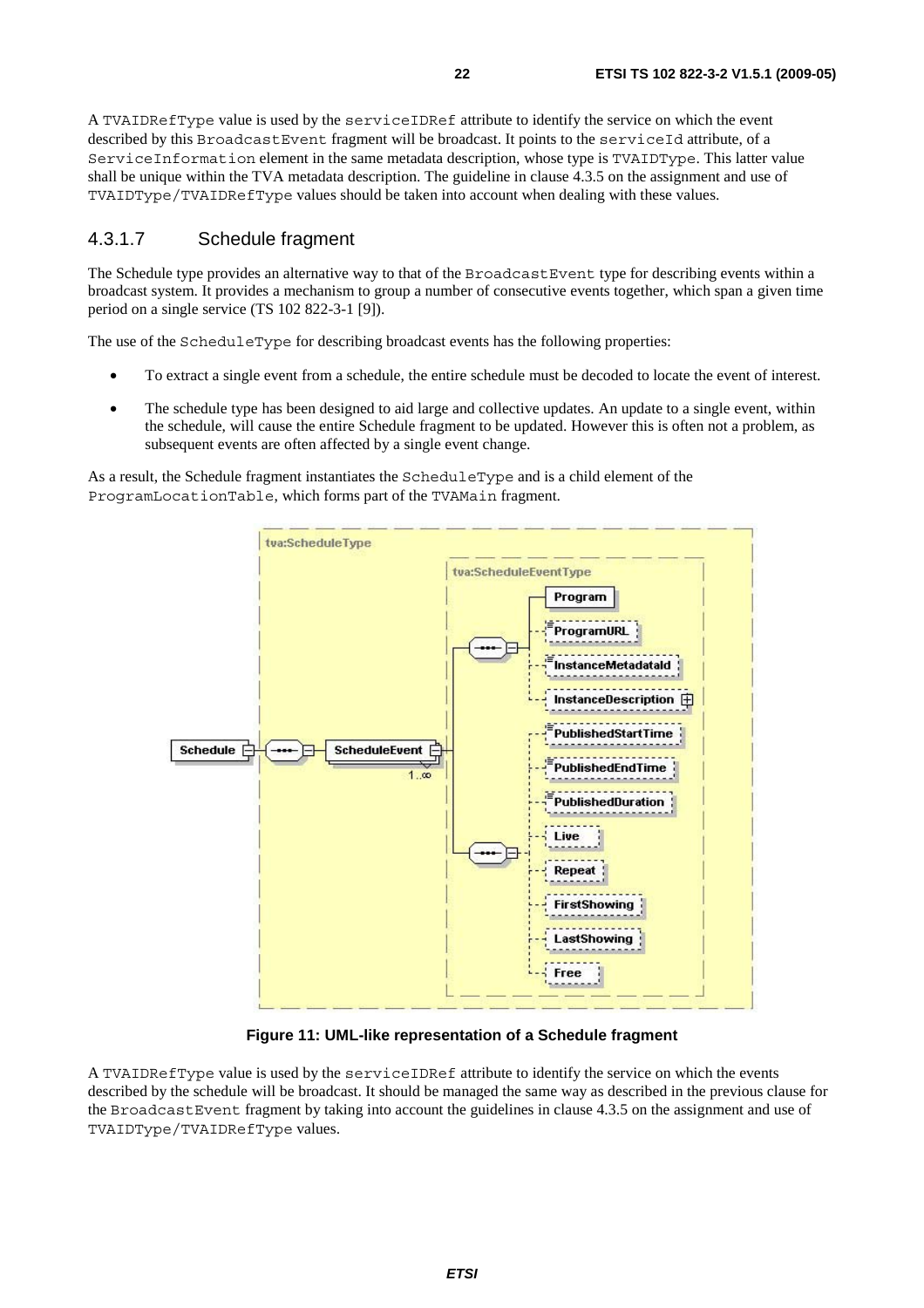A TVAIDRefType value is used by the serviceIDRef attribute to identify the service on which the event described by this BroadcastEvent fragment will be broadcast. It points to the serviceId attribute, of a ServiceInformation element in the same metadata description, whose type is TVAIDType. This latter value shall be unique within the TVA metadata description. The guideline in clause 4.3.5 on the assignment and use of TVAIDType/TVAIDRefType values should be taken into account when dealing with these values.

#### 4.3.1.7 Schedule fragment

The Schedule type provides an alternative way to that of the BroadcastEvent type for describing events within a broadcast system. It provides a mechanism to group a number of consecutive events together, which span a given time period on a single service (TS 102 822-3-1 [9]).

The use of the ScheduleType for describing broadcast events has the following properties:

- To extract a single event from a schedule, the entire schedule must be decoded to locate the event of interest.
- The schedule type has been designed to aid large and collective updates. An update to a single event, within the schedule, will cause the entire Schedule fragment to be updated. However this is often not a problem, as subsequent events are often affected by a single event change.

As a result, the Schedule fragment instantiates the ScheduleType and is a child element of the ProgramLocationTable, which forms part of the TVAMain fragment.



**Figure 11: UML-like representation of a Schedule fragment** 

A TVAIDRefType value is used by the serviceIDRef attribute to identify the service on which the events described by the schedule will be broadcast. It should be managed the same way as described in the previous clause for the BroadcastEvent fragment by taking into account the guidelines in clause 4.3.5 on the assignment and use of TVAIDType/TVAIDRefType values.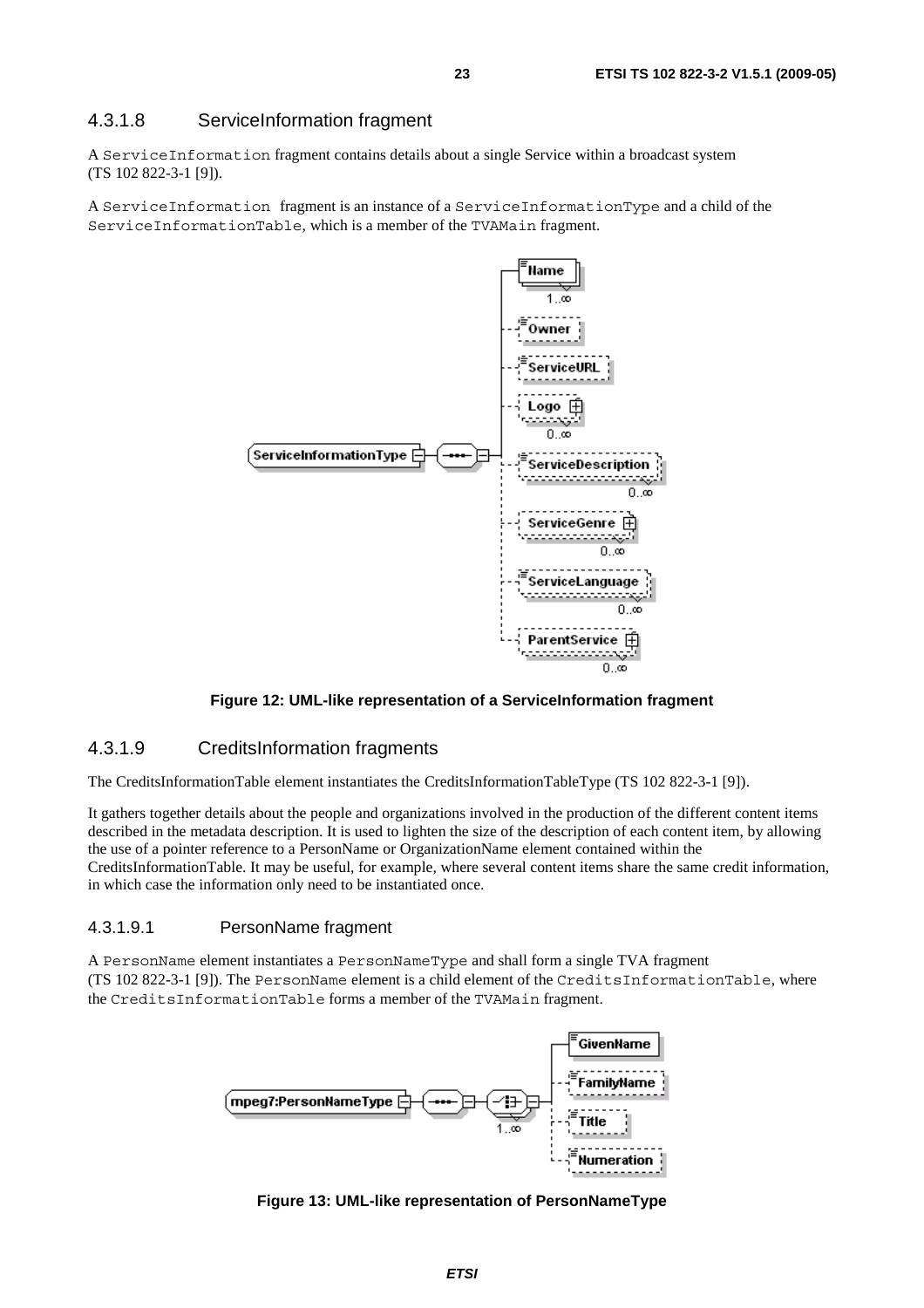#### 4.3.1.8 ServiceInformation fragment

A ServiceInformation fragment contains details about a single Service within a broadcast system (TS 102 822-3-1 [9]).

A ServiceInformation fragment is an instance of a ServiceInformationType and a child of the ServiceInformationTable, which is a member of the TVAMain fragment.



#### **Figure 12: UML-like representation of a ServiceInformation fragment**

#### 4.3.1.9 CreditsInformation fragments

The CreditsInformationTable element instantiates the CreditsInformationTableType (TS 102 822-3-1 [9]).

It gathers together details about the people and organizations involved in the production of the different content items described in the metadata description. It is used to lighten the size of the description of each content item, by allowing the use of a pointer reference to a PersonName or OrganizationName element contained within the CreditsInformationTable. It may be useful, for example, where several content items share the same credit information, in which case the information only need to be instantiated once.

#### 4.3.1.9.1 PersonName fragment

A PersonName element instantiates a PersonNameType and shall form a single TVA fragment (TS 102 822-3-1 [9]). The PersonName element is a child element of the CreditsInformationTable, where the CreditsInformationTable forms a member of the TVAMain fragment.



**Figure 13: UML-like representation of PersonNameType**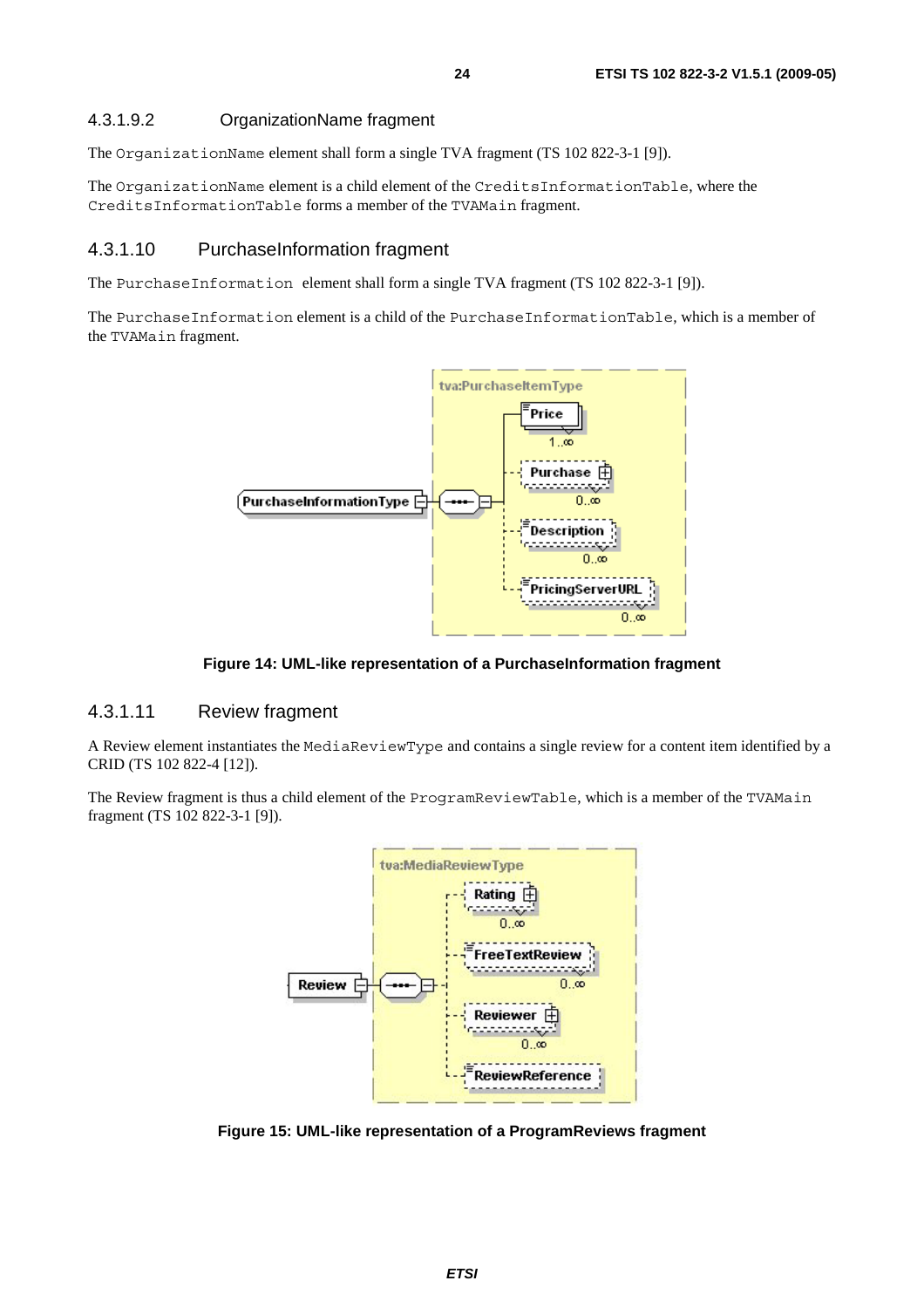The OrganizationName element shall form a single TVA fragment (TS 102 822-3-1 [9]).

The OrganizationName element is a child element of the CreditsInformationTable, where the CreditsInformationTable forms a member of the TVAMain fragment.

#### 4.3.1.10 PurchaseInformation fragment

The PurchaseInformation element shall form a single TVA fragment (TS 102 822-3-1 [9]).

The PurchaseInformation element is a child of the PurchaseInformationTable, which is a member of the TVAMain fragment.



**Figure 14: UML-like representation of a PurchaseInformation fragment** 

#### 4.3.1.11 Review fragment

A Review element instantiates the MediaReviewType and contains a single review for a content item identified by a CRID (TS 102 822-4 [12]).

The Review fragment is thus a child element of the ProgramReviewTable, which is a member of the TVAMain fragment (TS 102 822-3-1 [9]).



**Figure 15: UML-like representation of a ProgramReviews fragment**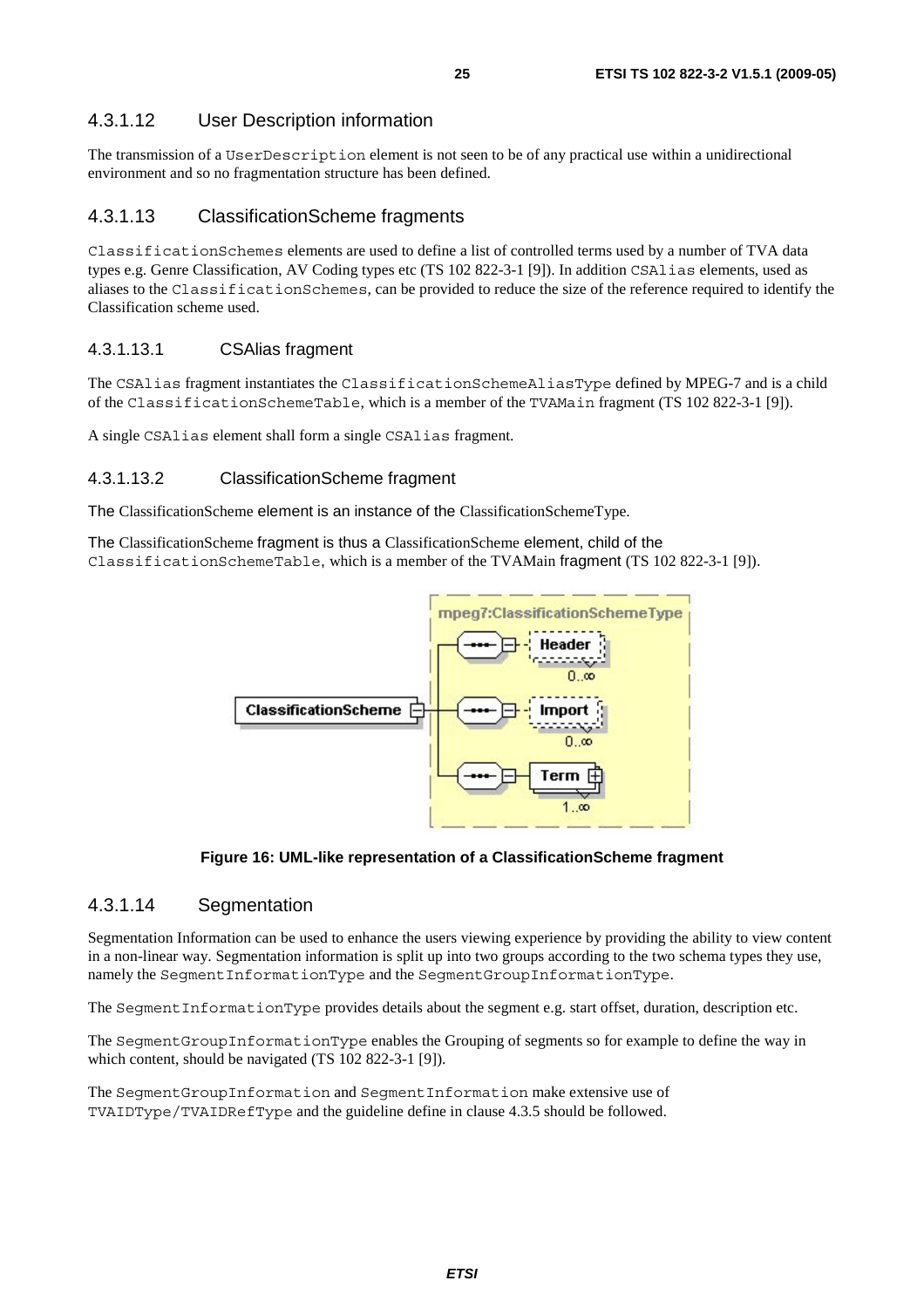### 4.3.1.12 User Description information

The transmission of a UserDescription element is not seen to be of any practical use within a unidirectional environment and so no fragmentation structure has been defined.

#### 4.3.1.13 ClassificationScheme fragments

ClassificationSchemes elements are used to define a list of controlled terms used by a number of TVA data types e.g. Genre Classification, AV Coding types etc (TS 102 822-3-1 [9]). In addition CSAlias elements, used as aliases to the ClassificationSchemes, can be provided to reduce the size of the reference required to identify the Classification scheme used.

#### 4.3.1.13.1 CSAlias fragment

The CSAlias fragment instantiates the ClassificationSchemeAliasType defined by MPEG-7 and is a child of the ClassificationSchemeTable, which is a member of the TVAMain fragment (TS 102 822-3-1 [9]).

A single CSAlias element shall form a single CSAlias fragment.

#### 4.3.1.13.2 ClassificationScheme fragment

The ClassificationScheme element is an instance of the ClassificationSchemeType.

The ClassificationScheme fragment is thus a ClassificationScheme element, child of the ClassificationSchemeTable, which is a member of the TVAMain fragment (TS 102 822-3-1 [9]).



**Figure 16: UML-like representation of a ClassificationScheme fragment** 

#### 4.3.1.14 Segmentation

Segmentation Information can be used to enhance the users viewing experience by providing the ability to view content in a non-linear way. Segmentation information is split up into two groups according to the two schema types they use, namely the SegmentInformationType and the SegmentGroupInformationType.

The SegmentInformationType provides details about the segment e.g. start offset, duration, description etc.

The SegmentGroupInformationType enables the Grouping of segments so for example to define the way in which content, should be navigated (TS 102 822-3-1 [9]).

The SegmentGroupInformation and SegmentInformation make extensive use of TVAIDType/TVAIDRefType and the guideline define in clause 4.3.5 should be followed.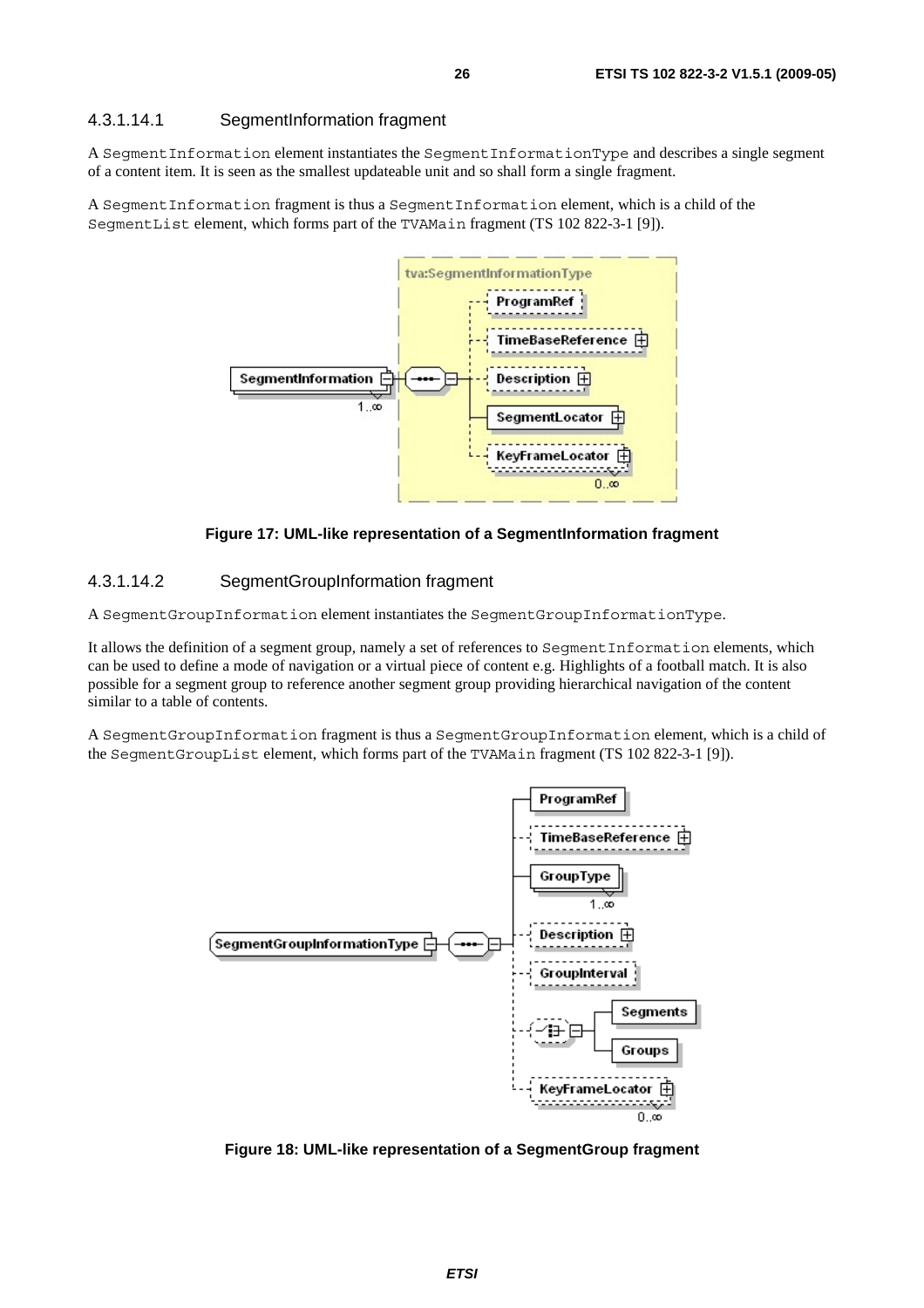#### 4.3.1.14.1 SegmentInformation fragment

A SegmentInformation element instantiates the SegmentInformationType and describes a single segment of a content item. It is seen as the smallest updateable unit and so shall form a single fragment.

A SegmentInformation fragment is thus a SegmentInformation element, which is a child of the SegmentList element, which forms part of the TVAMain fragment (TS 102 822-3-1 [9]).



**Figure 17: UML-like representation of a SegmentInformation fragment** 

#### 4.3.1.14.2 SegmentGroupInformation fragment

A SegmentGroupInformation element instantiates the SegmentGroupInformationType.

It allows the definition of a segment group, namely a set of references to SegmentInformation elements, which can be used to define a mode of navigation or a virtual piece of content e.g. Highlights of a football match. It is also possible for a segment group to reference another segment group providing hierarchical navigation of the content similar to a table of contents.

A SegmentGroupInformation fragment is thus a SegmentGroupInformation element, which is a child of the SegmentGroupList element, which forms part of the TVAMain fragment (TS 102 822-3-1 [9]).



**Figure 18: UML-like representation of a SegmentGroup fragment**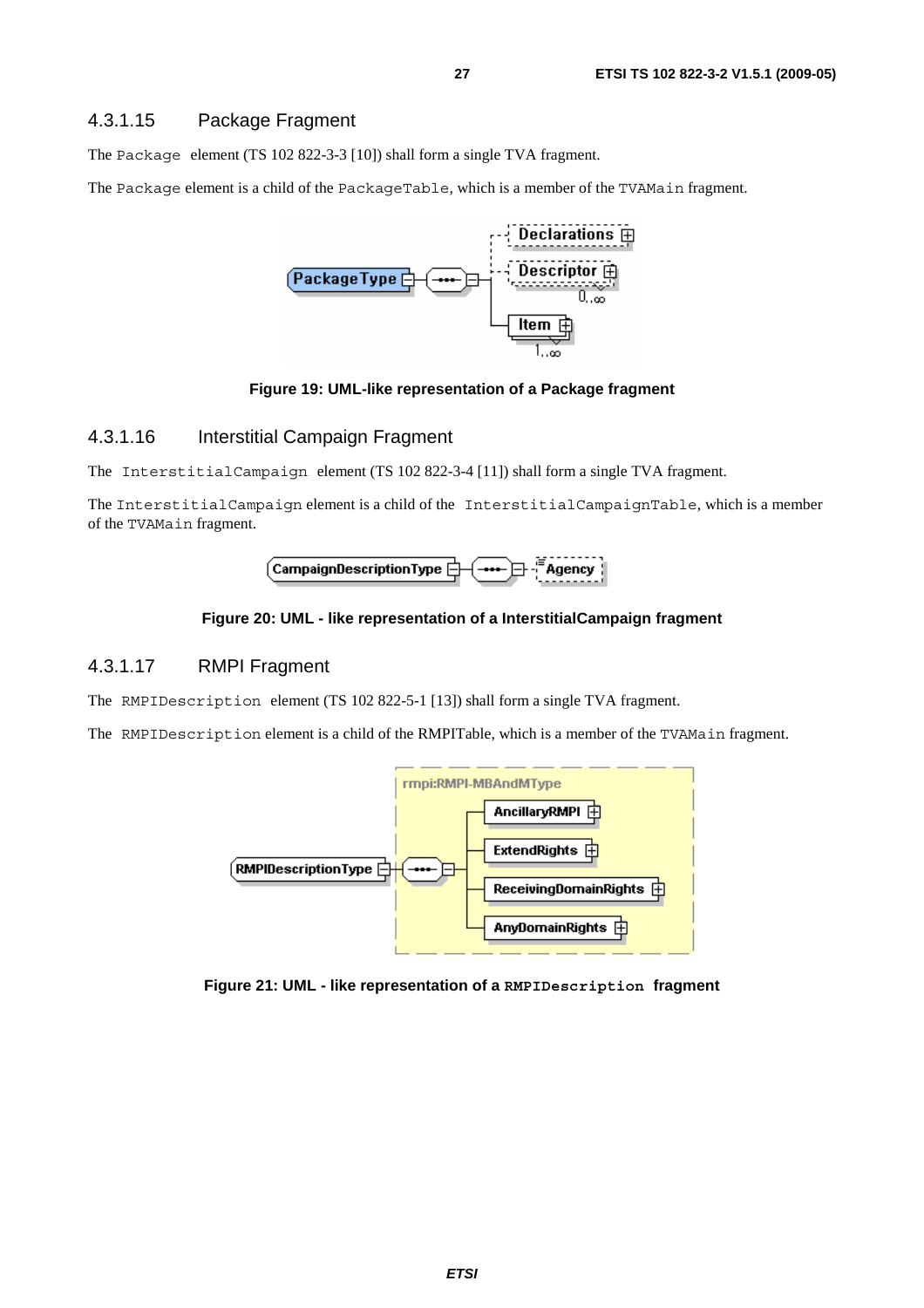#### 4.3.1.15 Package Fragment

The Package element (TS 102 822-3-3 [10]) shall form a single TVA fragment.

The Package element is a child of the PackageTable, which is a member of the TVAMain fragment.



#### **Figure 19: UML-like representation of a Package fragment**

#### 4.3.1.16 Interstitial Campaign Fragment

The InterstitialCampaign element (TS 102 822-3-4 [11]) shall form a single TVA fragment.

The InterstitialCampaign element is a child of the InterstitialCampaignTable, which is a member of the TVAMain fragment.



#### **Figure 20: UML - like representation of a InterstitialCampaign fragment**

#### 4.3.1.17 RMPI Fragment

The RMPIDescription element (TS 102 822-5-1 [13]) shall form a single TVA fragment.

The RMPIDescription element is a child of the RMPITable, which is a member of the TVAMain fragment.



**Figure 21: UML - like representation of a RMPIDescription fragment**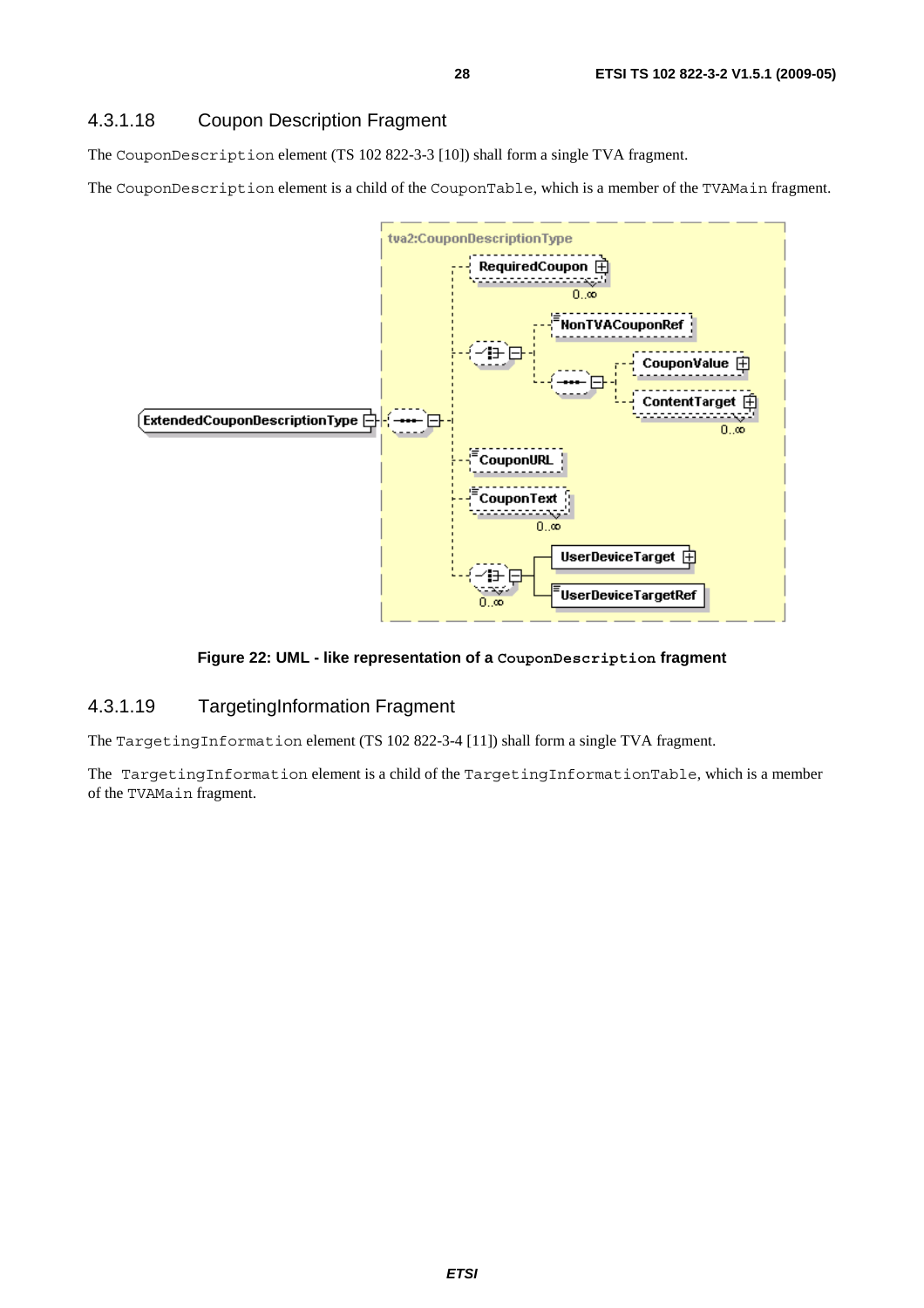### 4.3.1.18 Coupon Description Fragment

The CouponDescription element (TS 102 822-3-3 [10]) shall form a single TVA fragment.

The CouponDescription element is a child of the CouponTable, which is a member of the TVAMain fragment.



#### **Figure 22: UML - like representation of a CouponDescription fragment**

### 4.3.1.19 TargetingInformation Fragment

The TargetingInformation element (TS 102 822-3-4 [11]) shall form a single TVA fragment.

The TargetingInformation element is a child of the TargetingInformationTable, which is a member of the TVAMain fragment.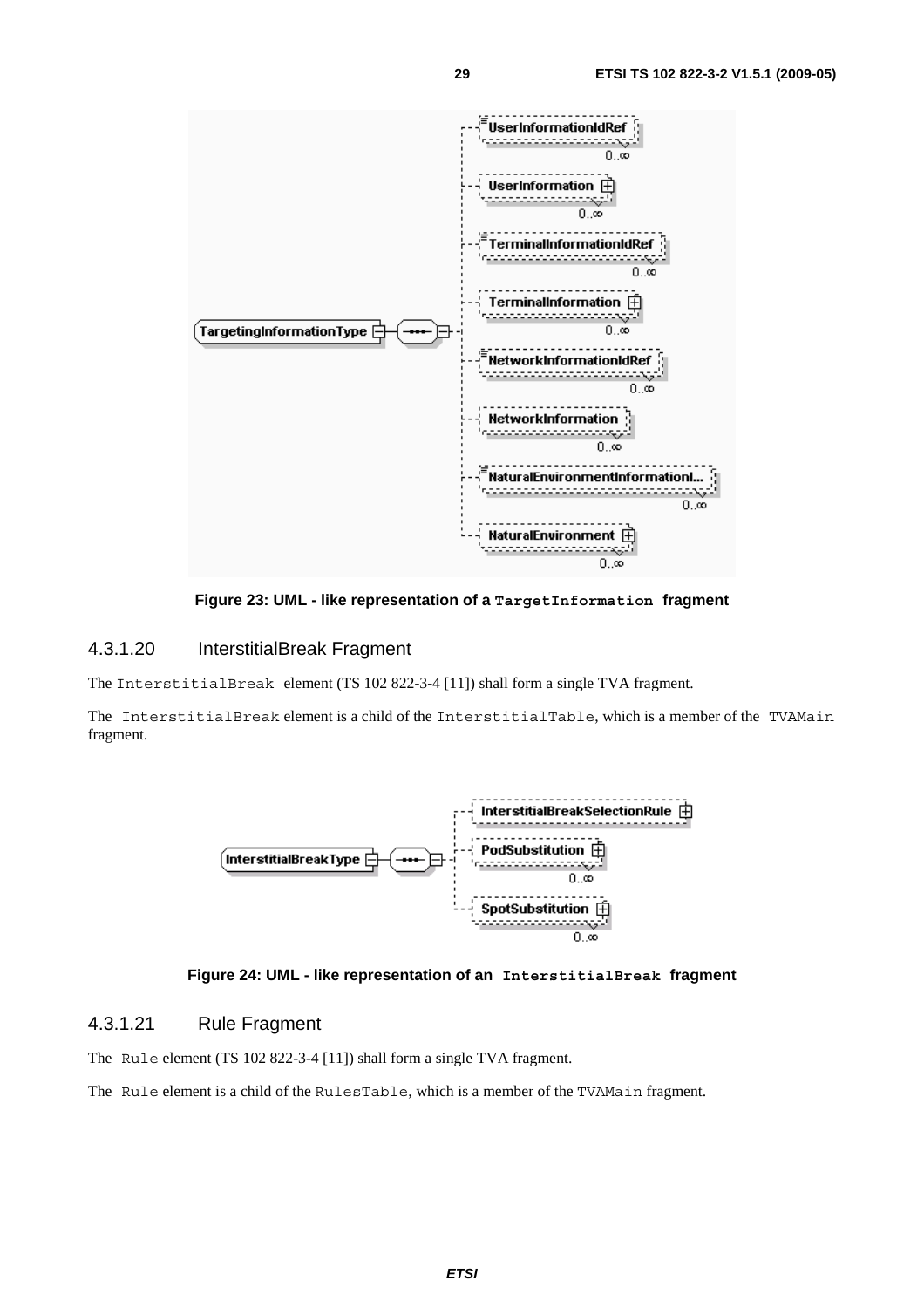

**Figure 23: UML - like representation of a TargetInformation fragment** 

#### 4.3.1.20 InterstitialBreak Fragment

The InterstitialBreak element (TS 102 822-3-4 [11]) shall form a single TVA fragment.

The InterstitialBreak element is a child of the InterstitialTable, which is a member of the TVAMain fragment.





#### 4.3.1.21 Rule Fragment

The Rule element (TS 102 822-3-4 [11]) shall form a single TVA fragment.

The Rule element is a child of the RulesTable, which is a member of the TVAMain fragment.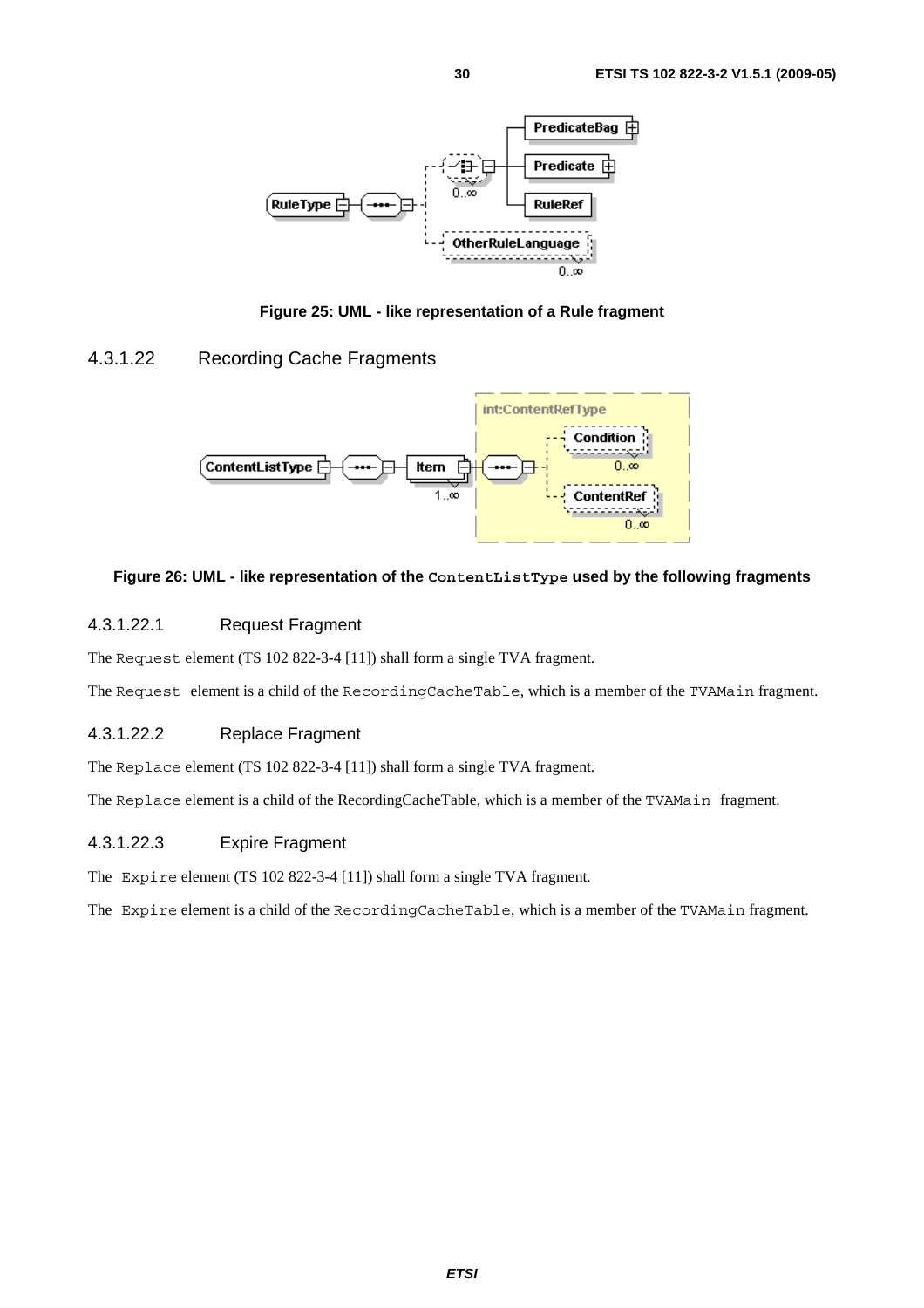

**Figure 25: UML - like representation of a Rule fragment** 

### 4.3.1.22 Recording Cache Fragments



#### **Figure 26: UML - like representation of the ContentListType used by the following fragments**

#### 4.3.1.22.1 Request Fragment

The Request element (TS 102 822-3-4 [11]) shall form a single TVA fragment.

The Request element is a child of the RecordingCacheTable, which is a member of the TVAMain fragment.

#### 4.3.1.22.2 Replace Fragment

The Replace element (TS 102 822-3-4 [11]) shall form a single TVA fragment.

The Replace element is a child of the RecordingCacheTable, which is a member of the TVAMain fragment.

#### 4.3.1.22.3 Expire Fragment

The Expire element (TS 102 822-3-4 [11]) shall form a single TVA fragment.

The Expire element is a child of the RecordingCacheTable, which is a member of the TVAMain fragment.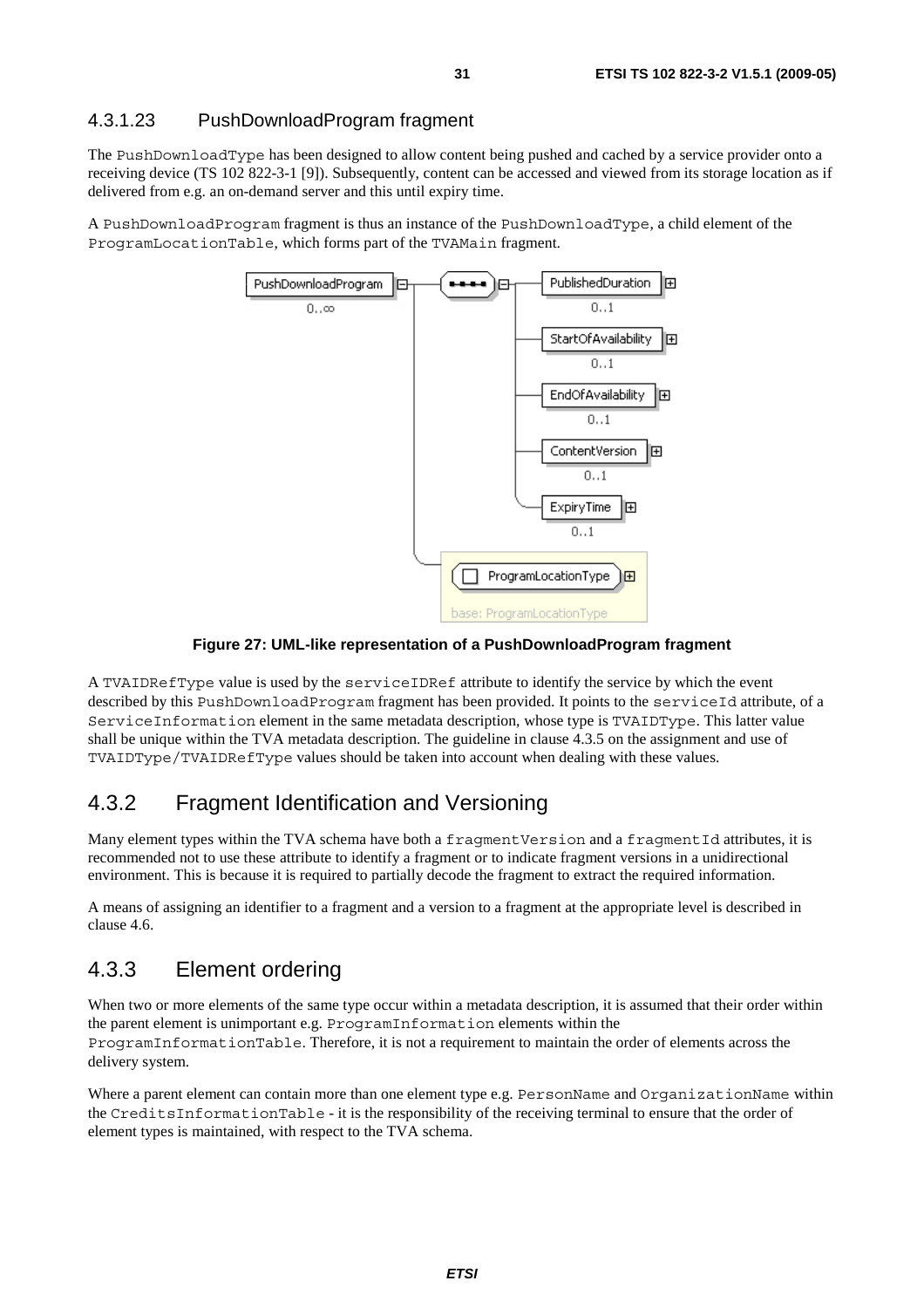### 4.3.1.23 PushDownloadProgram fragment

The PushDownloadType has been designed to allow content being pushed and cached by a service provider onto a receiving device (TS 102 822-3-1 [9]). Subsequently, content can be accessed and viewed from its storage location as if delivered from e.g. an on-demand server and this until expiry time.

A PushDownloadProgram fragment is thus an instance of the PushDownloadType, a child element of the ProgramLocationTable, which forms part of the TVAMain fragment.



**Figure 27: UML-like representation of a PushDownloadProgram fragment** 

A TVAIDRefType value is used by the serviceIDRef attribute to identify the service by which the event described by this PushDownloadProgram fragment has been provided. It points to the serviceId attribute, of a ServiceInformation element in the same metadata description, whose type is TVAIDType. This latter value shall be unique within the TVA metadata description. The guideline in clause 4.3.5 on the assignment and use of TVAIDType/TVAIDRefType values should be taken into account when dealing with these values.

# 4.3.2 Fragment Identification and Versioning

Many element types within the TVA schema have both a fragmentVersion and a fragmentId attributes, it is recommended not to use these attribute to identify a fragment or to indicate fragment versions in a unidirectional environment. This is because it is required to partially decode the fragment to extract the required information.

A means of assigning an identifier to a fragment and a version to a fragment at the appropriate level is described in clause 4.6.

# 4.3.3 Element ordering

When two or more elements of the same type occur within a metadata description, it is assumed that their order within the parent element is unimportant e.g. ProgramInformation elements within the ProgramInformationTable. Therefore, it is not a requirement to maintain the order of elements across the delivery system.

Where a parent element can contain more than one element type e.g. PersonName and OrganizationName within the CreditsInformationTable - it is the responsibility of the receiving terminal to ensure that the order of element types is maintained, with respect to the TVA schema.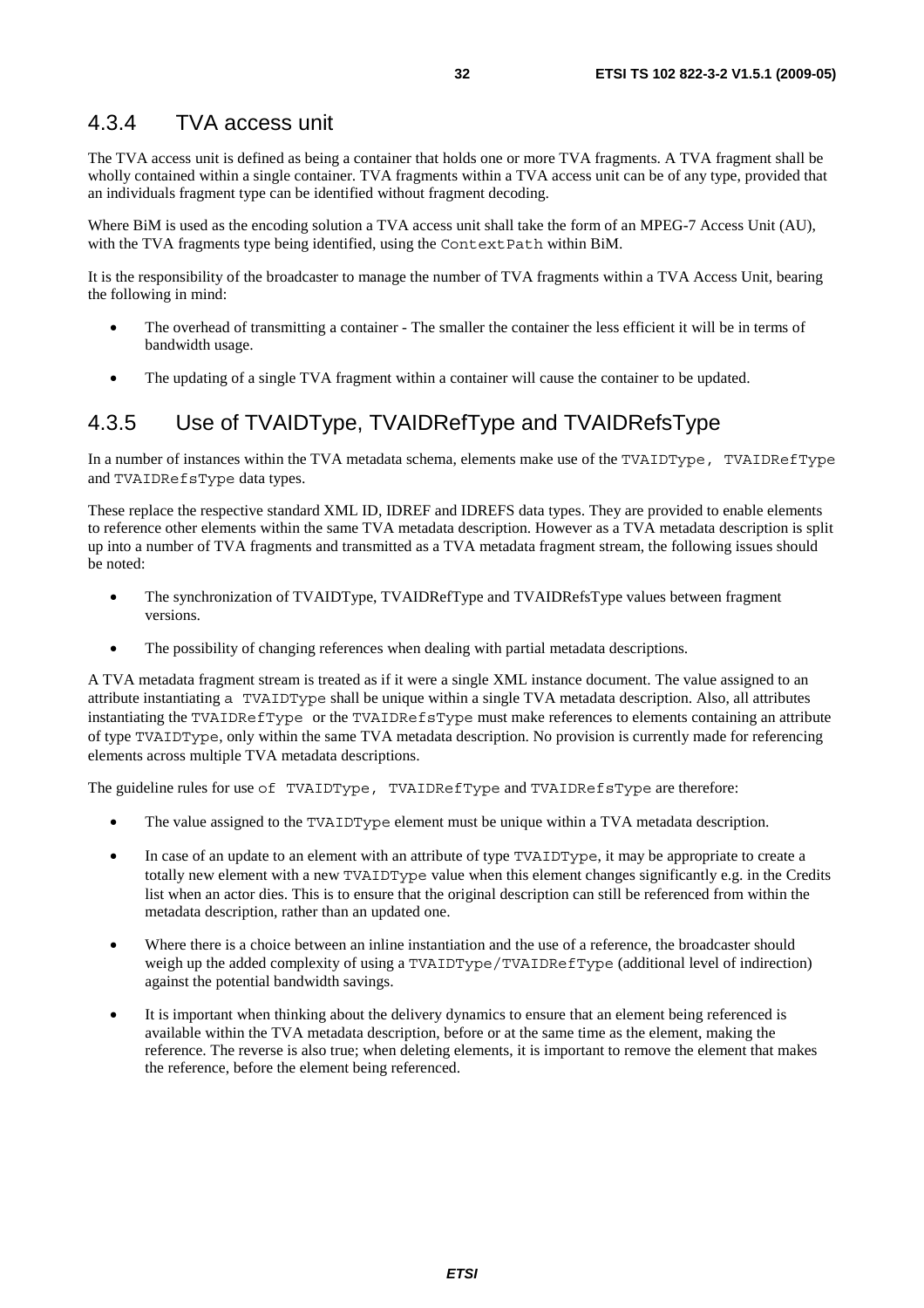The TVA access unit is defined as being a container that holds one or more TVA fragments. A TVA fragment shall be wholly contained within a single container. TVA fragments within a TVA access unit can be of any type, provided that an individuals fragment type can be identified without fragment decoding.

Where BiM is used as the encoding solution a TVA access unit shall take the form of an MPEG-7 Access Unit (AU), with the TVA fragments type being identified, using the ContextPath within BiM.

It is the responsibility of the broadcaster to manage the number of TVA fragments within a TVA Access Unit, bearing the following in mind:

- The overhead of transmitting a container The smaller the container the less efficient it will be in terms of bandwidth usage.
- The updating of a single TVA fragment within a container will cause the container to be updated.

# 4.3.5 Use of TVAIDType, TVAIDRefType and TVAIDRefsType

In a number of instances within the TVA metadata schema, elements make use of the TVAIDType, TVAIDRefType and TVAIDRefsType data types.

These replace the respective standard XML ID, IDREF and IDREFS data types. They are provided to enable elements to reference other elements within the same TVA metadata description. However as a TVA metadata description is split up into a number of TVA fragments and transmitted as a TVA metadata fragment stream, the following issues should be noted:

- The synchronization of TVAIDType, TVAIDRefType and TVAIDRefsType values between fragment versions.
- The possibility of changing references when dealing with partial metadata descriptions.

A TVA metadata fragment stream is treated as if it were a single XML instance document. The value assigned to an attribute instantiating a TVAIDType shall be unique within a single TVA metadata description. Also, all attributes instantiating the TVAIDRefType or the TVAIDRefsType must make references to elements containing an attribute of type TVAIDType, only within the same TVA metadata description. No provision is currently made for referencing elements across multiple TVA metadata descriptions.

The guideline rules for use of TVAIDType, TVAIDRefType and TVAIDRefsType are therefore:

- The value assigned to the TVAIDType element must be unique within a TVA metadata description.
- In case of an update to an element with an attribute of type TVAIDType, it may be appropriate to create a totally new element with a new TVAIDType value when this element changes significantly e.g. in the Credits list when an actor dies. This is to ensure that the original description can still be referenced from within the metadata description, rather than an updated one.
- Where there is a choice between an inline instantiation and the use of a reference, the broadcaster should weigh up the added complexity of using a TVAIDType/TVAIDRefType (additional level of indirection) against the potential bandwidth savings.
- It is important when thinking about the delivery dynamics to ensure that an element being referenced is available within the TVA metadata description, before or at the same time as the element, making the reference. The reverse is also true; when deleting elements, it is important to remove the element that makes the reference, before the element being referenced.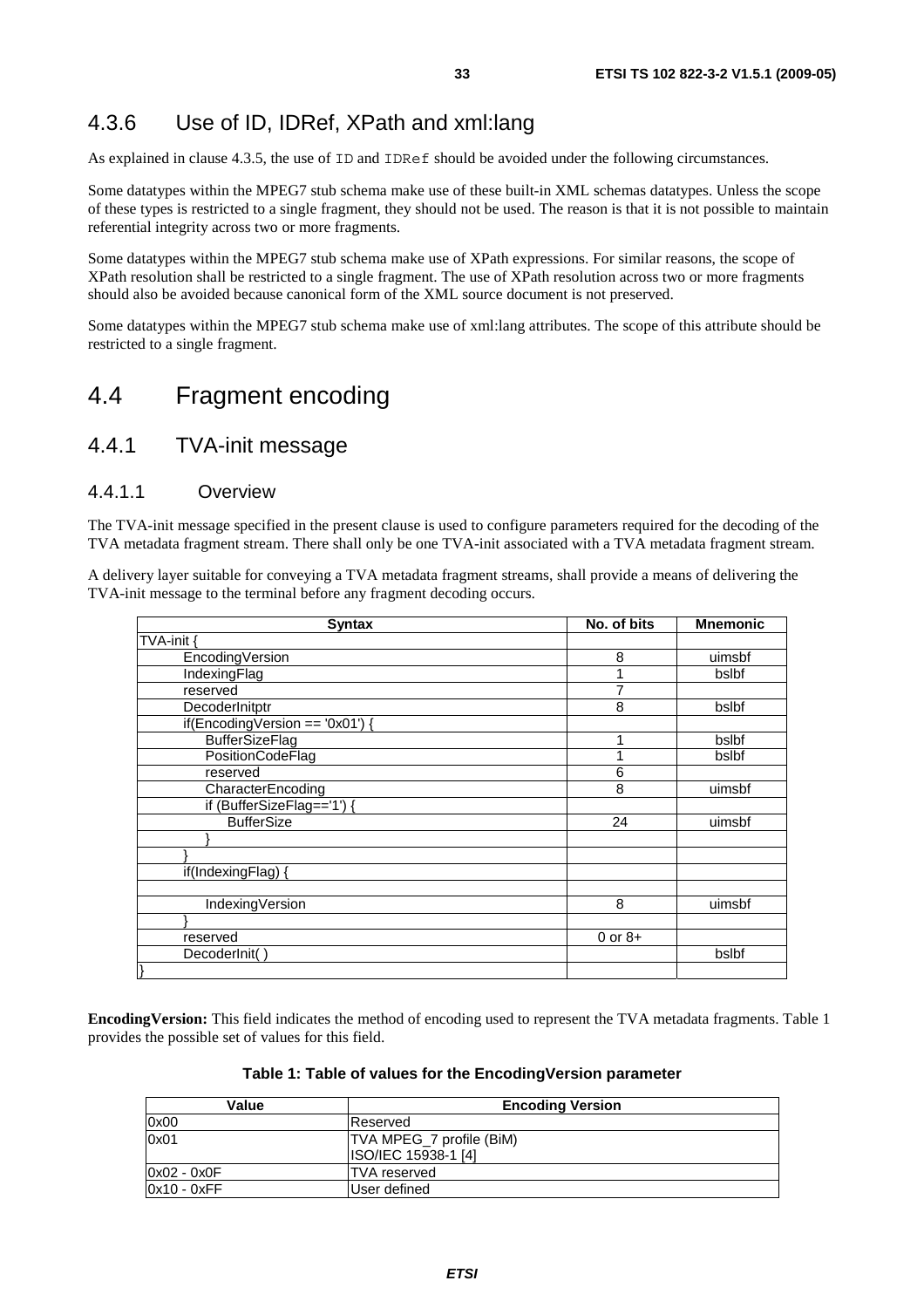# 4.3.6 Use of ID, IDRef, XPath and xml:lang

As explained in clause 4.3.5, the use of ID and IDRef should be avoided under the following circumstances.

Some datatypes within the MPEG7 stub schema make use of these built-in XML schemas datatypes. Unless the scope of these types is restricted to a single fragment, they should not be used. The reason is that it is not possible to maintain referential integrity across two or more fragments.

Some datatypes within the MPEG7 stub schema make use of XPath expressions. For similar reasons, the scope of XPath resolution shall be restricted to a single fragment. The use of XPath resolution across two or more fragments should also be avoided because canonical form of the XML source document is not preserved.

Some datatypes within the MPEG7 stub schema make use of xml:lang attributes. The scope of this attribute should be restricted to a single fragment.

# 4.4 Fragment encoding

### 4.4.1 TVA-init message

#### 4.4.1.1 Overview

The TVA-init message specified in the present clause is used to configure parameters required for the decoding of the TVA metadata fragment stream. There shall only be one TVA-init associated with a TVA metadata fragment stream.

A delivery layer suitable for conveying a TVA metadata fragment streams, shall provide a means of delivering the TVA-init message to the terminal before any fragment decoding occurs.

| <b>Syntax</b>                   | No. of bits | <b>Mnemonic</b> |
|---------------------------------|-------------|-----------------|
| TVA-init                        |             |                 |
| EncodingVersion                 | 8           | uimsbf          |
| IndexingFlag                    |             | bslbf           |
| reserved                        |             |                 |
| DecoderInitptr                  | 8           | bslbf           |
| if(EncodingVersion == '0x01') { |             |                 |
| <b>BufferSizeFlag</b>           |             | bslbf           |
| PositionCodeFlag                |             | bslbf           |
| reserved                        | 6           |                 |
| CharacterEncoding               | 8           | uimsbf          |
| if (BufferSizeFlag=='1') {      |             |                 |
| <b>BufferSize</b>               | 24          | uimsbf          |
|                                 |             |                 |
|                                 |             |                 |
| if(IndexingFlag)                |             |                 |
|                                 |             |                 |
| IndexingVersion                 | 8           | uimsbf          |
|                                 |             |                 |
| reserved                        | $0$ or $8+$ |                 |
| DecoderInit()                   |             | bslbf           |
| }                               |             |                 |

**EncodingVersion:** This field indicates the method of encoding used to represent the TVA metadata fragments. Table 1 provides the possible set of values for this field.

#### **Table 1: Table of values for the EncodingVersion parameter**

| Value         | <b>Encoding Version</b>                                |  |
|---------------|--------------------------------------------------------|--|
| 0x00          | <b>IReserved</b>                                       |  |
| 0x01          | TVA MPEG_7 profile (BiM)<br><b>ISO/IEC 15938-1 [4]</b> |  |
| 0x02 - 0x0F   | <b>TVA</b> reserved                                    |  |
| $0x10 - 0xFF$ | User defined                                           |  |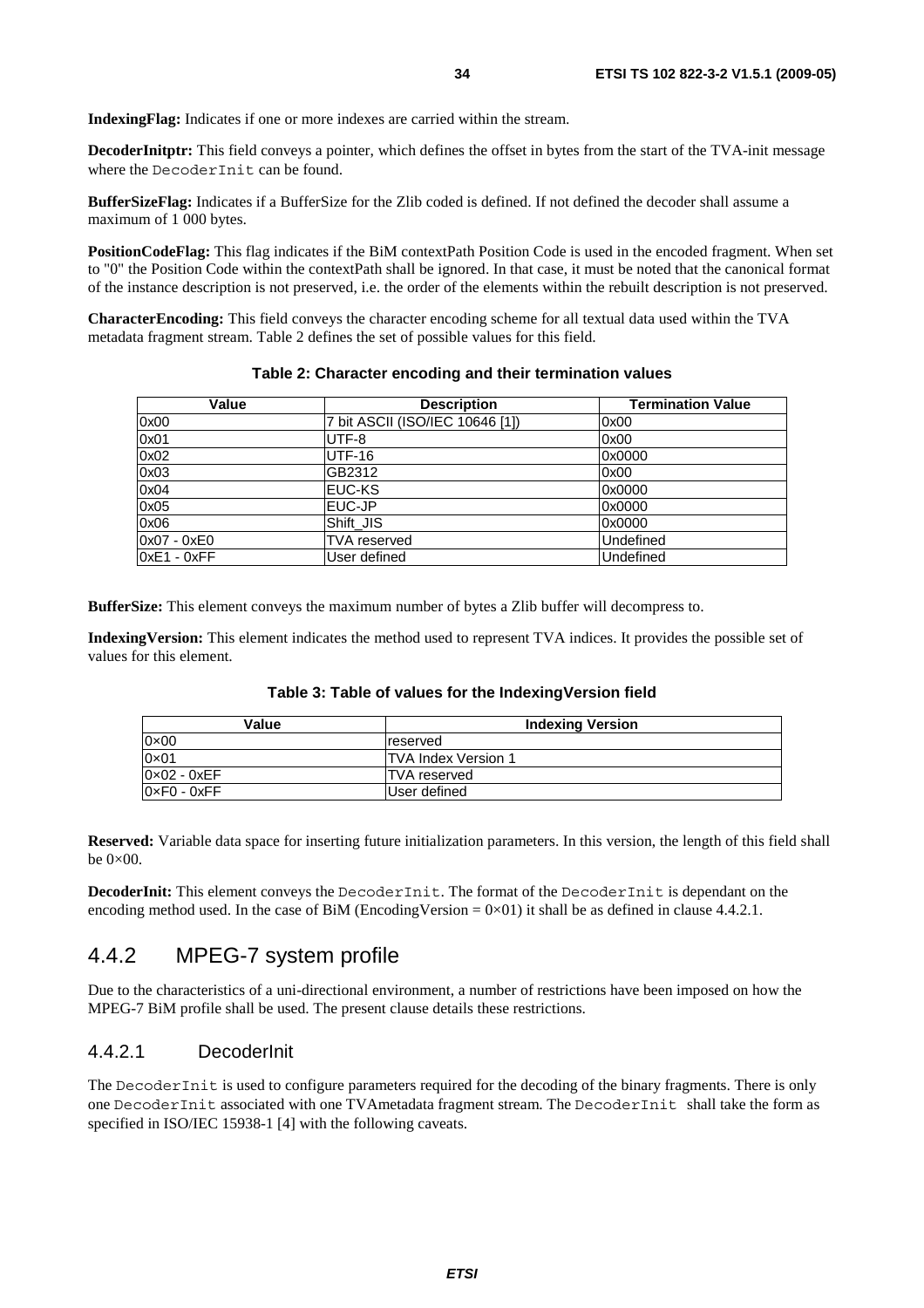**IndexingFlag:** Indicates if one or more indexes are carried within the stream.

**DecoderInitptr:** This field conveys a pointer, which defines the offset in bytes from the start of the TVA-init message where the DecoderInit can be found.

**BufferSizeFlag:** Indicates if a BufferSize for the Zlib coded is defined. If not defined the decoder shall assume a maximum of 1 000 bytes.

**PositionCodeFlag:** This flag indicates if the BiM contextPath Position Code is used in the encoded fragment. When set to "0" the Position Code within the contextPath shall be ignored. In that case, it must be noted that the canonical format of the instance description is not preserved, i.e. the order of the elements within the rebuilt description is not preserved.

**CharacterEncoding:** This field conveys the character encoding scheme for all textual data used within the TVA metadata fragment stream. Table 2 defines the set of possible values for this field.

| Value         | <b>Description</b>              | <b>Termination Value</b> |
|---------------|---------------------------------|--------------------------|
| 0x00          | 7 bit ASCII (ISO/IEC 10646 [1]) | 0x00                     |
| 0x01          | UTF-8                           | 0x00                     |
| 0x02          | UTF-16                          | 0x0000                   |
| 0x03          | GB2312                          | 0x00                     |
| 0x04          | <b>EUC-KS</b>                   | 0x0000                   |
| 0x05          | EUC-JP                          | 0x0000                   |
| 0x06          | Shift JIS                       | 0x0000                   |
| $0x07 - 0xE0$ | <b>TVA</b> reserved             | Undefined                |
| $0xE1 - 0xFF$ | User defined                    | Undefined                |

#### **Table 2: Character encoding and their termination values**

**BufferSize:** This element conveys the maximum number of bytes a Zlib buffer will decompress to.

**IndexingVersion:** This element indicates the method used to represent TVA indices. It provides the possible set of values for this element.

| Value                         | <b>Indexing Version</b>     |
|-------------------------------|-----------------------------|
| 0×00                          | reserved                    |
| 0×01                          | <b>ITVA Index Version 1</b> |
| 0×02 - 0xEF                   | <b>ITVA</b> reserved        |
| $0 \times F0$ - $0 \times FF$ | User defined                |

**Table 3: Table of values for the IndexingVersion field** 

**Reserved:** Variable data space for inserting future initialization parameters. In this version, the length of this field shall be  $0\times 00$ .

**DecoderInit:** This element conveys the DecoderInit. The format of the DecoderInit is dependant on the encoding method used. In the case of BiM (EncodingVersion =  $0 \times 01$ ) it shall be as defined in clause 4.4.2.1.

### 4.4.2 MPEG-7 system profile

Due to the characteristics of a uni-directional environment, a number of restrictions have been imposed on how the MPEG-7 BiM profile shall be used. The present clause details these restrictions.

#### 4.4.2.1 DecoderInit

The DecoderInit is used to configure parameters required for the decoding of the binary fragments. There is only one DecoderInit associated with one TVAmetadata fragment stream. The DecoderInit shall take the form as specified in ISO/IEC 15938-1 [4] with the following caveats.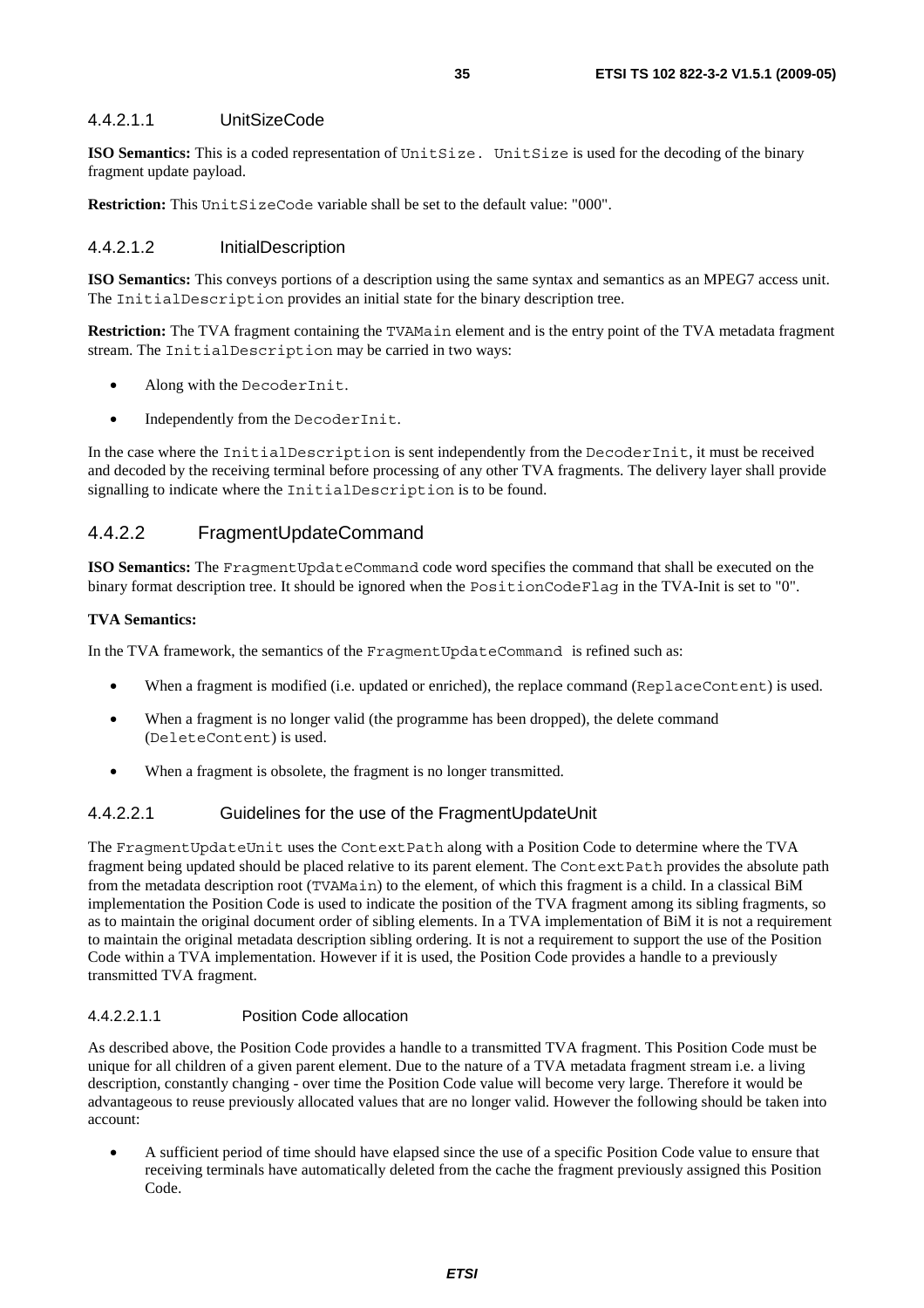#### 4.4.2.1.1 UnitSizeCode

**ISO Semantics:** This is a coded representation of UnitSize. UnitSize is used for the decoding of the binary fragment update payload.

**Restriction:** This UnitSizeCode variable shall be set to the default value: "000".

#### 4.4.2.1.2 InitialDescription

**ISO Semantics:** This conveys portions of a description using the same syntax and semantics as an MPEG7 access unit. The InitialDescription provides an initial state for the binary description tree.

**Restriction:** The TVA fragment containing the TVAMain element and is the entry point of the TVA metadata fragment stream. The InitialDescription may be carried in two ways:

- Along with the DecoderInit.
- Independently from the DecoderInit.

In the case where the InitialDescription is sent independently from the DecoderInit, it must be received and decoded by the receiving terminal before processing of any other TVA fragments. The delivery layer shall provide signalling to indicate where the InitialDescription is to be found.

### 4.4.2.2 FragmentUpdateCommand

**ISO Semantics:** The FragmentUpdateCommand code word specifies the command that shall be executed on the binary format description tree. It should be ignored when the PositionCodeFlag in the TVA-Init is set to "0".

#### **TVA Semantics:**

In the TVA framework, the semantics of the FragmentUpdateCommand is refined such as:

- When a fragment is modified (i.e. updated or enriched), the replace command (ReplaceContent) is used.
- When a fragment is no longer valid (the programme has been dropped), the delete command (DeleteContent) is used.
- When a fragment is obsolete, the fragment is no longer transmitted.

#### 4.4.2.2.1 Guidelines for the use of the FragmentUpdateUnit

The FragmentUpdateUnit uses the ContextPath along with a Position Code to determine where the TVA fragment being updated should be placed relative to its parent element. The ContextPath provides the absolute path from the metadata description root (TVAMain) to the element, of which this fragment is a child. In a classical BiM implementation the Position Code is used to indicate the position of the TVA fragment among its sibling fragments, so as to maintain the original document order of sibling elements. In a TVA implementation of BiM it is not a requirement to maintain the original metadata description sibling ordering. It is not a requirement to support the use of the Position Code within a TVA implementation. However if it is used, the Position Code provides a handle to a previously transmitted TVA fragment.

#### 4.4.2.2.1.1 Position Code allocation

As described above, the Position Code provides a handle to a transmitted TVA fragment. This Position Code must be unique for all children of a given parent element. Due to the nature of a TVA metadata fragment stream i.e. a living description, constantly changing - over time the Position Code value will become very large. Therefore it would be advantageous to reuse previously allocated values that are no longer valid. However the following should be taken into account:

• A sufficient period of time should have elapsed since the use of a specific Position Code value to ensure that receiving terminals have automatically deleted from the cache the fragment previously assigned this Position Code.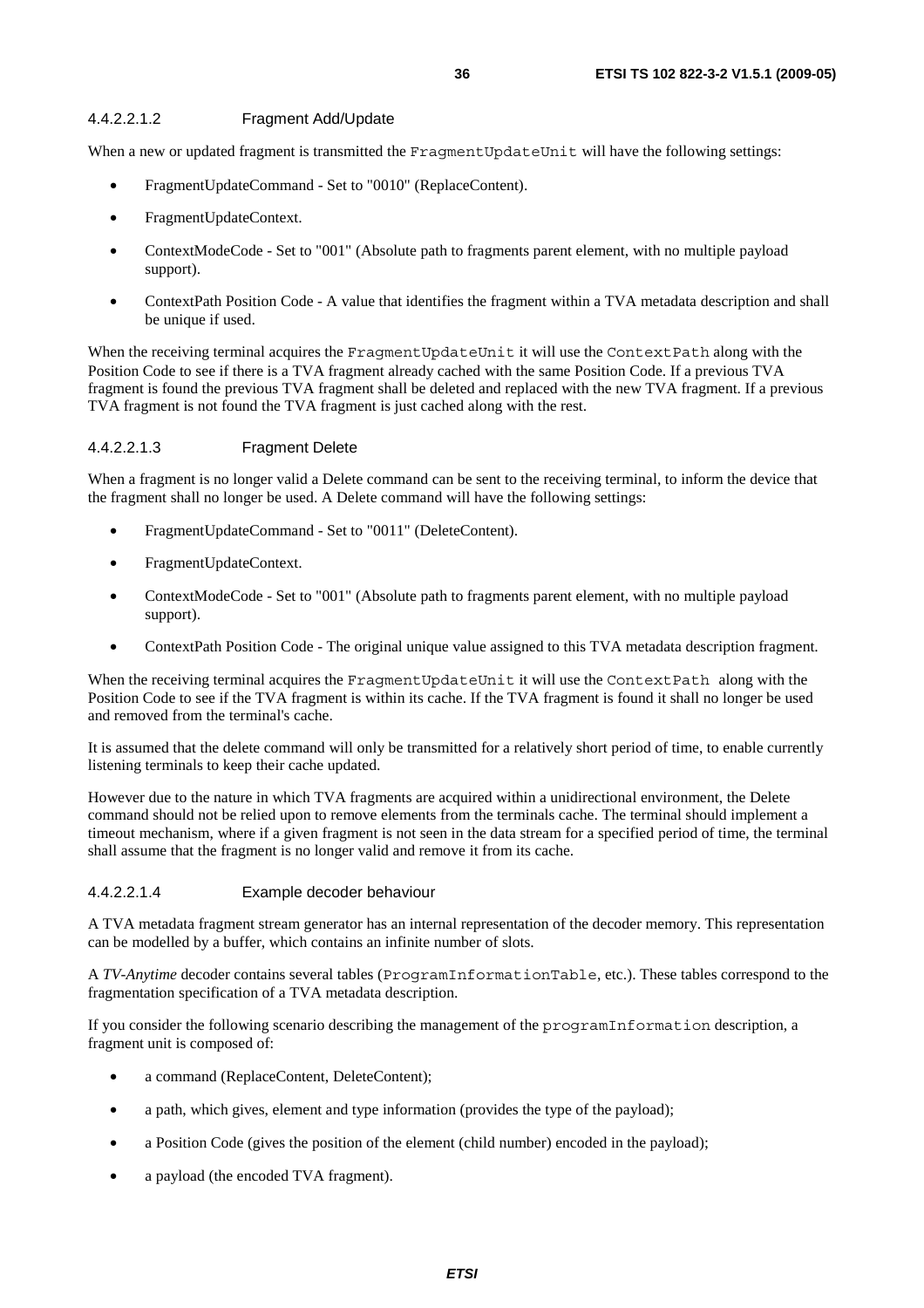### 4.4.2.2.1.2 Fragment Add/Update

When a new or updated fragment is transmitted the FragmentUpdateUnit will have the following settings:

- FragmentUpdateCommand Set to "0010" (ReplaceContent).
- FragmentUpdateContext.
- ContextModeCode Set to "001" (Absolute path to fragments parent element, with no multiple payload support).
- ContextPath Position Code A value that identifies the fragment within a TVA metadata description and shall be unique if used.

When the receiving terminal acquires the FragmentUpdateUnit it will use the ContextPath along with the Position Code to see if there is a TVA fragment already cached with the same Position Code. If a previous TVA fragment is found the previous TVA fragment shall be deleted and replaced with the new TVA fragment. If a previous TVA fragment is not found the TVA fragment is just cached along with the rest.

### 4.4.2.2.1.3 Fragment Delete

When a fragment is no longer valid a Delete command can be sent to the receiving terminal, to inform the device that the fragment shall no longer be used. A Delete command will have the following settings:

- FragmentUpdateCommand Set to "0011" (DeleteContent).
- FragmentUpdateContext.
- ContextModeCode Set to "001" (Absolute path to fragments parent element, with no multiple payload support).
- ContextPath Position Code The original unique value assigned to this TVA metadata description fragment.

When the receiving terminal acquires the FragmentUpdateUnit it will use the ContextPath along with the Position Code to see if the TVA fragment is within its cache. If the TVA fragment is found it shall no longer be used and removed from the terminal's cache.

It is assumed that the delete command will only be transmitted for a relatively short period of time, to enable currently listening terminals to keep their cache updated.

However due to the nature in which TVA fragments are acquired within a unidirectional environment, the Delete command should not be relied upon to remove elements from the terminals cache. The terminal should implement a timeout mechanism, where if a given fragment is not seen in the data stream for a specified period of time, the terminal shall assume that the fragment is no longer valid and remove it from its cache.

# 4.4.2.2.1.4 Example decoder behaviour

A TVA metadata fragment stream generator has an internal representation of the decoder memory. This representation can be modelled by a buffer, which contains an infinite number of slots.

A *TV-Anytime* decoder contains several tables (ProgramInformationTable, etc.). These tables correspond to the fragmentation specification of a TVA metadata description.

If you consider the following scenario describing the management of the programInformation description, a fragment unit is composed of:

- a command (ReplaceContent, DeleteContent);
- a path, which gives, element and type information (provides the type of the payload);
- a Position Code (gives the position of the element (child number) encoded in the payload);
- a payload (the encoded TVA fragment).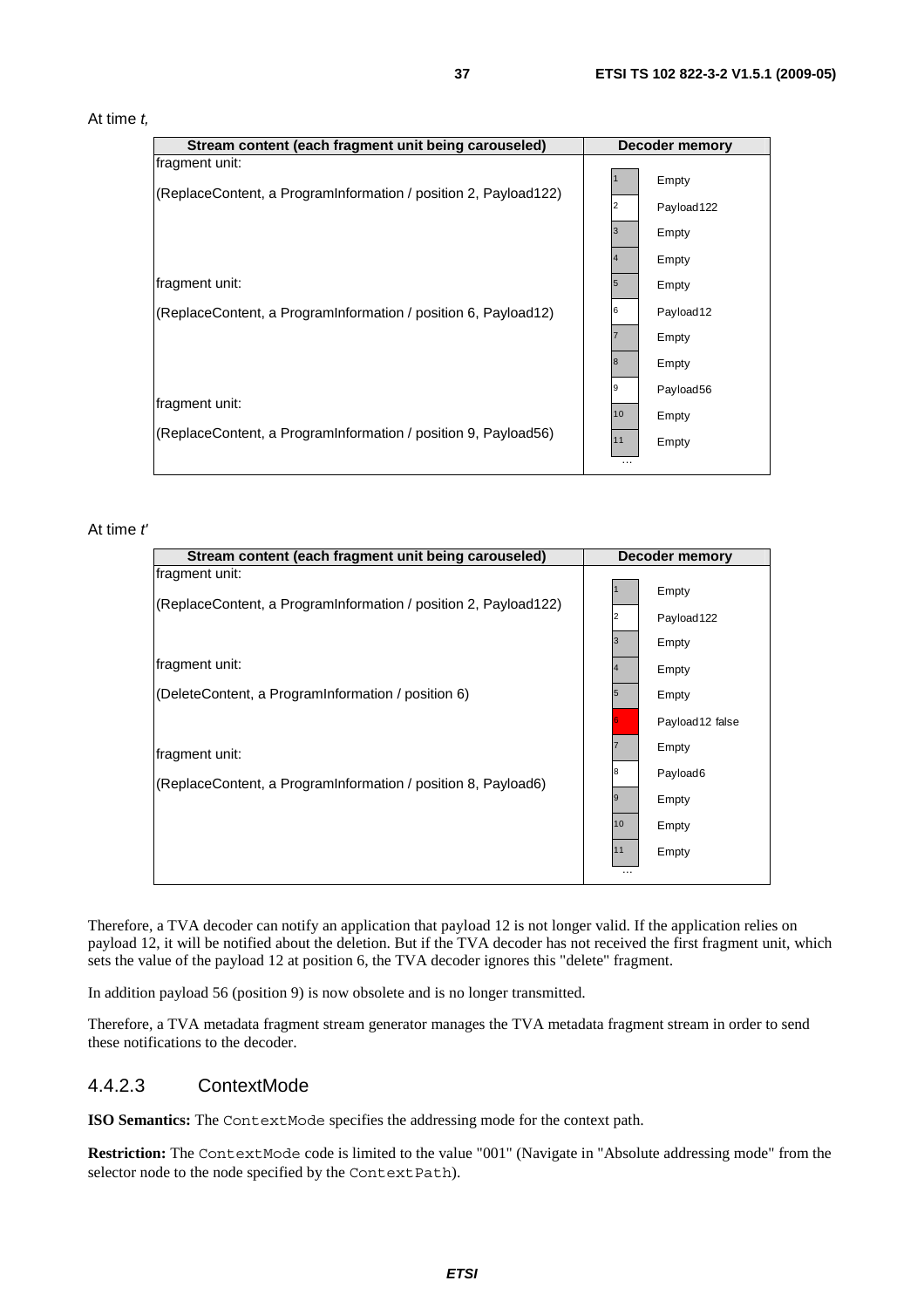#### At time *t,*

| Stream content (each fragment unit being carouseled)            |    | <b>Decoder memory</b> |
|-----------------------------------------------------------------|----|-----------------------|
| fragment unit:                                                  |    |                       |
| (ReplaceContent, a ProgramInformation / position 2, Payload122) |    | Empty                 |
|                                                                 | 2  | Payload 122           |
|                                                                 | 13 | Empty                 |
|                                                                 |    | Empty                 |
| fragment unit:                                                  | 5  | Empty                 |
| (ReplaceContent, a ProgramInformation / position 6, Payload12)  | 6  | Payload <sub>12</sub> |
|                                                                 |    | Empty                 |
|                                                                 | 8  | Empty                 |
| fragment unit:                                                  | 19 | Payload56             |
|                                                                 | 10 | Empty                 |
| (ReplaceContent, a ProgramInformation / position 9, Payload56)  | 11 | Empty                 |
|                                                                 | .  |                       |

### At time *t'*

| Stream content (each fragment unit being carouseled)            |                | Decoder memory  |
|-----------------------------------------------------------------|----------------|-----------------|
| fragment unit:                                                  |                | Empty           |
| (ReplaceContent, a ProgramInformation / position 2, Payload122) | $\overline{2}$ | Payload122      |
|                                                                 | 3              | Empty           |
| fragment unit:                                                  | $\overline{4}$ | Empty           |
| (DeleteContent, a ProgramInformation / position 6)              | $\sqrt{5}$     | Empty           |
|                                                                 |                | Payload12 false |
| fragment unit:                                                  |                | Empty           |
| (ReplaceContent, a ProgramInformation / position 8, Payload6)   | 8              | Payload6        |
|                                                                 | 19             | Empty           |
|                                                                 | 10             | Empty           |
|                                                                 | 11             | Empty           |
|                                                                 |                |                 |

Therefore, a TVA decoder can notify an application that payload 12 is not longer valid. If the application relies on payload 12, it will be notified about the deletion. But if the TVA decoder has not received the first fragment unit, which sets the value of the payload 12 at position 6, the TVA decoder ignores this "delete" fragment.

In addition payload 56 (position 9) is now obsolete and is no longer transmitted.

Therefore, a TVA metadata fragment stream generator manages the TVA metadata fragment stream in order to send these notifications to the decoder.

### 4.4.2.3 ContextMode

**ISO Semantics:** The ContextMode specifies the addressing mode for the context path.

Restriction: The ContextMode code is limited to the value "001" (Navigate in "Absolute addressing mode" from the selector node to the node specified by the ContextPath).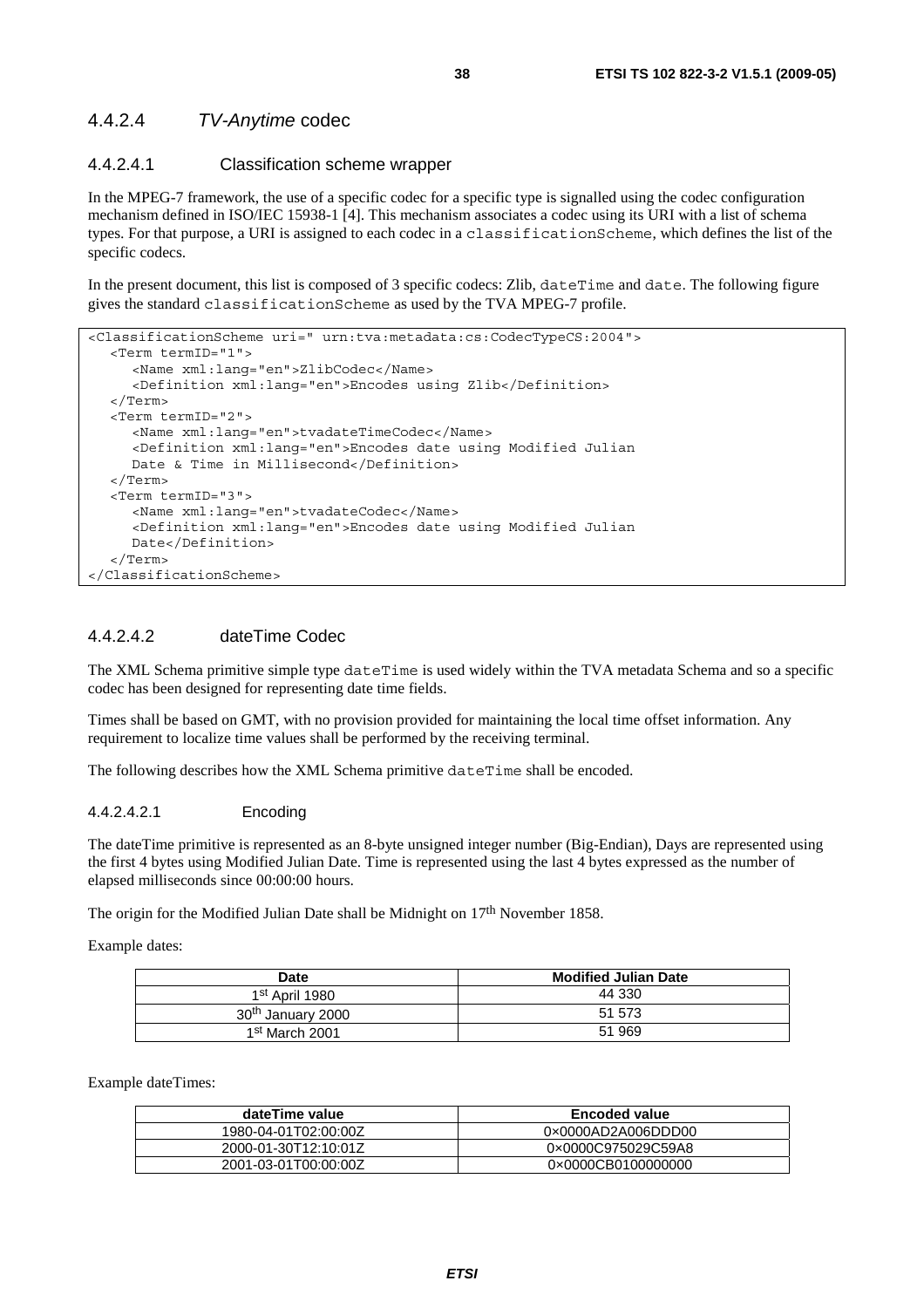### 4.4.2.4 *TV-Anytime* codec

### 4.4.2.4.1 Classification scheme wrapper

In the MPEG-7 framework, the use of a specific codec for a specific type is signalled using the codec configuration mechanism defined in ISO/IEC 15938-1 [4]. This mechanism associates a codec using its URI with a list of schema types. For that purpose, a URI is assigned to each codec in a classificationScheme, which defines the list of the specific codecs.

In the present document, this list is composed of 3 specific codecs: Zlib, dateTime and date. The following figure gives the standard classificationScheme as used by the TVA MPEG-7 profile.

```
<ClassificationScheme uri=" urn:tva:metadata:cs:CodecTypeCS:2004"> 
   <Term termID="1"> 
      <Name xml:lang="en">ZlibCodec</Name> 
      <Definition xml:lang="en">Encodes using Zlib</Definition> 
   </Term> 
   <Term termID="2"> 
      <Name xml:lang="en">tvadateTimeCodec</Name> 
      <Definition xml:lang="en">Encodes date using Modified Julian 
    Date & Time in Millisecond</Definition>
   </Term> 
   <Term termID="3"> 
      <Name xml:lang="en">tvadateCodec</Name> 
      <Definition xml:lang="en">Encodes date using Modified Julian 
      Date</Definition> 
   </Term> 
</ClassificationScheme>
```
### 4.4.2.4.2 dateTime Codec

The XML Schema primitive simple type dateTime is used widely within the TVA metadata Schema and so a specific codec has been designed for representing date time fields.

Times shall be based on GMT, with no provision provided for maintaining the local time offset information. Any requirement to localize time values shall be performed by the receiving terminal.

The following describes how the XML Schema primitive dateTime shall be encoded.

#### 4.4.2.4.2.1 Encoding

The dateTime primitive is represented as an 8-byte unsigned integer number (Big-Endian), Days are represented using the first 4 bytes using Modified Julian Date. Time is represented using the last 4 bytes expressed as the number of elapsed milliseconds since 00:00:00 hours.

The origin for the Modified Julian Date shall be Midnight on 17<sup>th</sup> November 1858.

Example dates:

| Date                          | <b>Modified Julian Date</b> |
|-------------------------------|-----------------------------|
| 1st April 1980                | 44 330                      |
| 30 <sup>th</sup> January 2000 | 51 573                      |
| 1 <sup>st</sup> March 2001    | 51 969                      |

Example dateTimes:

| dateTime value       | <b>Encoded value</b> |
|----------------------|----------------------|
| 1980-04-01T02:00:00Z | 0x0000AD2A006DDD00   |
| 2000-01-30T12:10:01Z | 0×0000C975029C59A8   |
| 2001-03-01T00:00:00Z | 0×0000CB0100000000   |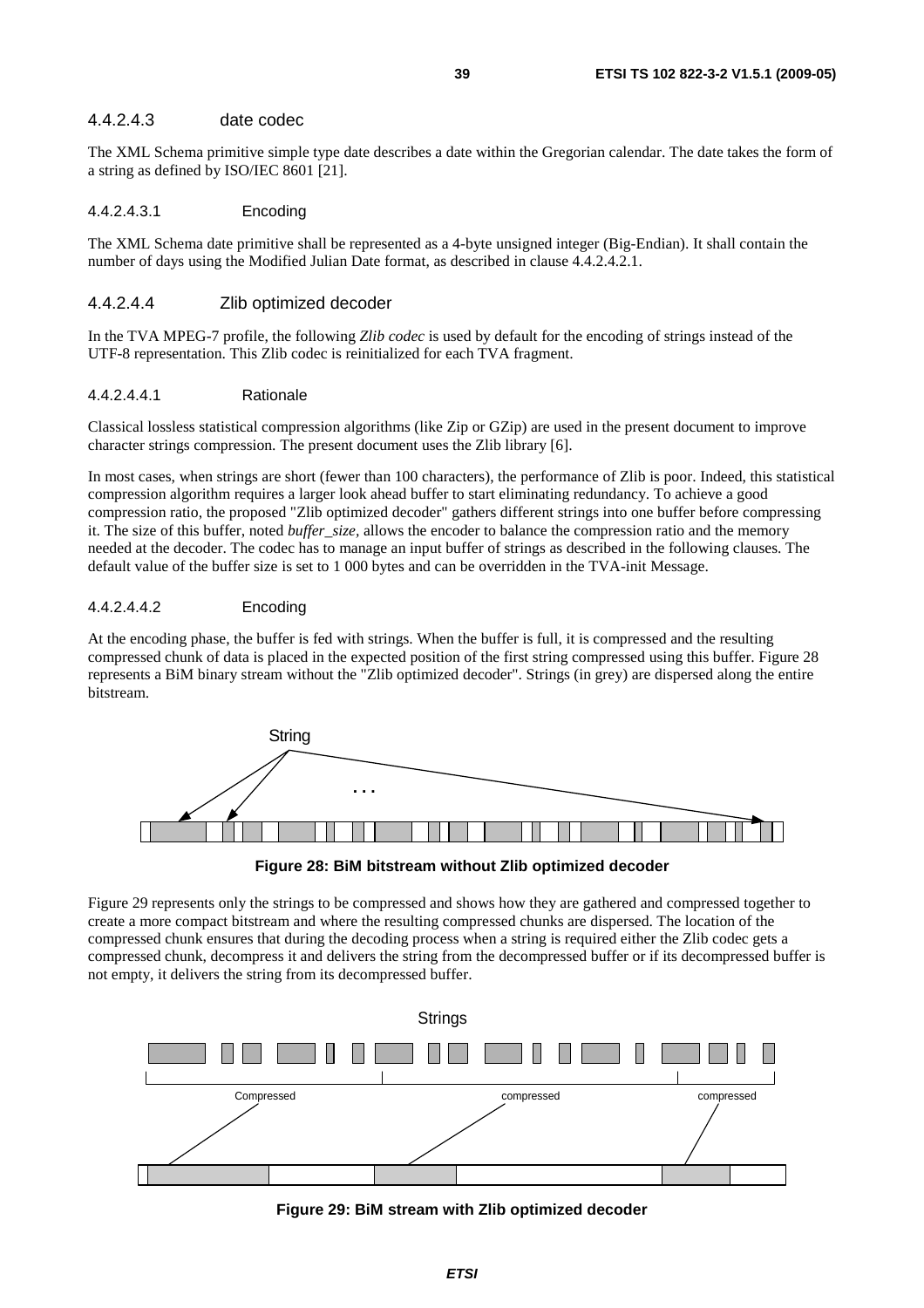### 4.4.2.4.3 date codec

The XML Schema primitive simple type date describes a date within the Gregorian calendar. The date takes the form of a string as defined by ISO/IEC 8601 [21].

#### 4.4.2.4.3.1 Encoding

The XML Schema date primitive shall be represented as a 4-byte unsigned integer (Big-Endian). It shall contain the number of days using the Modified Julian Date format, as described in clause 4.4.2.4.2.1.

#### 4.4.2.4.4 Zlib optimized decoder

In the TVA MPEG-7 profile, the following *Zlib codec* is used by default for the encoding of strings instead of the UTF-8 representation. This Zlib codec is reinitialized for each TVA fragment.

#### 4.4.2.4.4.1 Rationale

Classical lossless statistical compression algorithms (like Zip or GZip) are used in the present document to improve character strings compression. The present document uses the Zlib library [6].

In most cases, when strings are short (fewer than 100 characters), the performance of Zlib is poor. Indeed, this statistical compression algorithm requires a larger look ahead buffer to start eliminating redundancy. To achieve a good compression ratio, the proposed "Zlib optimized decoder" gathers different strings into one buffer before compressing it. The size of this buffer, noted *buffer*\_*size,* allows the encoder to balance the compression ratio and the memory needed at the decoder. The codec has to manage an input buffer of strings as described in the following clauses. The default value of the buffer size is set to 1 000 bytes and can be overridden in the TVA-init Message.

### 4.4.2.4.4.2 Encoding

At the encoding phase, the buffer is fed with strings. When the buffer is full, it is compressed and the resulting compressed chunk of data is placed in the expected position of the first string compressed using this buffer. Figure 28 represents a BiM binary stream without the "Zlib optimized decoder". Strings (in grey) are dispersed along the entire bitstream.



**Figure 28: BiM bitstream without Zlib optimized decoder** 

Figure 29 represents only the strings to be compressed and shows how they are gathered and compressed together to create a more compact bitstream and where the resulting compressed chunks are dispersed. The location of the compressed chunk ensures that during the decoding process when a string is required either the Zlib codec gets a compressed chunk, decompress it and delivers the string from the decompressed buffer or if its decompressed buffer is not empty, it delivers the string from its decompressed buffer.



**Figure 29: BiM stream with Zlib optimized decoder**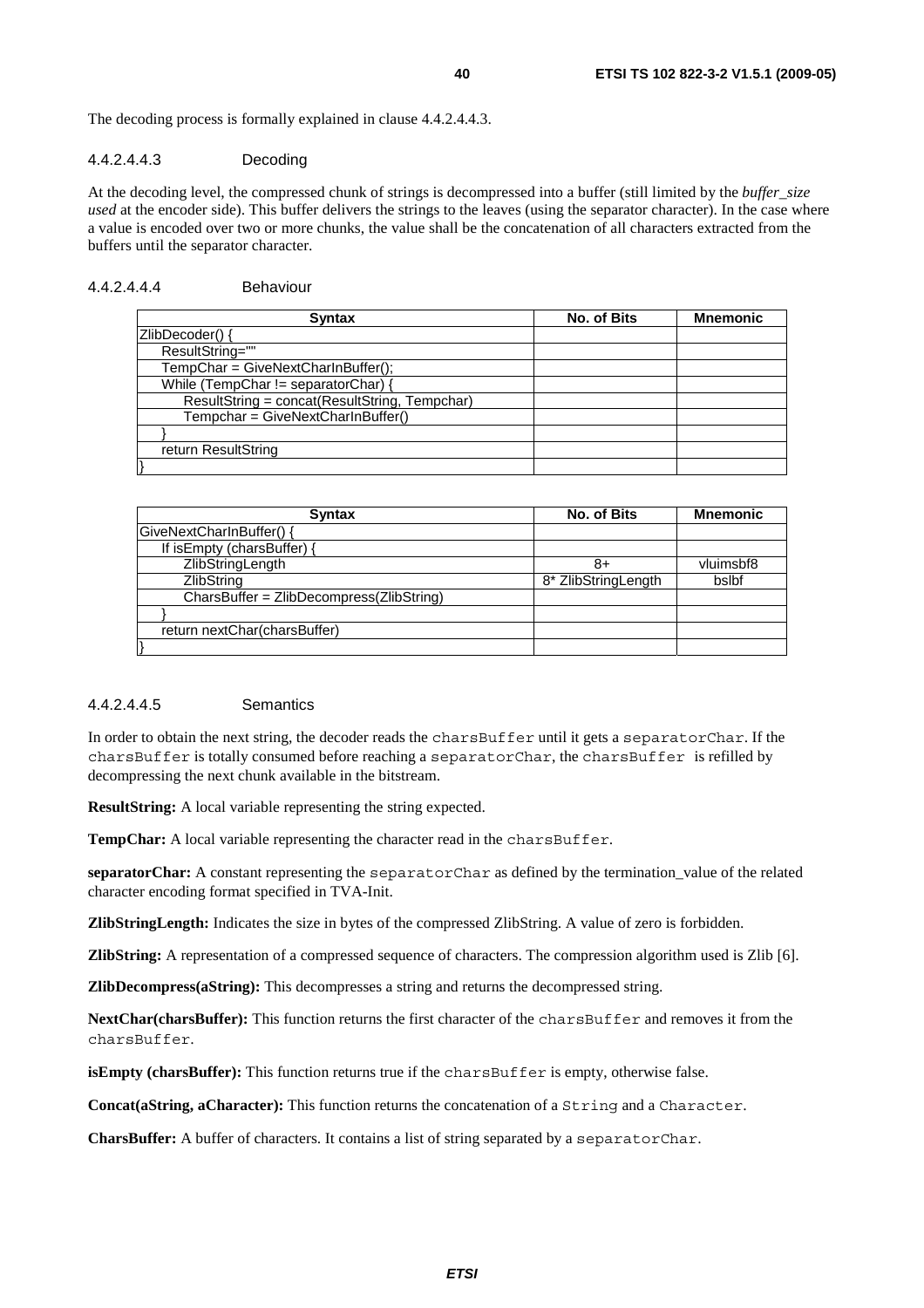The decoding process is formally explained in clause 4.4.2.4.4.3.

#### 4.4.2.4.4.3 Decoding

At the decoding level, the compressed chunk of strings is decompressed into a buffer (still limited by the *buffer*\_*size used* at the encoder side). This buffer delivers the strings to the leaves (using the separator character). In the case where a value is encoded over two or more chunks, the value shall be the concatenation of all characters extracted from the buffers until the separator character.

### 4.4.2.4.4.4 Behaviour

| <b>Syntax</b>                                 | No. of Bits | <b>Mnemonic</b> |
|-----------------------------------------------|-------------|-----------------|
| ZlibDecoder() {                               |             |                 |
| ResultString=""                               |             |                 |
| TempChar = GiveNextCharInBuffer();            |             |                 |
| While (TempChar $!=$ separatorChar) {         |             |                 |
| ResultString = concat(ResultString, Tempchar) |             |                 |
| Tempchar = GiveNextCharInBuffer()             |             |                 |
|                                               |             |                 |
| return ResultString                           |             |                 |
|                                               |             |                 |

| <b>Syntax</b>                            | No. of Bits         | <b>Mnemonic</b> |
|------------------------------------------|---------------------|-----------------|
| GiveNextCharInBuffer() {                 |                     |                 |
| If is Empty (chars Buffer) {             |                     |                 |
| ZlibStringLength                         | 8+                  | vluimsbf8       |
| ZlibString                               | 8* ZlibStringLength | bslbf           |
| CharsBuffer = ZlibDecompress(ZlibString) |                     |                 |
|                                          |                     |                 |
| return nextChar(charsBuffer)             |                     |                 |
|                                          |                     |                 |

### 4.4.2.4.4.5 Semantics

In order to obtain the next string, the decoder reads the charsBuffer until it gets a separatorChar. If the charsBuffer is totally consumed before reaching a separatorChar, the charsBuffer is refilled by decompressing the next chunk available in the bitstream.

**ResultString:** A local variable representing the string expected.

TempChar: A local variable representing the character read in the charsBuffer.

**separatorChar:** A constant representing the separatorChar as defined by the termination\_value of the related character encoding format specified in TVA-Init.

**ZlibStringLength:** Indicates the size in bytes of the compressed ZlibString. A value of zero is forbidden.

**ZlibString:** A representation of a compressed sequence of characters. The compression algorithm used is Zlib [6].

**ZlibDecompress(aString):** This decompresses a string and returns the decompressed string.

**NextChar(charsBuffer):** This function returns the first character of the charsBuffer and removes it from the charsBuffer.

**isEmpty (charsBuffer):** This function returns true if the charsBuffer is empty, otherwise false.

**Concat(aString, aCharacter):** This function returns the concatenation of a String and a Character.

**CharsBuffer:** A buffer of characters. It contains a list of string separated by a separatorChar.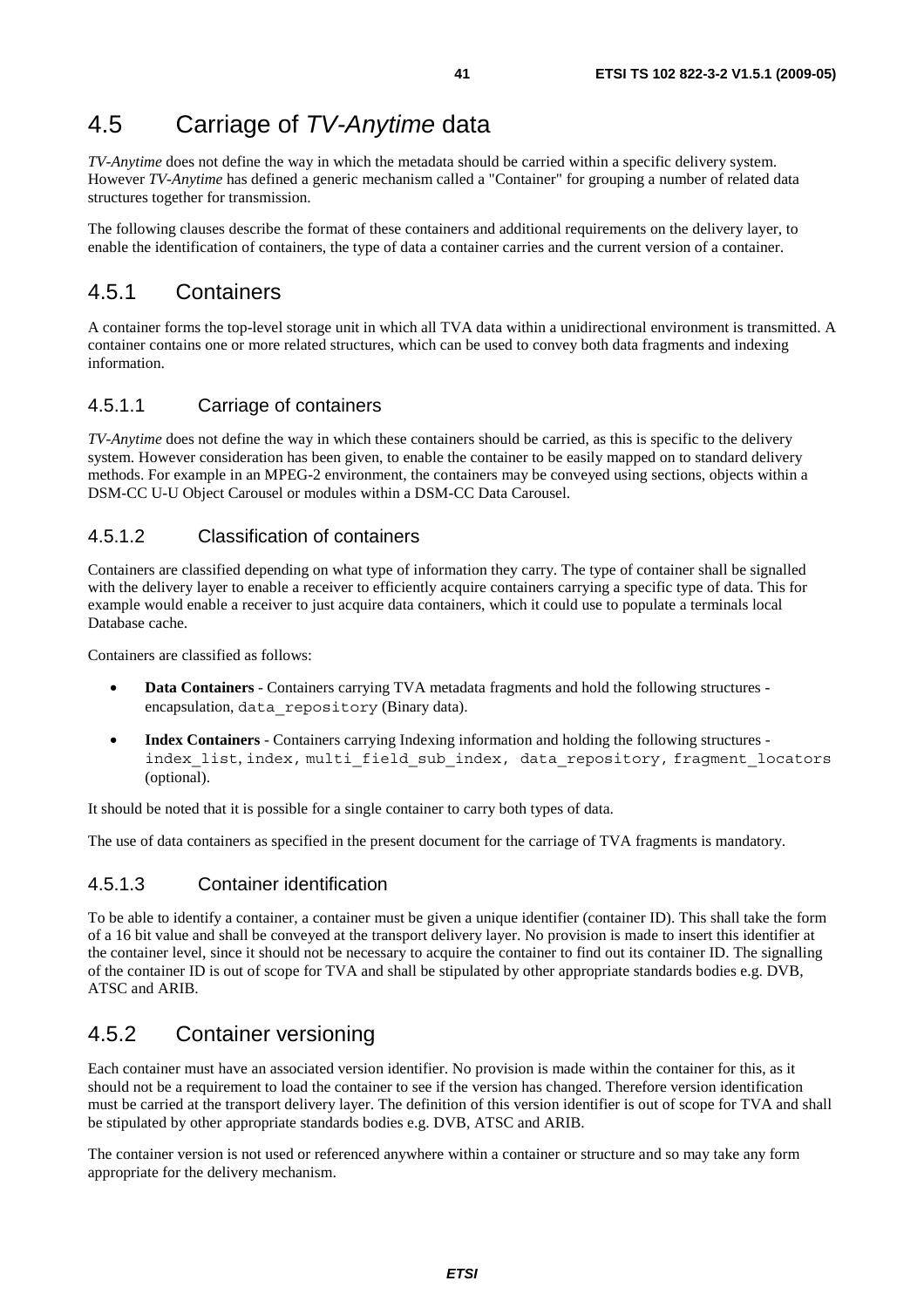# 4.5 Carriage of *TV-Anytime* data

*TV-Anytime* does not define the way in which the metadata should be carried within a specific delivery system. However *TV-Anytime* has defined a generic mechanism called a "Container" for grouping a number of related data structures together for transmission.

The following clauses describe the format of these containers and additional requirements on the delivery layer, to enable the identification of containers, the type of data a container carries and the current version of a container.

# 4.5.1 Containers

A container forms the top-level storage unit in which all TVA data within a unidirectional environment is transmitted. A container contains one or more related structures, which can be used to convey both data fragments and indexing information.

# 4.5.1.1 Carriage of containers

*TV-Anytime* does not define the way in which these containers should be carried, as this is specific to the delivery system. However consideration has been given, to enable the container to be easily mapped on to standard delivery methods. For example in an MPEG-2 environment, the containers may be conveyed using sections, objects within a DSM-CC U-U Object Carousel or modules within a DSM-CC Data Carousel.

### 4.5.1.2 Classification of containers

Containers are classified depending on what type of information they carry. The type of container shall be signalled with the delivery layer to enable a receiver to efficiently acquire containers carrying a specific type of data. This for example would enable a receiver to just acquire data containers, which it could use to populate a terminals local Database cache.

Containers are classified as follows:

- **Data Containers** Containers carrying TVA metadata fragments and hold the following structures encapsulation, data repository (Binary data).
- **Index Containers** Containers carrying Indexing information and holding the following structures index list, index, multi field sub index, data repository, fragment locators (optional).

It should be noted that it is possible for a single container to carry both types of data.

The use of data containers as specified in the present document for the carriage of TVA fragments is mandatory.

# 4.5.1.3 Container identification

To be able to identify a container, a container must be given a unique identifier (container ID). This shall take the form of a 16 bit value and shall be conveyed at the transport delivery layer. No provision is made to insert this identifier at the container level, since it should not be necessary to acquire the container to find out its container ID. The signalling of the container ID is out of scope for TVA and shall be stipulated by other appropriate standards bodies e.g. DVB, ATSC and ARIB.

# 4.5.2 Container versioning

Each container must have an associated version identifier. No provision is made within the container for this, as it should not be a requirement to load the container to see if the version has changed. Therefore version identification must be carried at the transport delivery layer. The definition of this version identifier is out of scope for TVA and shall be stipulated by other appropriate standards bodies e.g. DVB, ATSC and ARIB.

The container version is not used or referenced anywhere within a container or structure and so may take any form appropriate for the delivery mechanism.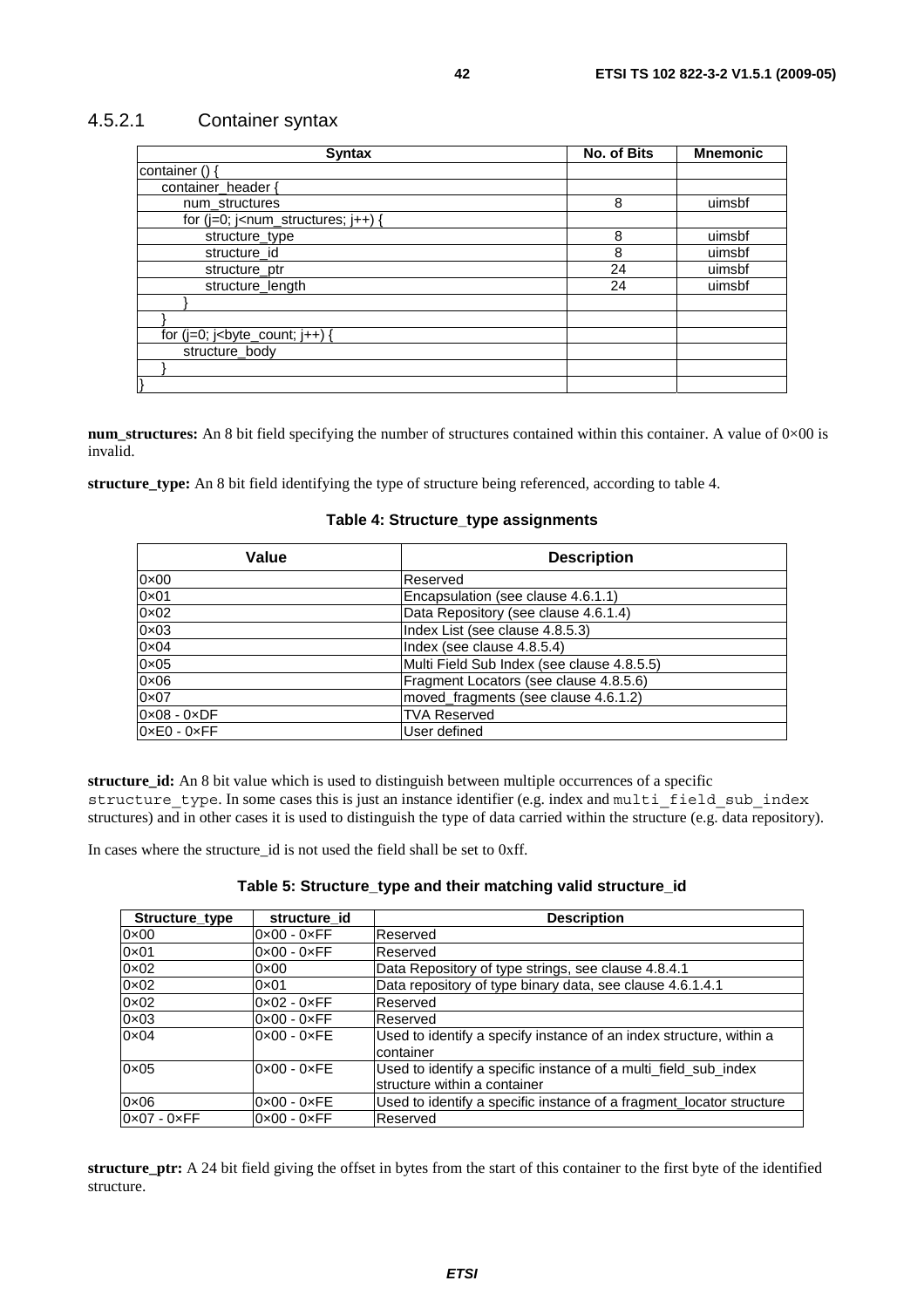### 4.5.2.1 Container syntax

| <b>Syntax</b>                                                                                                                                                | No. of Bits | <b>Mnemonic</b> |
|--------------------------------------------------------------------------------------------------------------------------------------------------------------|-------------|-----------------|
| container () {                                                                                                                                               |             |                 |
| container header {                                                                                                                                           |             |                 |
| num structures                                                                                                                                               | 8           | uimsbf          |
| for $(i=0; i1 - num_structures; i++)$ {                                                                                                                      |             |                 |
| structure_type                                                                                                                                               | 8           | uimsbf          |
| structure id                                                                                                                                                 | 8           | uimsbf          |
| structure_ptr                                                                                                                                                | 24          | uimsbf          |
| structure_length                                                                                                                                             | 24          | uimsbf          |
|                                                                                                                                                              |             |                 |
|                                                                                                                                                              |             |                 |
| for $(j=0; j0)$ is $j0$ is $j0$ is $j0$ is $j0$ if $j0$ is a set of $j0$ is a set of $j0$ is a set of $j0$ is a set of $j0$ is a set of $j0$ is a set of $j$ |             |                 |
| structure body                                                                                                                                               |             |                 |
|                                                                                                                                                              |             |                 |
|                                                                                                                                                              |             |                 |

**num\_structures:** An 8 bit field specifying the number of structures contained within this container. A value of 0×00 is invalid.

**structure\_type:** An 8 bit field identifying the type of structure being referenced, according to table 4.

### **Table 4: Structure\_type assignments**

| Value                       | <b>Description</b>                         |
|-----------------------------|--------------------------------------------|
| $0 \times 00$               | Reserved                                   |
| $0 \times 01$               | Encapsulation (see clause 4.6.1.1)         |
| $0 \times 02$               | Data Repository (see clause 4.6.1.4)       |
| $0 \times 03$               | Index List (see clause 4.8.5.3)            |
| $0 \times 04$               | Index (see clause 4.8.5.4)                 |
| $0 \times 05$               | Multi Field Sub Index (see clause 4.8.5.5) |
| $0 \times 06$               | Fragment Locators (see clause 4.8.5.6)     |
| $0\times07$                 | moved_fragments (see clause 4.6.1.2)       |
| $0 \times 08 - 0 \times DF$ | <b>TVA Reserved</b>                        |
| $0 \times E0 - 0 \times FF$ | User defined                               |

**structure\_id:** An 8 bit value which is used to distinguish between multiple occurrences of a specific structure\_type. In some cases this is just an instance identifier (e.g. index and multi\_field\_sub\_index structures) and in other cases it is used to distinguish the type of data carried within the structure (e.g. data repository).

In cases where the structure\_id is not used the field shall be set to 0xff.

| Structure_type              | structure id                | <b>Description</b>                                                                              |
|-----------------------------|-----------------------------|-------------------------------------------------------------------------------------------------|
| $0 \times 00$               | $0 \times 00 - 0 \times FF$ | Reserved                                                                                        |
| $0 \times 01$               | $0 \times 00 - 0 \times FF$ | Reserved                                                                                        |
| $0 \times 02$               | $0 \times 00$               | Data Repository of type strings, see clause 4.8.4.1                                             |
| $0 \times 02$               | $0 \times 01$               | Data repository of type binary data, see clause 4.6.1.4.1                                       |
| $0 \times 02$               | $0 \times 02 - 0 \times FF$ | Reserved                                                                                        |
| $0 \times 03$               | $0 \times 00 - 0 \times FF$ | Reserved                                                                                        |
| $0 \times 04$               | $0 \times 00 - 0 \times FE$ | Used to identify a specify instance of an index structure, within a<br>container                |
| $0 \times 05$               | $0 \times 00 - 0 \times FE$ | Used to identify a specific instance of a multi_field_sub_index<br>structure within a container |
| $0 \times 06$               | $0 \times 00 - 0 \times FE$ | Used to identify a specific instance of a fragment locator structure                            |
| $0 \times 07 - 0 \times FF$ | $0 \times 00 - 0 \times FF$ | Reserved                                                                                        |

**structure** ptr: A 24 bit field giving the offset in bytes from the start of this container to the first byte of the identified structure.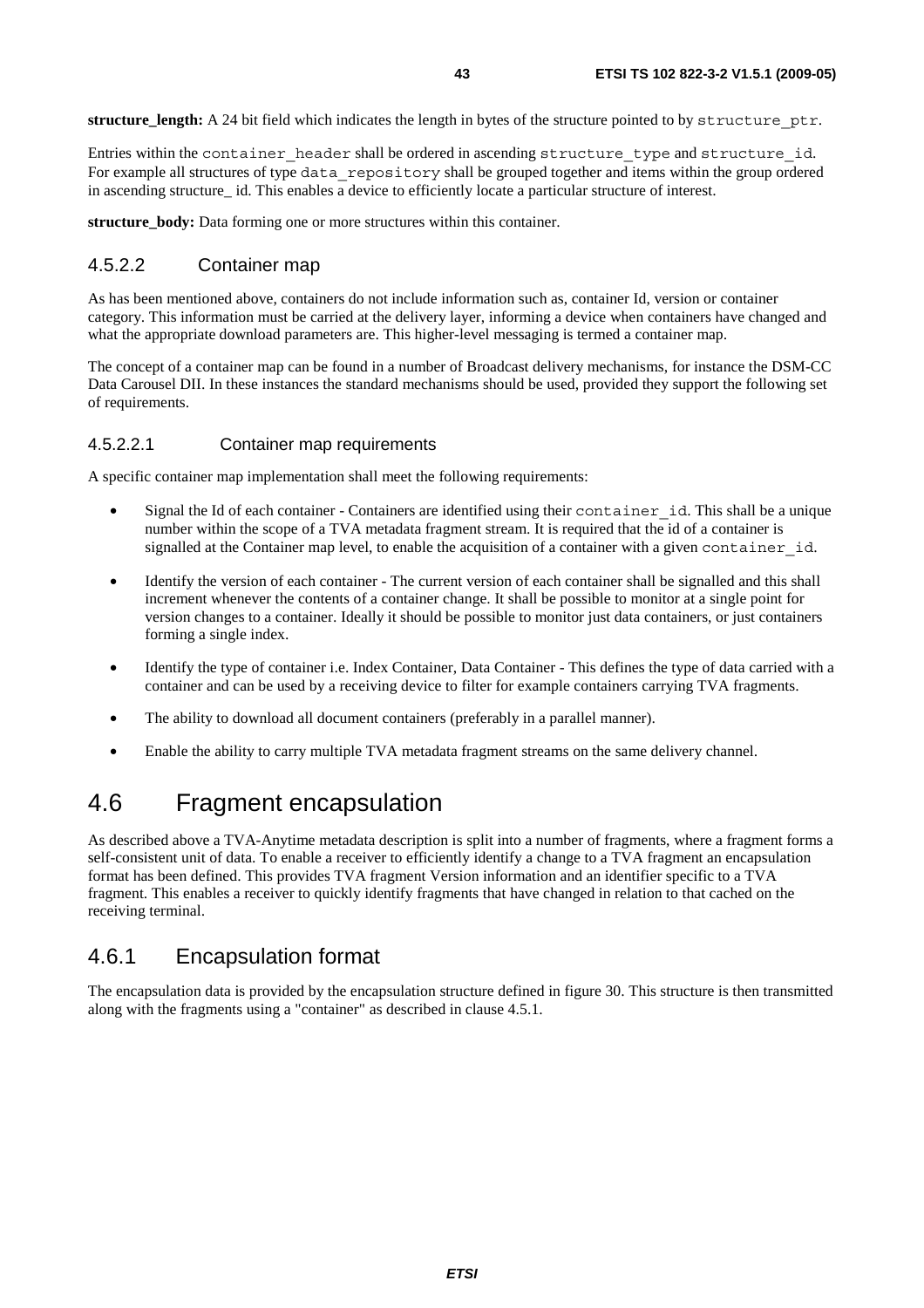**structure\_length:** A 24 bit field which indicates the length in bytes of the structure pointed to by structure\_ptr.

Entries within the container\_header shall be ordered in ascending structure\_type and structure\_id. For example all structures of type data\_repository shall be grouped together and items within the group ordered in ascending structure id. This enables a device to efficiently locate a particular structure of interest.

**structure** body: Data forming one or more structures within this container.

### 4.5.2.2 Container map

As has been mentioned above, containers do not include information such as, container Id, version or container category. This information must be carried at the delivery layer, informing a device when containers have changed and what the appropriate download parameters are. This higher-level messaging is termed a container map.

The concept of a container map can be found in a number of Broadcast delivery mechanisms, for instance the DSM-CC Data Carousel DII. In these instances the standard mechanisms should be used, provided they support the following set of requirements.

### 4.5.2.2.1 Container map requirements

A specific container map implementation shall meet the following requirements:

- Signal the Id of each container Containers are identified using their container id. This shall be a unique number within the scope of a TVA metadata fragment stream. It is required that the id of a container is signalled at the Container map level, to enable the acquisition of a container with a given container id.
- Identify the version of each container The current version of each container shall be signalled and this shall increment whenever the contents of a container change. It shall be possible to monitor at a single point for version changes to a container. Ideally it should be possible to monitor just data containers, or just containers forming a single index.
- Identify the type of container i.e. Index Container, Data Container This defines the type of data carried with a container and can be used by a receiving device to filter for example containers carrying TVA fragments.
- The ability to download all document containers (preferably in a parallel manner).
- Enable the ability to carry multiple TVA metadata fragment streams on the same delivery channel.

# 4.6 Fragment encapsulation

As described above a TVA-Anytime metadata description is split into a number of fragments, where a fragment forms a self-consistent unit of data. To enable a receiver to efficiently identify a change to a TVA fragment an encapsulation format has been defined. This provides TVA fragment Version information and an identifier specific to a TVA fragment. This enables a receiver to quickly identify fragments that have changed in relation to that cached on the receiving terminal.

# 4.6.1 Encapsulation format

The encapsulation data is provided by the encapsulation structure defined in figure 30. This structure is then transmitted along with the fragments using a "container" as described in clause 4.5.1.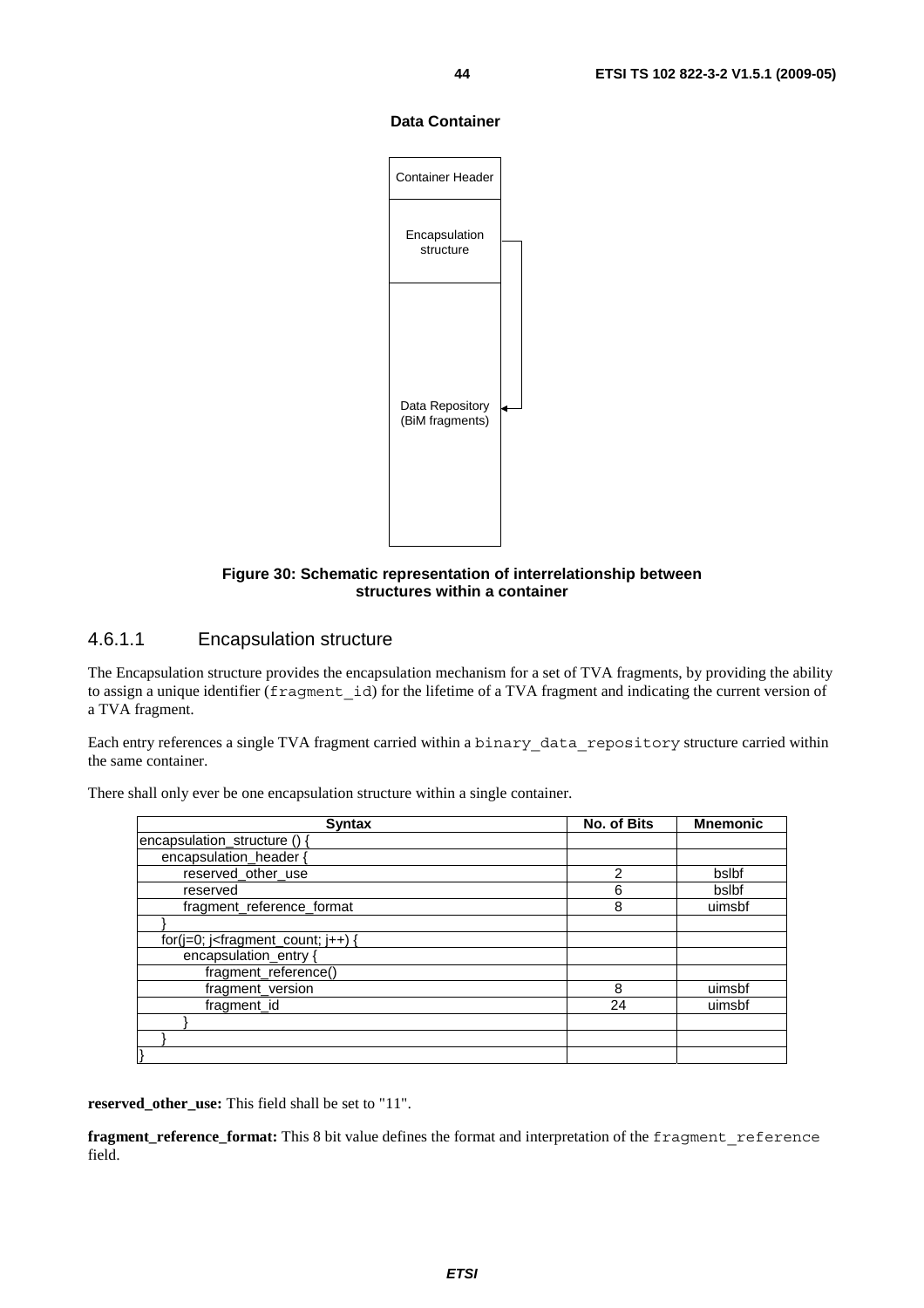#### **Data Container**



### **Figure 30: Schematic representation of interrelationship between structures within a container**

### 4.6.1.1 Encapsulation structure

The Encapsulation structure provides the encapsulation mechanism for a set of TVA fragments, by providing the ability to assign a unique identifier (fragment id) for the lifetime of a TVA fragment and indicating the current version of a TVA fragment.

Each entry references a single TVA fragment carried within a binary\_data\_repository structure carried within the same container.

| <b>Syntax</b>                               | No. of Bits   | <b>Mnemonic</b> |
|---------------------------------------------|---------------|-----------------|
| encapsulation_structure () -                |               |                 |
| encapsulation header {                      |               |                 |
| reserved_other_use                          | $\mathcal{P}$ | bslbf           |
| reserved                                    | 6             | bslbf           |
| fragment_reference_format                   | 8             | uimsbf          |
|                                             |               |                 |
| for( $j=0$ ; $j$ -fragment_count; $j++$ ) { |               |                 |
| encapsulation_entry {                       |               |                 |
| fragment_reference()                        |               |                 |
| fragment_version                            | 8             | uimsbf          |
| fragment_id                                 | 24            | uimsbf          |
|                                             |               |                 |
|                                             |               |                 |
|                                             |               |                 |

There shall only ever be one encapsulation structure within a single container.

**reserved\_other\_use:** This field shall be set to "11".

**fragment\_reference\_format:** This 8 bit value defines the format and interpretation of the fragment reference field.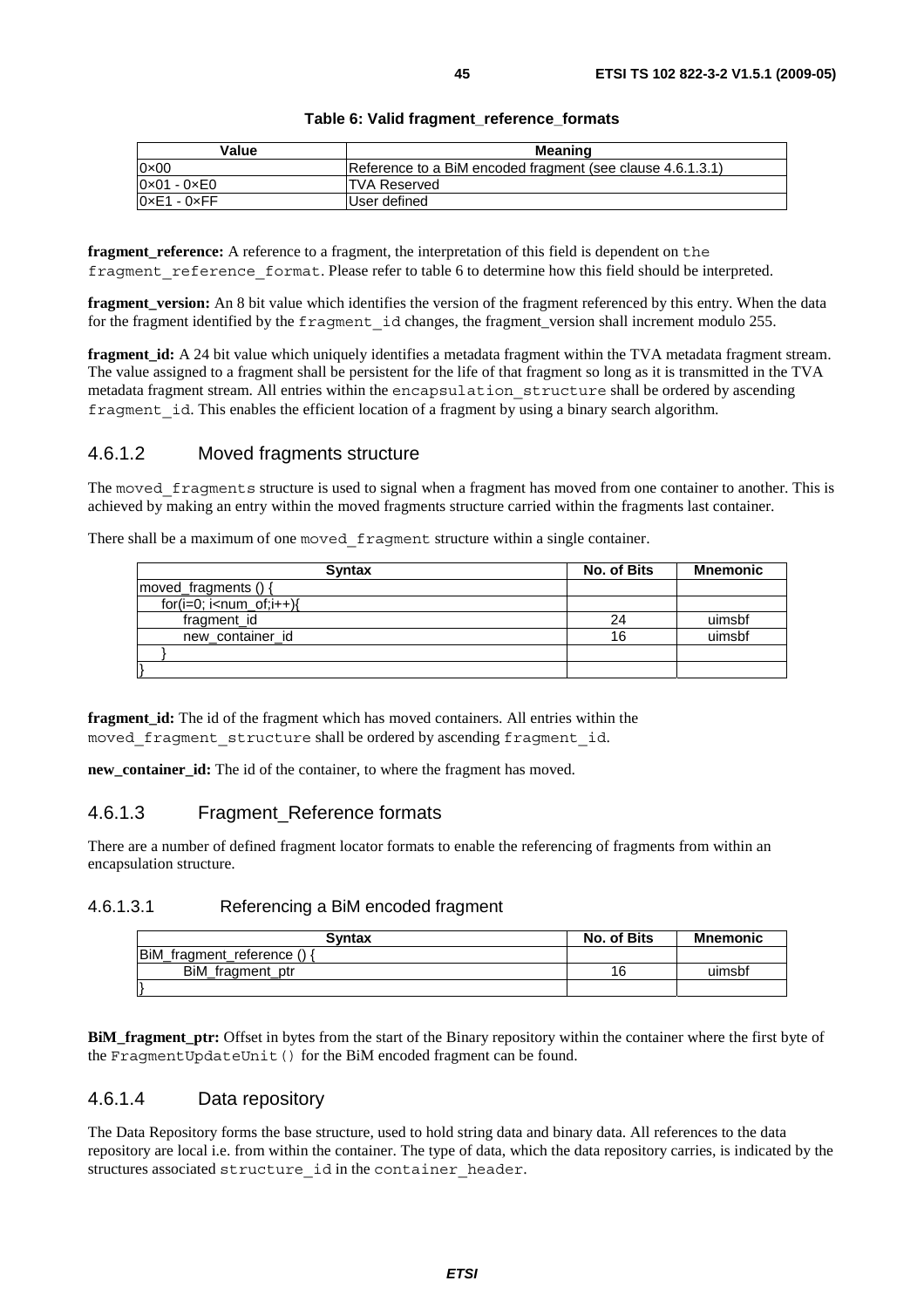| Table 6: Valid fragment_reference_formats |  |
|-------------------------------------------|--|
|-------------------------------------------|--|

| Value                       | Meaning                                                    |
|-----------------------------|------------------------------------------------------------|
| $0 \times 00$               | Reference to a BiM encoded fragment (see clause 4.6.1.3.1) |
| $0 \times 01 - 0 \times 00$ | <b>TVA Reserved</b>                                        |
| $0xE1 - 0xFF$               | User defined                                               |

**fragment** reference: A reference to a fragment, the interpretation of this field is dependent on the fragment reference format. Please refer to table 6 to determine how this field should be interpreted.

**fragment\_version:** An 8 bit value which identifies the version of the fragment referenced by this entry. When the data for the fragment identified by the fragment\_id changes, the fragment\_version shall increment modulo 255.

**fragment id:** A 24 bit value which uniquely identifies a metadata fragment within the TVA metadata fragment stream. The value assigned to a fragment shall be persistent for the life of that fragment so long as it is transmitted in the TVA metadata fragment stream. All entries within the encapsulation structure shall be ordered by ascending fragment id. This enables the efficient location of a fragment by using a binary search algorithm.

### 4.6.1.2 Moved fragments structure

The moved fragments structure is used to signal when a fragment has moved from one container to another. This is achieved by making an entry within the moved fragments structure carried within the fragments last container.

There shall be a maximum of one moved fragment structure within a single container.

| <b>Syntax</b>        | No. of Bits | <b>Mnemonic</b> |
|----------------------|-------------|-----------------|
| moved_fragments () { |             |                 |
| $for(i=0; i$         |             |                 |
| fragment_id          | 24          | uimsbf          |
| new container id     | 16          | uimsbf          |
|                      |             |                 |
|                      |             |                 |

**fragment id:** The id of the fragment which has moved containers. All entries within the moved fragment structure shall be ordered by ascending fragment id.

**new\_container\_id:** The id of the container, to where the fragment has moved.

### 4.6.1.3 Fragment\_Reference formats

There are a number of defined fragment locator formats to enable the referencing of fragments from within an encapsulation structure.

### 4.6.1.3.1 Referencing a BiM encoded fragment

| <b>Syntax</b>             | No. of Bits | <b>Mnemonic</b> |
|---------------------------|-------------|-----------------|
| BiM_fragment_reference () |             |                 |
| BiM_fragment_ptr          | 16          | uimsbf          |
|                           |             |                 |

**BiM\_fragment\_ptr:** Offset in bytes from the start of the Binary repository within the container where the first byte of the FragmentUpdateUnit() for the BiM encoded fragment can be found.

### 4.6.1.4 Data repository

The Data Repository forms the base structure, used to hold string data and binary data. All references to the data repository are local i.e. from within the container. The type of data, which the data repository carries, is indicated by the structures associated structure id in the container header.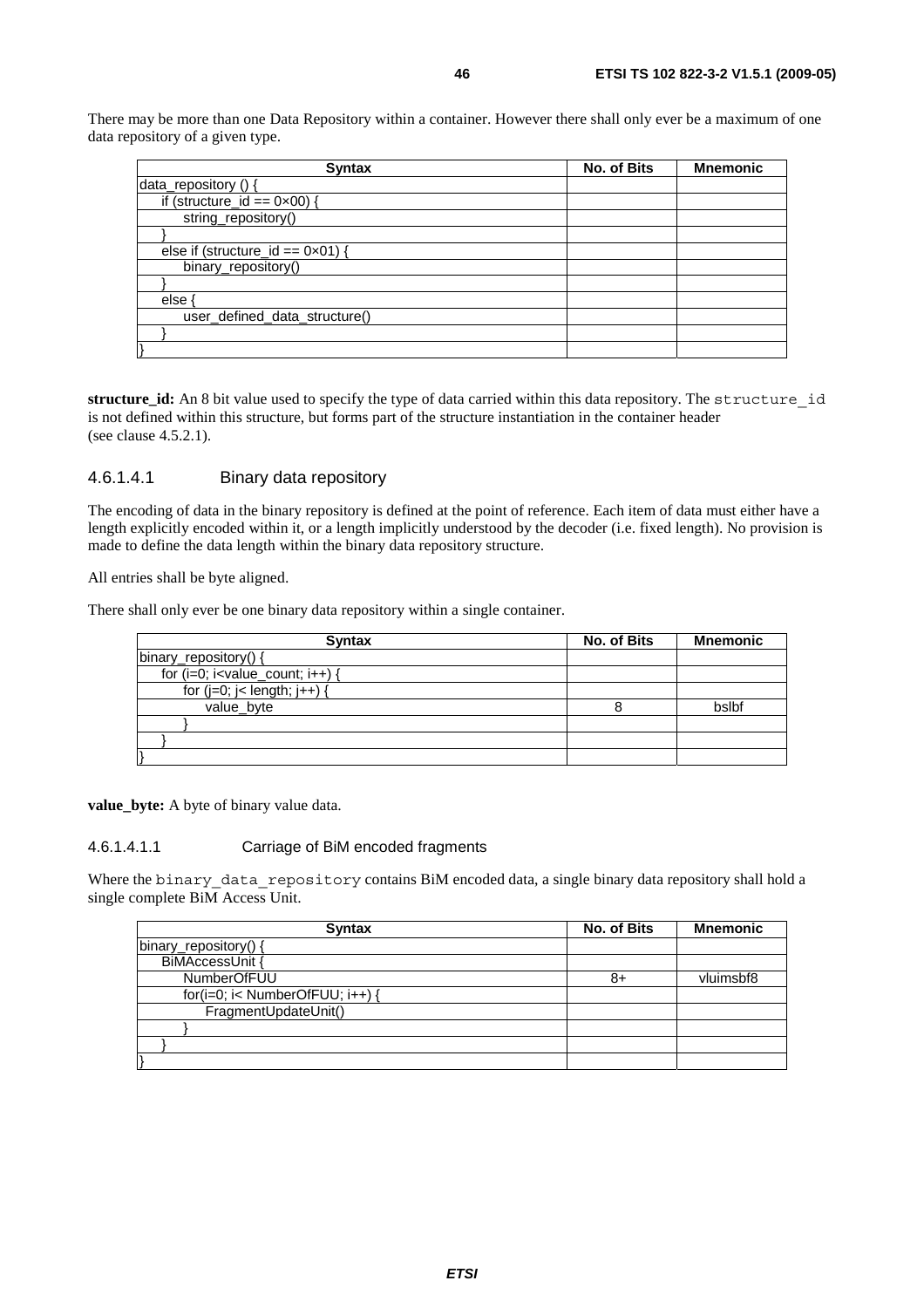There may be more than one Data Repository within a container. However there shall only ever be a maximum of one data repository of a given type.

| <b>Syntax</b>                              | No. of Bits | <b>Mnemonic</b> |
|--------------------------------------------|-------------|-----------------|
| data_repository () {                       |             |                 |
| if (structure_id == $0 \times 00$ ) {      |             |                 |
| string_repository()                        |             |                 |
|                                            |             |                 |
| else if (structure_id == $0 \times 01$ ) { |             |                 |
| binary_repository()                        |             |                 |
|                                            |             |                 |
| else                                       |             |                 |
| user_defined_data_structure()              |             |                 |
|                                            |             |                 |
|                                            |             |                 |

**structure\_id:** An 8 bit value used to specify the type of data carried within this data repository. The structure\_id is not defined within this structure, but forms part of the structure instantiation in the container header (see clause 4.5.2.1).

### 4.6.1.4.1 Binary data repository

The encoding of data in the binary repository is defined at the point of reference. Each item of data must either have a length explicitly encoded within it, or a length implicitly understood by the decoder (i.e. fixed length). No provision is made to define the data length within the binary data repository structure.

All entries shall be byte aligned.

There shall only ever be one binary data repository within a single container.

| <b>Syntax</b>                         | No. of Bits | <b>Mnemonic</b> |
|---------------------------------------|-------------|-----------------|
| binary_repository() {                 |             |                 |
| for $(i=0; i<$ value_count; $i++$ ) { |             |                 |
| for $(i=0; j<$ length; $j++$ ) {      |             |                 |
| value byte                            |             | bslbf           |
|                                       |             |                 |
|                                       |             |                 |
|                                       |             |                 |

**value\_byte:** A byte of binary value data.

#### 4.6.1.4.1.1 Carriage of BiM encoded fragments

Where the binary data repository contains BiM encoded data, a single binary data repository shall hold a single complete BiM Access Unit.

| <b>Syntax</b>                   | No. of Bits | <b>Mnemonic</b> |
|---------------------------------|-------------|-----------------|
| binary_repository() {           |             |                 |
| BiMAccessUnit {                 |             |                 |
| <b>NumberOfFUU</b>              | 8+          | vluimsbf8       |
| for(i=0; i< NumberOfFUU; i++) { |             |                 |
| FragmentUpdateUnit()            |             |                 |
|                                 |             |                 |
|                                 |             |                 |
|                                 |             |                 |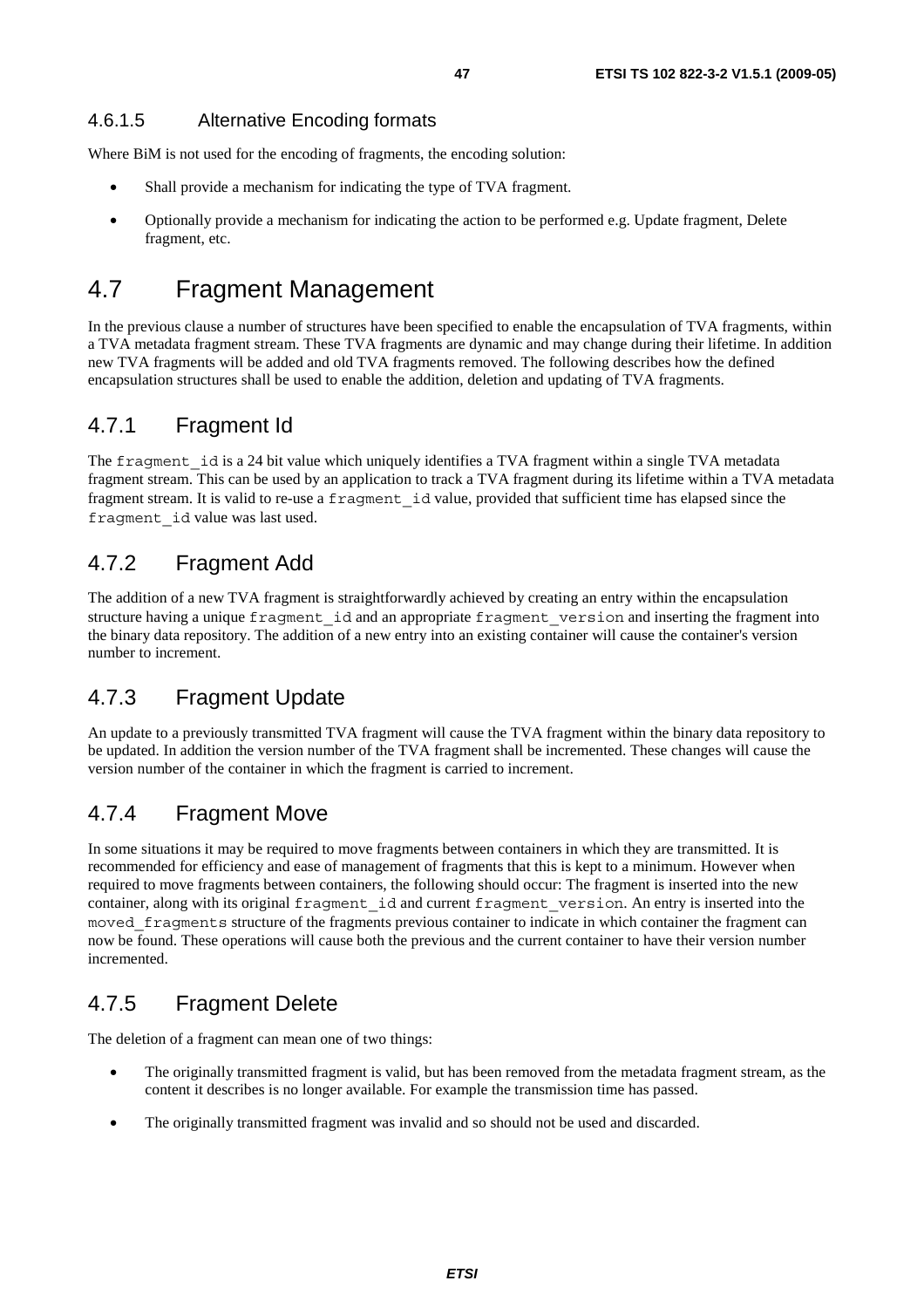Where BiM is not used for the encoding of fragments, the encoding solution:

- Shall provide a mechanism for indicating the type of TVA fragment.
- Optionally provide a mechanism for indicating the action to be performed e.g. Update fragment, Delete fragment, etc.

# 4.7 Fragment Management

In the previous clause a number of structures have been specified to enable the encapsulation of TVA fragments, within a TVA metadata fragment stream. These TVA fragments are dynamic and may change during their lifetime. In addition new TVA fragments will be added and old TVA fragments removed. The following describes how the defined encapsulation structures shall be used to enable the addition, deletion and updating of TVA fragments.

# 4.7.1 Fragment Id

The fragment id is a 24 bit value which uniquely identifies a TVA fragment within a single TVA metadata fragment stream. This can be used by an application to track a TVA fragment during its lifetime within a TVA metadata fragment stream. It is valid to re-use a fragment\_id value, provided that sufficient time has elapsed since the fragment\_id value was last used.

# 4.7.2 Fragment Add

The addition of a new TVA fragment is straightforwardly achieved by creating an entry within the encapsulation structure having a unique fragment\_id and an appropriate fragment\_version and inserting the fragment into the binary data repository. The addition of a new entry into an existing container will cause the container's version number to increment.

# 4.7.3 Fragment Update

An update to a previously transmitted TVA fragment will cause the TVA fragment within the binary data repository to be updated. In addition the version number of the TVA fragment shall be incremented. These changes will cause the version number of the container in which the fragment is carried to increment.

# 4.7.4 Fragment Move

In some situations it may be required to move fragments between containers in which they are transmitted. It is recommended for efficiency and ease of management of fragments that this is kept to a minimum. However when required to move fragments between containers, the following should occur: The fragment is inserted into the new container, along with its original fragment\_id and current fragment\_version. An entry is inserted into the moved fragments structure of the fragments previous container to indicate in which container the fragment can now be found. These operations will cause both the previous and the current container to have their version number incremented.

# 4.7.5 Fragment Delete

The deletion of a fragment can mean one of two things:

- The originally transmitted fragment is valid, but has been removed from the metadata fragment stream, as the content it describes is no longer available. For example the transmission time has passed.
- The originally transmitted fragment was invalid and so should not be used and discarded.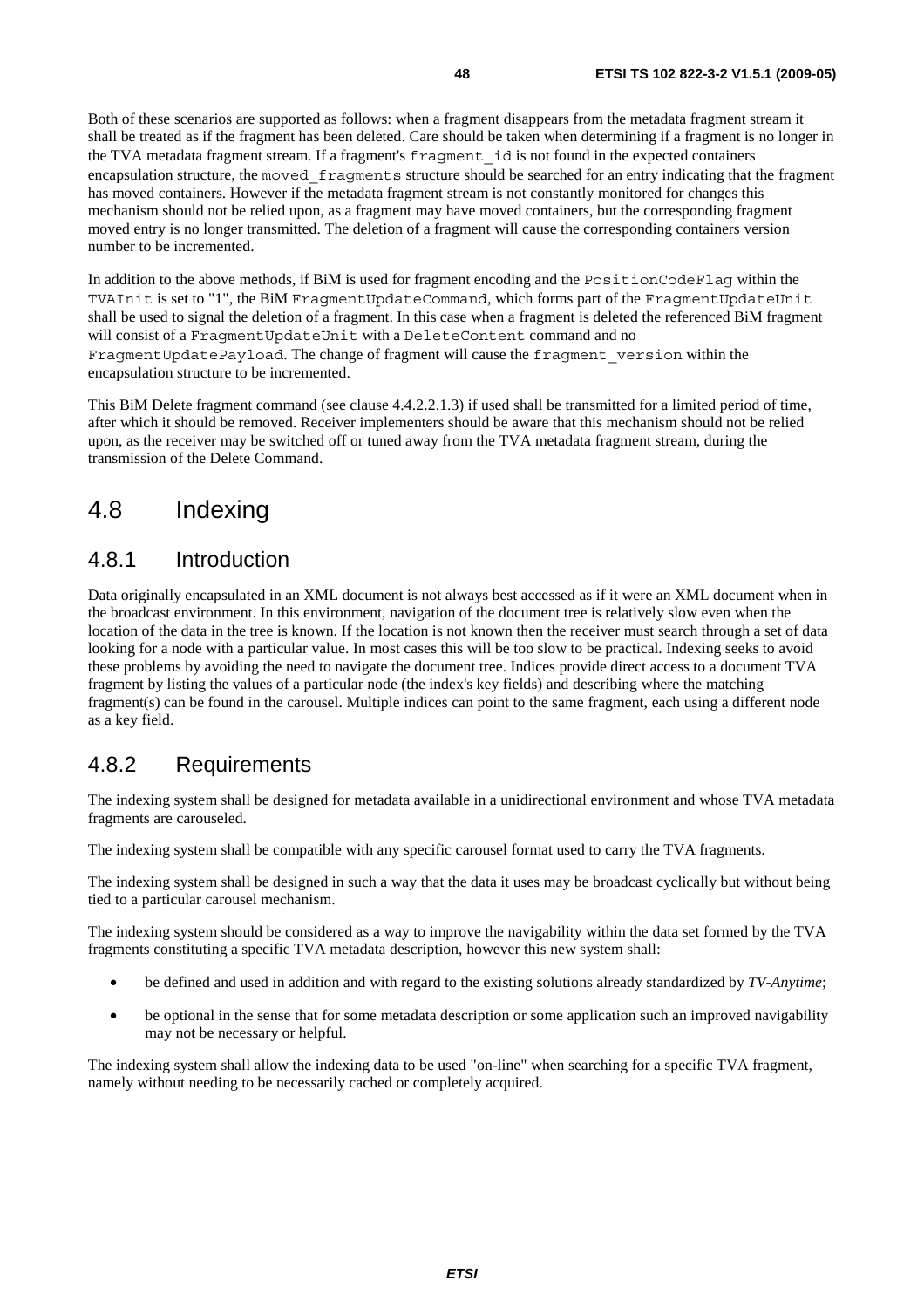Both of these scenarios are supported as follows: when a fragment disappears from the metadata fragment stream it shall be treated as if the fragment has been deleted. Care should be taken when determining if a fragment is no longer in the TVA metadata fragment stream. If a fragment's fragment\_id is not found in the expected containers encapsulation structure, the moved\_fragments structure should be searched for an entry indicating that the fragment has moved containers. However if the metadata fragment stream is not constantly monitored for changes this mechanism should not be relied upon, as a fragment may have moved containers, but the corresponding fragment moved entry is no longer transmitted. The deletion of a fragment will cause the corresponding containers version number to be incremented.

In addition to the above methods, if BiM is used for fragment encoding and the PositionCodeFlag within the TVAInit is set to "1", the BiM FragmentUpdateCommand, which forms part of the FragmentUpdateUnit shall be used to signal the deletion of a fragment. In this case when a fragment is deleted the referenced BiM fragment will consist of a FragmentUpdateUnit with a DeleteContent command and no FragmentUpdatePayload. The change of fragment will cause the fragment\_version within the encapsulation structure to be incremented.

This BiM Delete fragment command (see clause 4.4.2.2.1.3) if used shall be transmitted for a limited period of time, after which it should be removed. Receiver implementers should be aware that this mechanism should not be relied upon, as the receiver may be switched off or tuned away from the TVA metadata fragment stream, during the transmission of the Delete Command.

# 4.8 Indexing

# 4.8.1 Introduction

Data originally encapsulated in an XML document is not always best accessed as if it were an XML document when in the broadcast environment. In this environment, navigation of the document tree is relatively slow even when the location of the data in the tree is known. If the location is not known then the receiver must search through a set of data looking for a node with a particular value. In most cases this will be too slow to be practical. Indexing seeks to avoid these problems by avoiding the need to navigate the document tree. Indices provide direct access to a document TVA fragment by listing the values of a particular node (the index's key fields) and describing where the matching fragment(s) can be found in the carousel. Multiple indices can point to the same fragment, each using a different node as a key field.

# 4.8.2 Requirements

The indexing system shall be designed for metadata available in a unidirectional environment and whose TVA metadata fragments are carouseled.

The indexing system shall be compatible with any specific carousel format used to carry the TVA fragments.

The indexing system shall be designed in such a way that the data it uses may be broadcast cyclically but without being tied to a particular carousel mechanism.

The indexing system should be considered as a way to improve the navigability within the data set formed by the TVA fragments constituting a specific TVA metadata description, however this new system shall:

- be defined and used in addition and with regard to the existing solutions already standardized by *TV-Anytime*;
- be optional in the sense that for some metadata description or some application such an improved navigability may not be necessary or helpful.

The indexing system shall allow the indexing data to be used "on-line" when searching for a specific TVA fragment, namely without needing to be necessarily cached or completely acquired.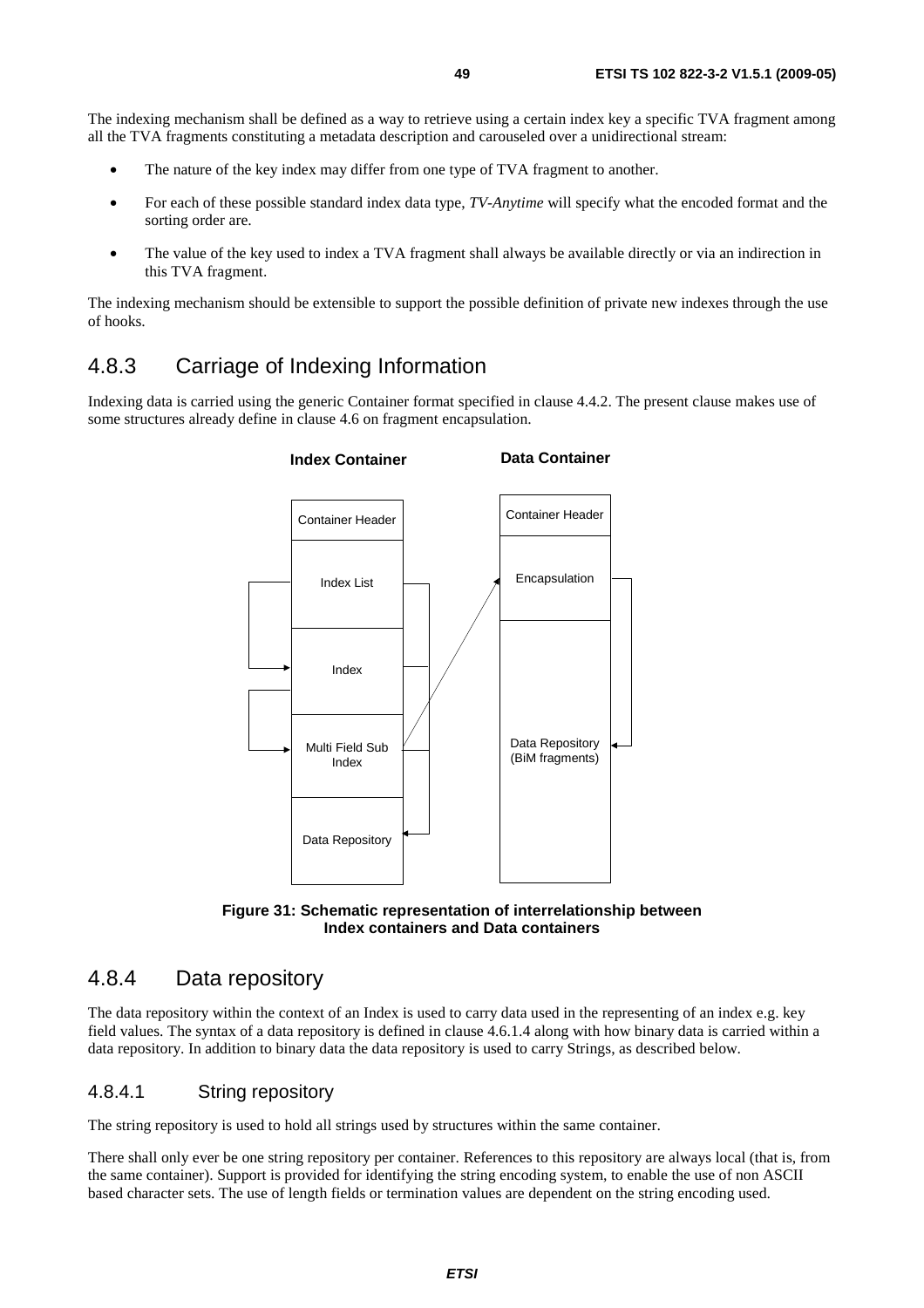The indexing mechanism shall be defined as a way to retrieve using a certain index key a specific TVA fragment among all the TVA fragments constituting a metadata description and carouseled over a unidirectional stream:

- The nature of the key index may differ from one type of TVA fragment to another.
- For each of these possible standard index data type, *TV-Anytime* will specify what the encoded format and the sorting order are.
- The value of the key used to index a TVA fragment shall always be available directly or via an indirection in this TVA fragment.

The indexing mechanism should be extensible to support the possible definition of private new indexes through the use of hooks.

# 4.8.3 Carriage of Indexing Information

Indexing data is carried using the generic Container format specified in clause 4.4.2. The present clause makes use of some structures already define in clause 4.6 on fragment encapsulation.





# 4.8.4 Data repository

The data repository within the context of an Index is used to carry data used in the representing of an index e.g. key field values. The syntax of a data repository is defined in clause 4.6.1.4 along with how binary data is carried within a data repository. In addition to binary data the data repository is used to carry Strings, as described below.

### 4.8.4.1 String repository

The string repository is used to hold all strings used by structures within the same container.

There shall only ever be one string repository per container. References to this repository are always local (that is, from the same container). Support is provided for identifying the string encoding system, to enable the use of non ASCII based character sets. The use of length fields or termination values are dependent on the string encoding used.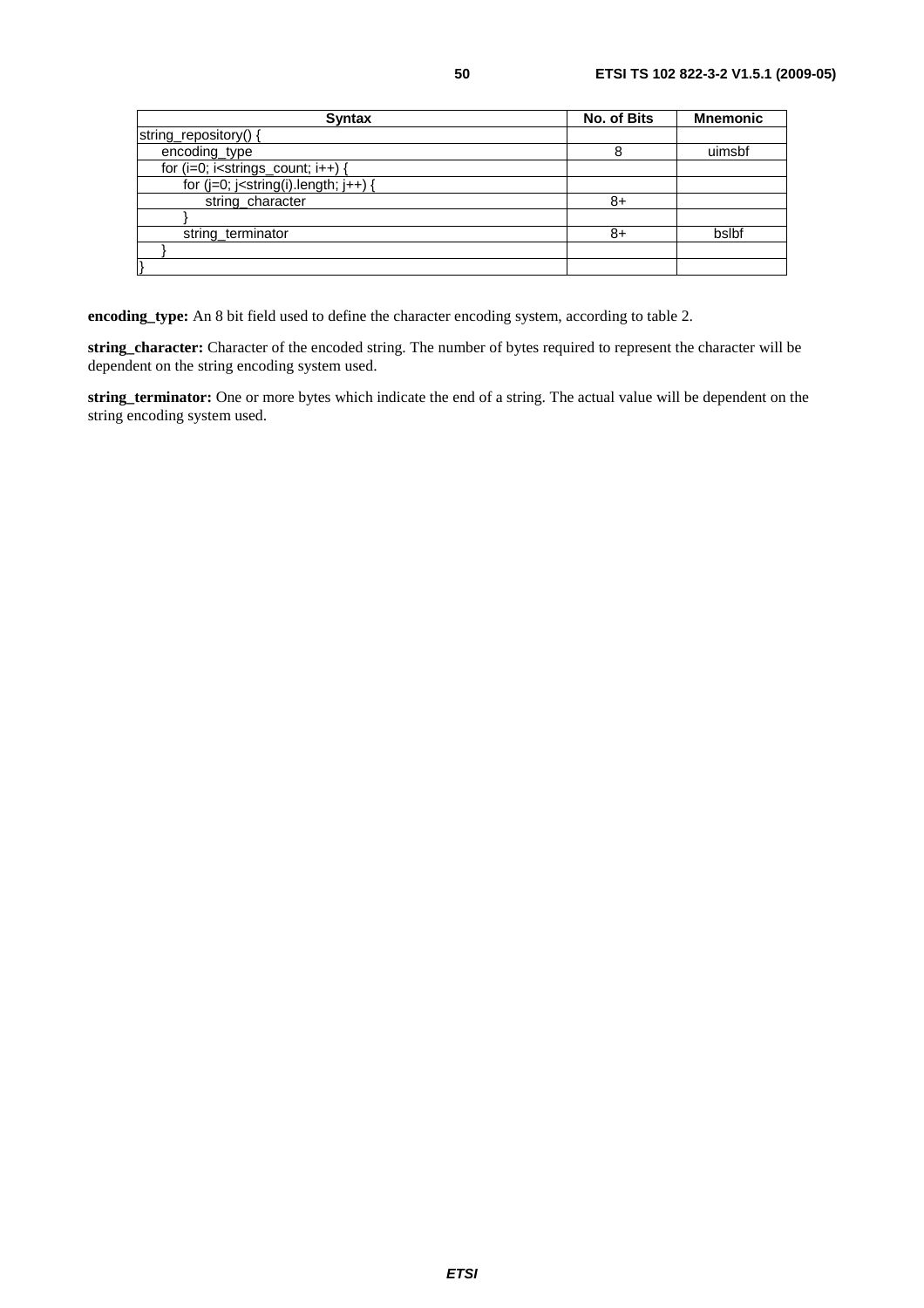| <b>Syntax</b>                              | No. of Bits | <b>Mnemonic</b> |
|--------------------------------------------|-------------|-----------------|
| string_repository() {                      |             |                 |
| encoding_type                              | 8           | uimsbf          |
| for $(i=0; i<$ strings_count; $i++$ ) {    |             |                 |
| for $(j=0; j<$ string(i).length; $j++$ ) { |             |                 |
| string_character                           | 8+          |                 |
|                                            |             |                 |
| string_terminator                          | 8+          | bslbf           |
|                                            |             |                 |
|                                            |             |                 |

**encoding\_type:** An 8 bit field used to define the character encoding system, according to table 2.

**string\_character:** Character of the encoded string. The number of bytes required to represent the character will be dependent on the string encoding system used.

**string\_terminator:** One or more bytes which indicate the end of a string. The actual value will be dependent on the string encoding system used.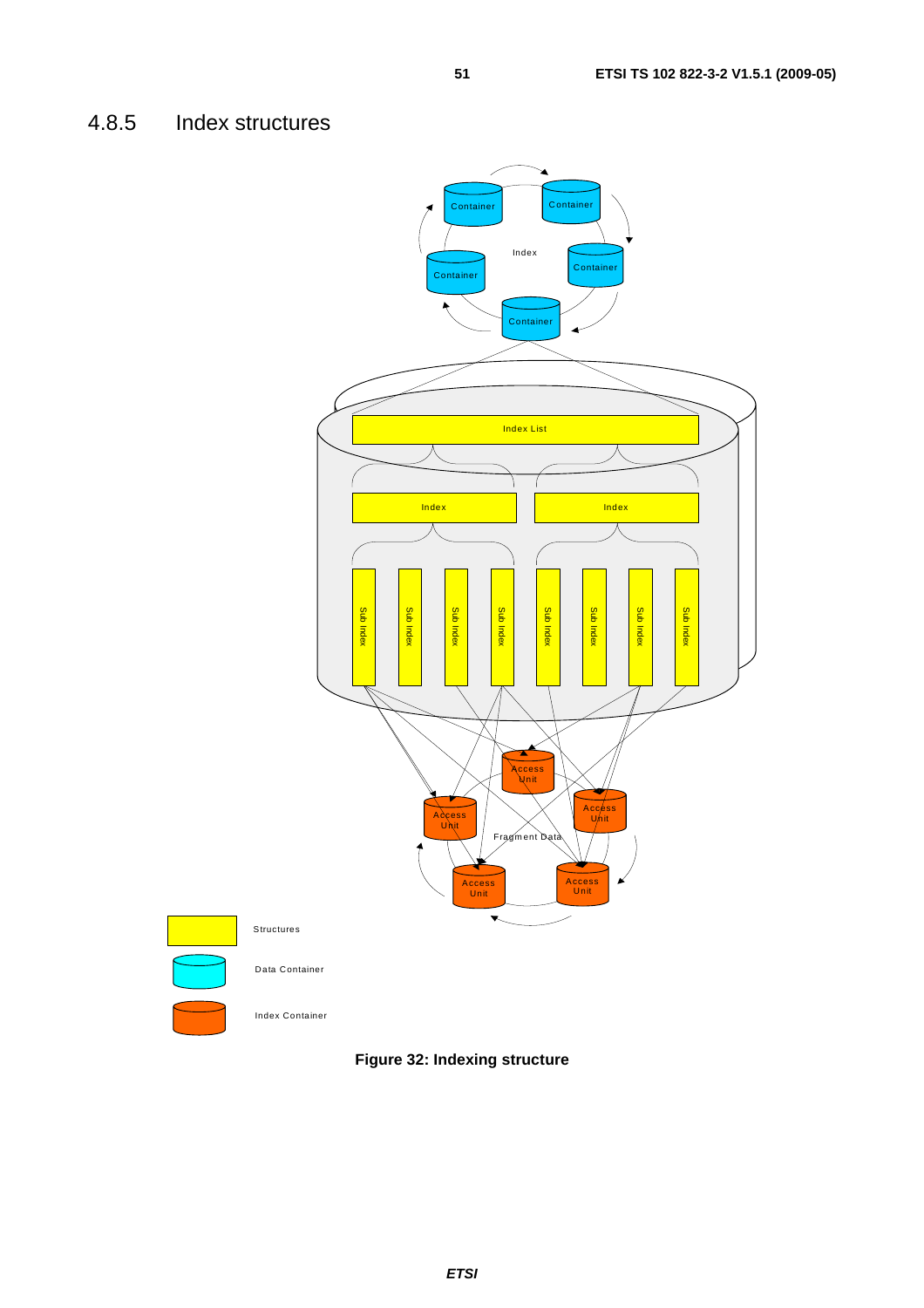# 4.8.5 Index structures



**Figure 32: Indexing structure**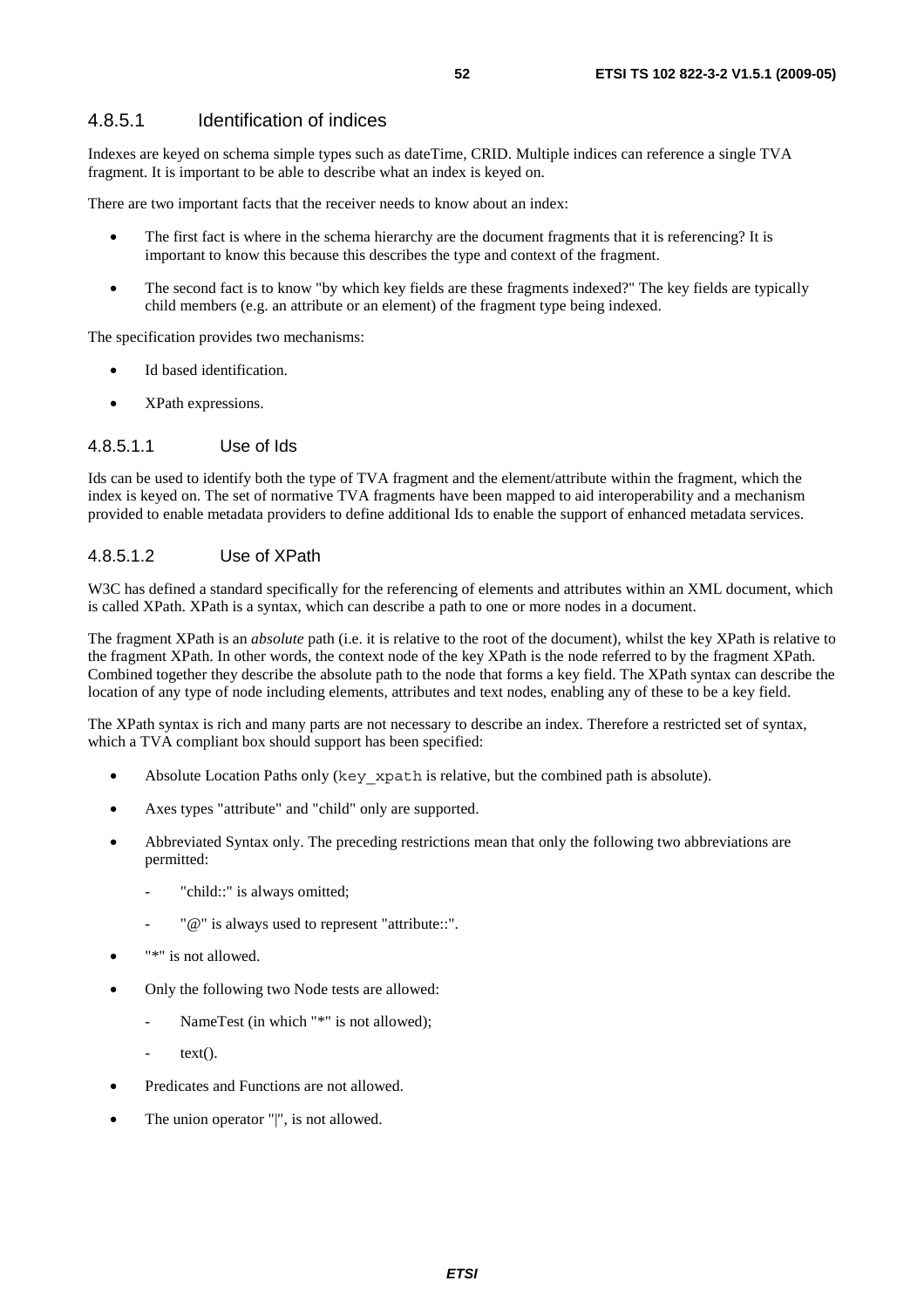### 4.8.5.1 Identification of indices

Indexes are keyed on schema simple types such as dateTime, CRID. Multiple indices can reference a single TVA fragment. It is important to be able to describe what an index is keyed on.

There are two important facts that the receiver needs to know about an index:

- The first fact is where in the schema hierarchy are the document fragments that it is referencing? It is important to know this because this describes the type and context of the fragment.
- The second fact is to know "by which key fields are these fragments indexed?" The key fields are typically child members (e.g. an attribute or an element) of the fragment type being indexed.

The specification provides two mechanisms:

- Id based identification.
- XPath expressions.

### 4.8.5.1.1 Use of Ids

Ids can be used to identify both the type of TVA fragment and the element/attribute within the fragment, which the index is keyed on. The set of normative TVA fragments have been mapped to aid interoperability and a mechanism provided to enable metadata providers to define additional Ids to enable the support of enhanced metadata services.

### 4.8.5.1.2 Use of XPath

W3C has defined a standard specifically for the referencing of elements and attributes within an XML document, which is called XPath. XPath is a syntax, which can describe a path to one or more nodes in a document.

The fragment XPath is an *absolute* path (i.e. it is relative to the root of the document), whilst the key XPath is relative to the fragment XPath. In other words, the context node of the key XPath is the node referred to by the fragment XPath. Combined together they describe the absolute path to the node that forms a key field. The XPath syntax can describe the location of any type of node including elements, attributes and text nodes, enabling any of these to be a key field.

The XPath syntax is rich and many parts are not necessary to describe an index. Therefore a restricted set of syntax, which a TVA compliant box should support has been specified:

- Absolute Location Paths only (key xpath is relative, but the combined path is absolute).
- Axes types "attribute" and "child" only are supported.
- Abbreviated Syntax only. The preceding restrictions mean that only the following two abbreviations are permitted:
	- "child::" is always omitted;
	- "@" is always used to represent "attribute::".
- "\*" is not allowed.
- Only the following two Node tests are allowed:
	- NameTest (in which "\*" is not allowed);
		- $text()$ .
- Predicates and Functions are not allowed.
- The union operator "|", is not allowed.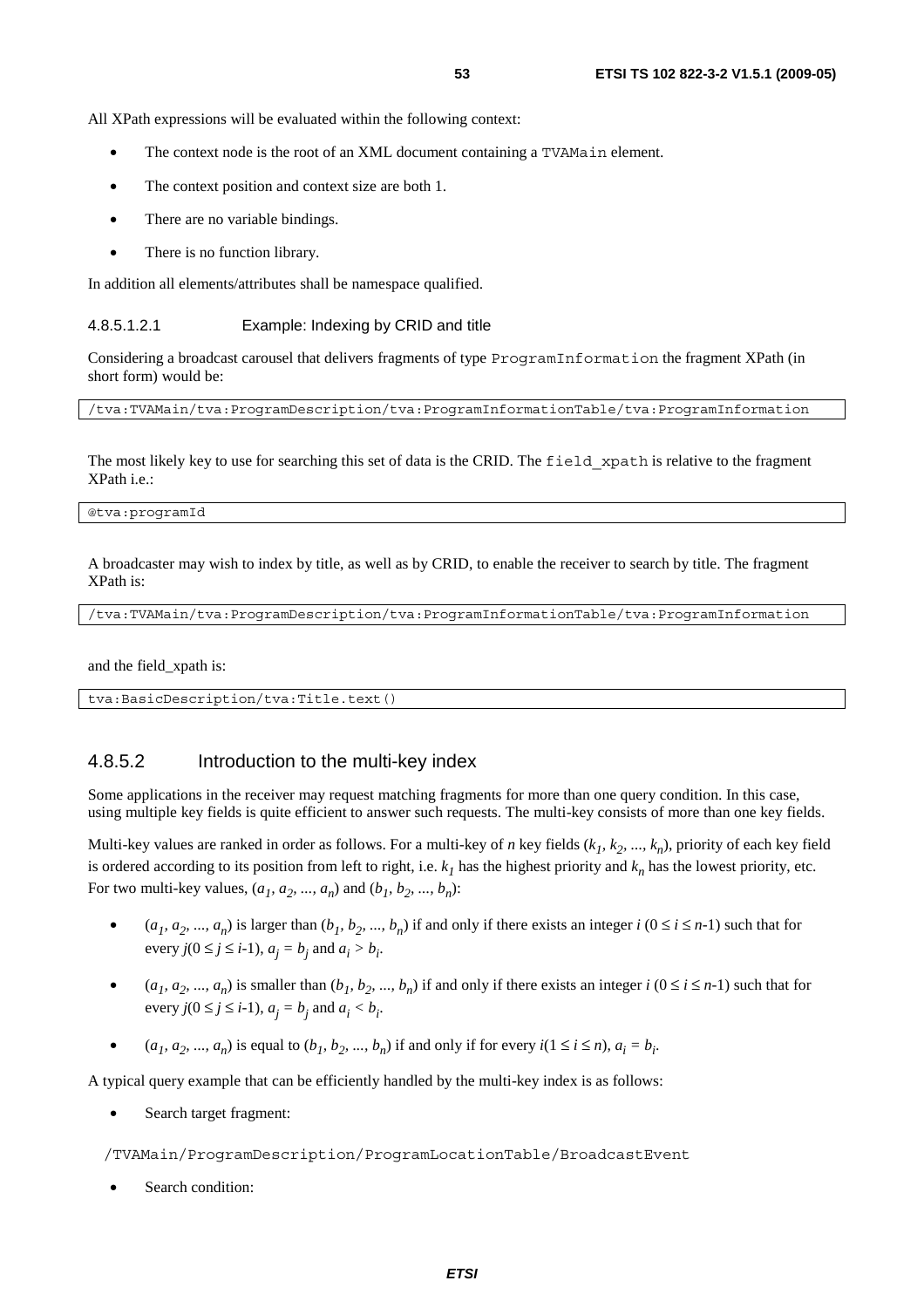All XPath expressions will be evaluated within the following context:

- The context node is the root of an XML document containing a TVAMain element.
- The context position and context size are both 1.
- There are no variable bindings.
- There is no function library.

In addition all elements/attributes shall be namespace qualified.

#### 4.8.5.1.2.1 Example: Indexing by CRID and title

Considering a broadcast carousel that delivers fragments of type ProgramInformation the fragment XPath (in short form) would be:

/tva:TVAMain/tva:ProgramDescription/tva:ProgramInformationTable/tva:ProgramInformation

The most likely key to use for searching this set of data is the CRID. The field xpath is relative to the fragment XPath i.e.:

@tva:programId

A broadcaster may wish to index by title, as well as by CRID, to enable the receiver to search by title. The fragment XPath is:

/tva:TVAMain/tva:ProgramDescription/tva:ProgramInformationTable/tva:ProgramInformation

and the field\_xpath is:

tva:BasicDescription/tva:Title.text()

### 4.8.5.2 Introduction to the multi-key index

Some applications in the receiver may request matching fragments for more than one query condition. In this case, using multiple key fields is quite efficient to answer such requests. The multi-key consists of more than one key fields.

Multi-key values are ranked in order as follows. For a multi-key of *n* key fields  $(k_1, k_2, ..., k_n)$ , priority of each key field is ordered according to its position from left to right, i.e.  $k<sub>1</sub>$  has the highest priority and  $k<sub>n</sub>$  has the lowest priority, etc. For two multi-key values,  $(a_1, a_2, ..., a_n)$  and  $(b_1, b_2, ..., b_n)$ :

- $(a_1, a_2, ..., a_n)$  is larger than  $(b_1, b_2, ..., b_n)$  if and only if there exists an integer  $i$   $(0 \le i \le n-1)$  such that for every  $j(0 \le j \le i-1)$ ,  $a_j = b_j$  and  $a_i > b_i$ .
- $(a_1, a_2, ..., a_n)$  is smaller than  $(b_1, b_2, ..., b_n)$  if and only if there exists an integer  $i$   $(0 \le i \le n-1)$  such that for every  $j(0 \le j \le i-1)$ ,  $a_j = b_j$  and  $a_i < b_i$ .
- $(a_1, a_2, ..., a_n)$  is equal to  $(b_1, b_2, ..., b_n)$  if and only if for every  $i(1 \le i \le n)$ ,  $a_i = b_i$ .

A typical query example that can be efficiently handled by the multi-key index is as follows:

Search target fragment:

/TVAMain/ProgramDescription/ProgramLocationTable/BroadcastEvent

Search condition: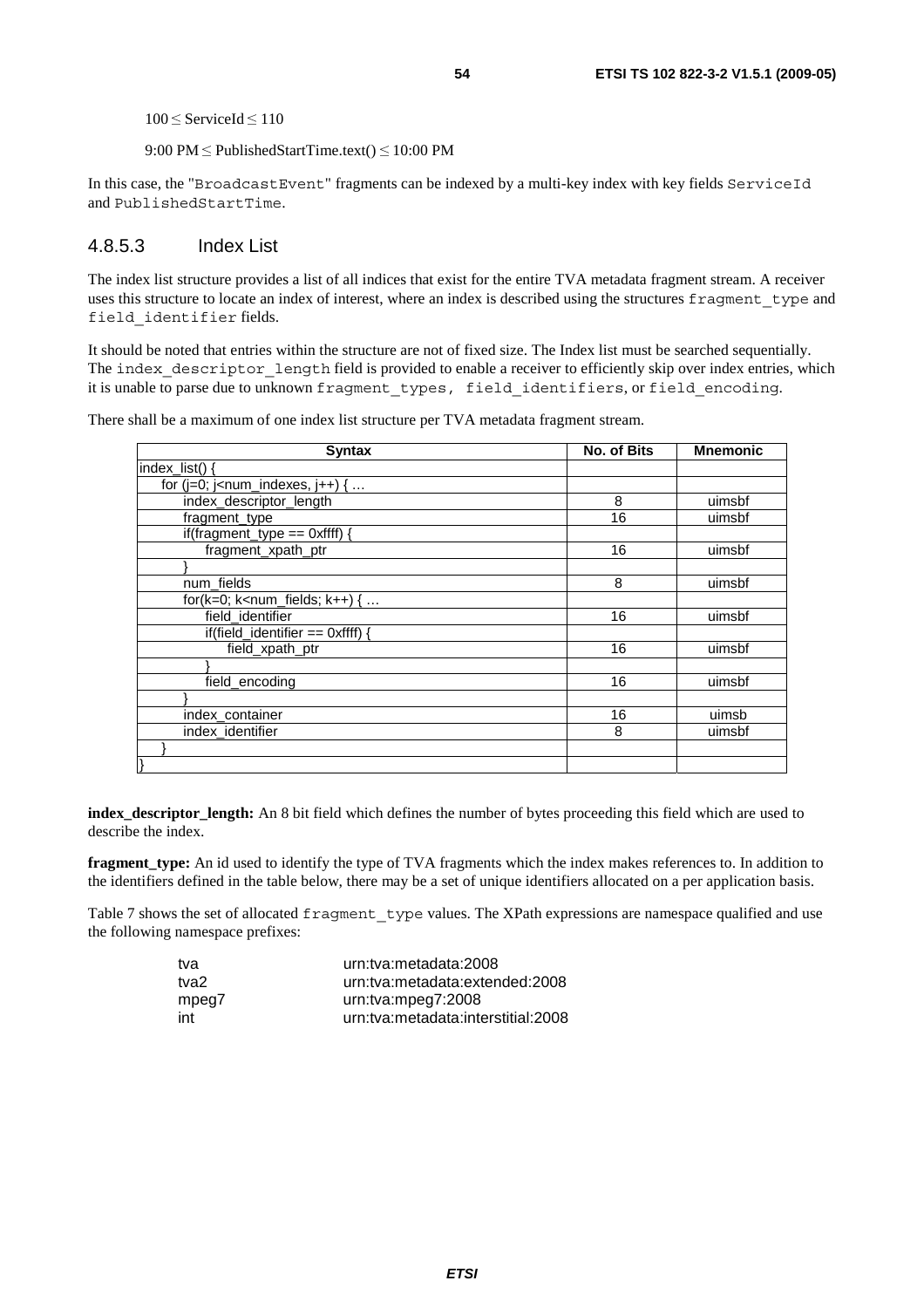<sup>100</sup>≤ ServiceId ≤<sup>110</sup>

9:00 PM  $\leq$  PublishedStartTime.text()  $\leq$  10:00 PM

In this case, the "BroadcastEvent" fragments can be indexed by a multi-key index with key fields ServiceId and PublishedStartTime.

### 4.8.5.3 Index List

The index list structure provides a list of all indices that exist for the entire TVA metadata fragment stream. A receiver uses this structure to locate an index of interest, where an index is described using the structures fragment type and field\_identifier fields.

It should be noted that entries within the structure are not of fixed size. The Index list must be searched sequentially. The index descriptor length field is provided to enable a receiver to efficiently skip over index entries, which it is unable to parse due to unknown fragment types, field identifiers, or field encoding.

There shall be a maximum of one index list structure per TVA metadata fragment stream.

| <b>Syntax</b>                           | <b>No. of Bits</b> | <b>Mnemonic</b> |
|-----------------------------------------|--------------------|-----------------|
| index list() {                          |                    |                 |
| for $(i=0; i1 - num_indexes, i++)$ {    |                    |                 |
| index_descriptor_length                 | 8                  | uimsbf          |
| fragment_type                           | 16                 | uimsbf          |
| if(fragment_type == $0$ xffff) {        |                    |                 |
| fragment_xpath_ptr                      | 16                 | uimsbf          |
|                                         |                    |                 |
| num_fields                              | 8                  | uimsbf          |
| for( $k=0$ ; $k<$ num_fields; $k++$ ) { |                    |                 |
| field_identifier                        | 16                 | uimsbf          |
| if(field_identifier == $0$ xffff)       |                    |                 |
| field_xpath_ptr                         | 16                 | uimsbf          |
|                                         |                    |                 |
| field_encoding                          | 16                 | uimsbf          |
|                                         |                    |                 |
| index_container                         | 16                 | uimsb           |
| index_identifier                        | 8                  | uimsbf          |
|                                         |                    |                 |
|                                         |                    |                 |

**index\_descriptor\_length:** An 8 bit field which defines the number of bytes proceeding this field which are used to describe the index.

**fragment\_type:** An id used to identify the type of TVA fragments which the index makes references to. In addition to the identifiers defined in the table below, there may be a set of unique identifiers allocated on a per application basis.

Table 7 shows the set of allocated fragment type values. The XPath expressions are namespace qualified and use the following namespace prefixes:

| tva   | urn:tva:metadata:2008              |
|-------|------------------------------------|
| tva2  | urn:tva:metadata:extended:2008     |
| mpeg7 | urn:tva:mpeg7:2008                 |
| int   | urn:tva:metadata:interstitial:2008 |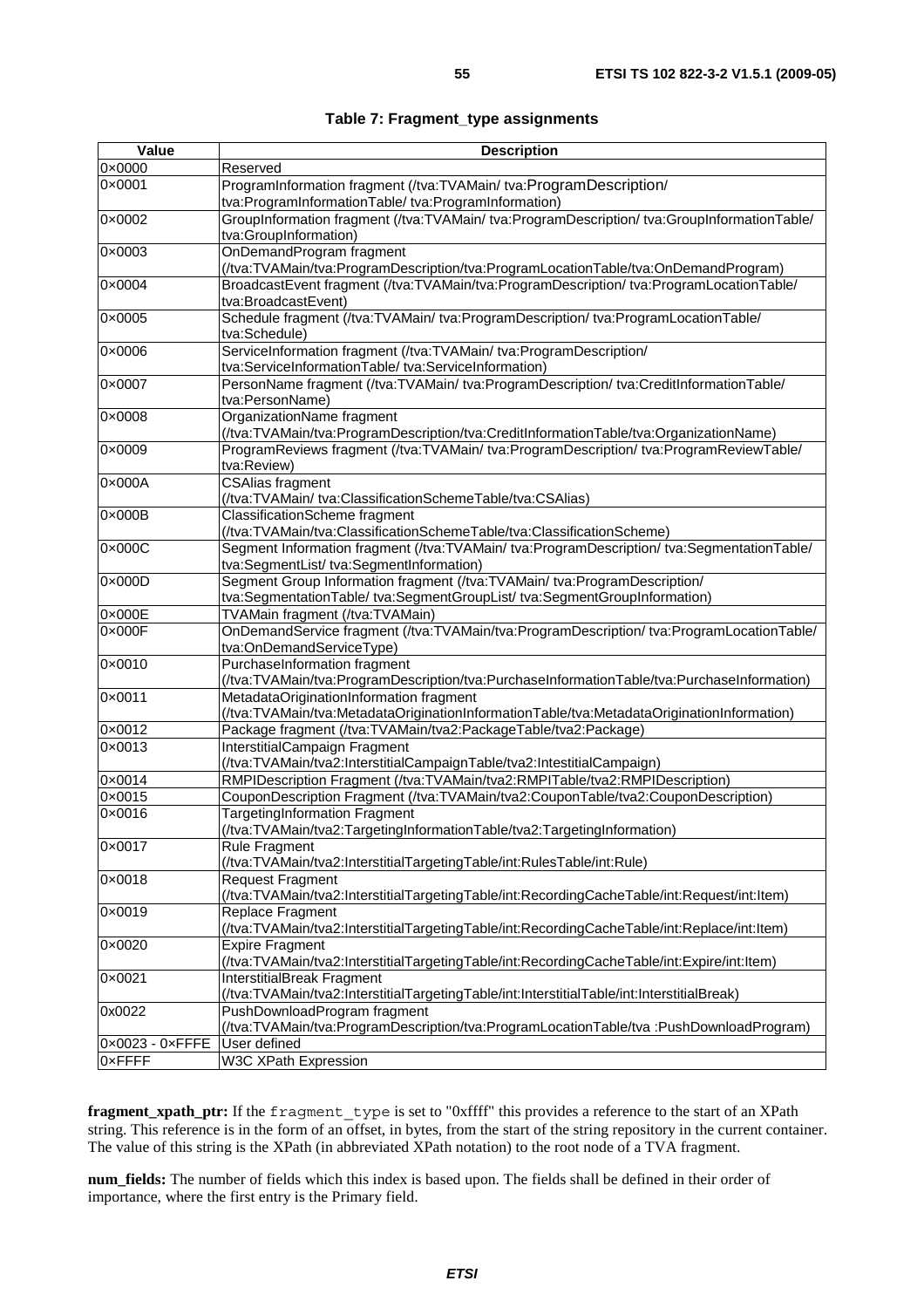| Value                           | <b>Description</b>                                                                          |
|---------------------------------|---------------------------------------------------------------------------------------------|
| 0x0000                          | Reserved                                                                                    |
| 0×0001                          | ProgramInformation fragment (/tva:TVAMain/ tva:ProgramDescription/                          |
|                                 | tva:ProgramInformationTable/tva:ProgramInformation)                                         |
| 0×0002                          | GroupInformation fragment (/tva:TVAMain/ tva:ProgramDescription/ tva:GroupInformationTable/ |
|                                 | tva:GroupInformation)                                                                       |
| 0×0003                          | OnDemandProgram fragment                                                                    |
|                                 | (/tva:TVAMain/tva:ProgramDescription/tva:ProgramLocationTable/tva:OnDemandProgram)          |
| 0×0004                          | BroadcastEvent fragment (/tva:TVAMain/tva:ProgramDescription/ tva:ProgramLocationTable/     |
|                                 | tva:BroadcastEvent)                                                                         |
| 0×0005                          | Schedule fragment (/tva:TVAMain/ tva:ProgramDescription/ tva:ProgramLocationTable/          |
|                                 | tva:Schedule)                                                                               |
| 0×0006                          | ServiceInformation fragment (/tva:TVAMain/ tva:ProgramDescription/                          |
|                                 | tva:ServiceInformationTable/ tva:ServiceInformation)                                        |
| 0×0007                          | PersonName fragment (/tva:TVAMain/ tva:ProgramDescription/ tva:CreditInformationTable/      |
|                                 | tva:PersonName)                                                                             |
| 0×0008                          | OrganizationName fragment                                                                   |
|                                 | (/tva:TVAMain/tva:ProgramDescription/tva:CreditInformationTable/tva:OrganizationName)       |
| 0×0009                          | ProgramReviews fragment (/tva:TVAMain/ tva:ProgramDescription/ tva:ProgramReviewTable/      |
|                                 | tva:Review)                                                                                 |
| 0×000A                          | <b>CSAlias fragment</b>                                                                     |
|                                 | (/tva:TVAMain/ tva:ClassificationSchemeTable/tva:CSAlias)                                   |
| 0×000B                          | ClassificationScheme fragment                                                               |
|                                 | (/tva:TVAMain/tva:ClassificationSchemeTable/tva:ClassificationScheme)                       |
| $0 \times 000C$                 | Segment Information fragment (/tva:TVAMain/ tva:ProgramDescription/ tva:SegmentationTable/  |
|                                 | tva:SegmentList/ tva:SegmentInformation)                                                    |
| 0×000D                          | Segment Group Information fragment (/tva:TVAMain/ tva:ProgramDescription/                   |
|                                 | tva:SegmentationTable/ tva:SegmentGroupList/ tva:SegmentGroupInformation)                   |
| 0×000E                          | TVAMain fragment (/tva:TVAMain)                                                             |
| 0×000F                          | OnDemandService fragment (/tva:TVAMain/tva:ProgramDescription/ tva:ProgramLocationTable/    |
|                                 | tva:OnDemandServiceType)                                                                    |
| 0×0010                          | PurchaseInformation fragment                                                                |
|                                 | (/tva:TVAMain/tva:ProgramDescription/tva:PurchaseInformationTable/tva:PurchaseInformation)  |
| 0×0011                          | MetadataOriginationInformation fragment                                                     |
|                                 | (/tva:TVAMain/tva:MetadataOriginationInformationTable/tva:MetadataOriginationInformation)   |
| 0×0012                          | Package fragment (/tva:TVAMain/tva2:PackageTable/tva2:Package)                              |
| 0×0013                          | InterstitialCampaign Fragment                                                               |
|                                 | (/tva:TVAMain/tva2:InterstitialCampaignTable/tva2:IntestitialCampaign)                      |
| 0×0014                          | RMPIDescription Fragment (/tva:TVAMain/tva2:RMPITable/tva2:RMPIDescription)                 |
| $0 \times 0015$                 | CouponDescription Fragment (/tva:TVAMain/tva2:CouponTable/tva2:CouponDescription)           |
| 0×0016                          | <b>TargetingInformation Fragment</b>                                                        |
|                                 | (/tva:TVAMain/tva2:TargetingInformationTable/tva2:TargetingInformation)                     |
| 0×0017                          | <b>Rule Fragment</b>                                                                        |
|                                 | (/tva:TVAMain/tva2:InterstitialTargetingTable/int:RulesTable/int:Rule)                      |
| 0×0018                          | <b>Request Fragment</b>                                                                     |
|                                 | (/tva:TVAMain/tva2:InterstitialTargetingTable/int:RecordingCacheTable/int:Request/int:Item) |
| 0×0019                          | Replace Fragment                                                                            |
|                                 | (/tva:TVAMain/tva2:InterstitialTargetingTable/int:RecordingCacheTable/int:Replace/int:Item) |
| 0×0020                          | <b>Expire Fragment</b>                                                                      |
|                                 | (/tva:TVAMain/tva2:InterstitialTargetingTable/int:RecordingCacheTable/int:Expire/int:Item)  |
| 0×0021                          | InterstitialBreak Fragment                                                                  |
|                                 | (/tva:TVAMain/tva2:InterstitialTargetingTable/int:InterstitialTable/int:InterstitialBreak)  |
| 0x0022                          | PushDownloadProgram fragment                                                                |
|                                 | (/tva:TVAMain/tva:ProgramDescription/tva:ProgramLocationTable/tva :PushDownloadProgram)     |
| $0 \times 0023 - 0 \times$ FFFE | User defined                                                                                |
| 0xFFFF                          | <b>W3C XPath Expression</b>                                                                 |

**fragment\_xpath\_ptr:** If the fragment type is set to "0xffff" this provides a reference to the start of an XPath string. This reference is in the form of an offset, in bytes, from the start of the string repository in the current container. The value of this string is the XPath (in abbreviated XPath notation) to the root node of a TVA fragment.

**num\_fields:** The number of fields which this index is based upon. The fields shall be defined in their order of importance, where the first entry is the Primary field.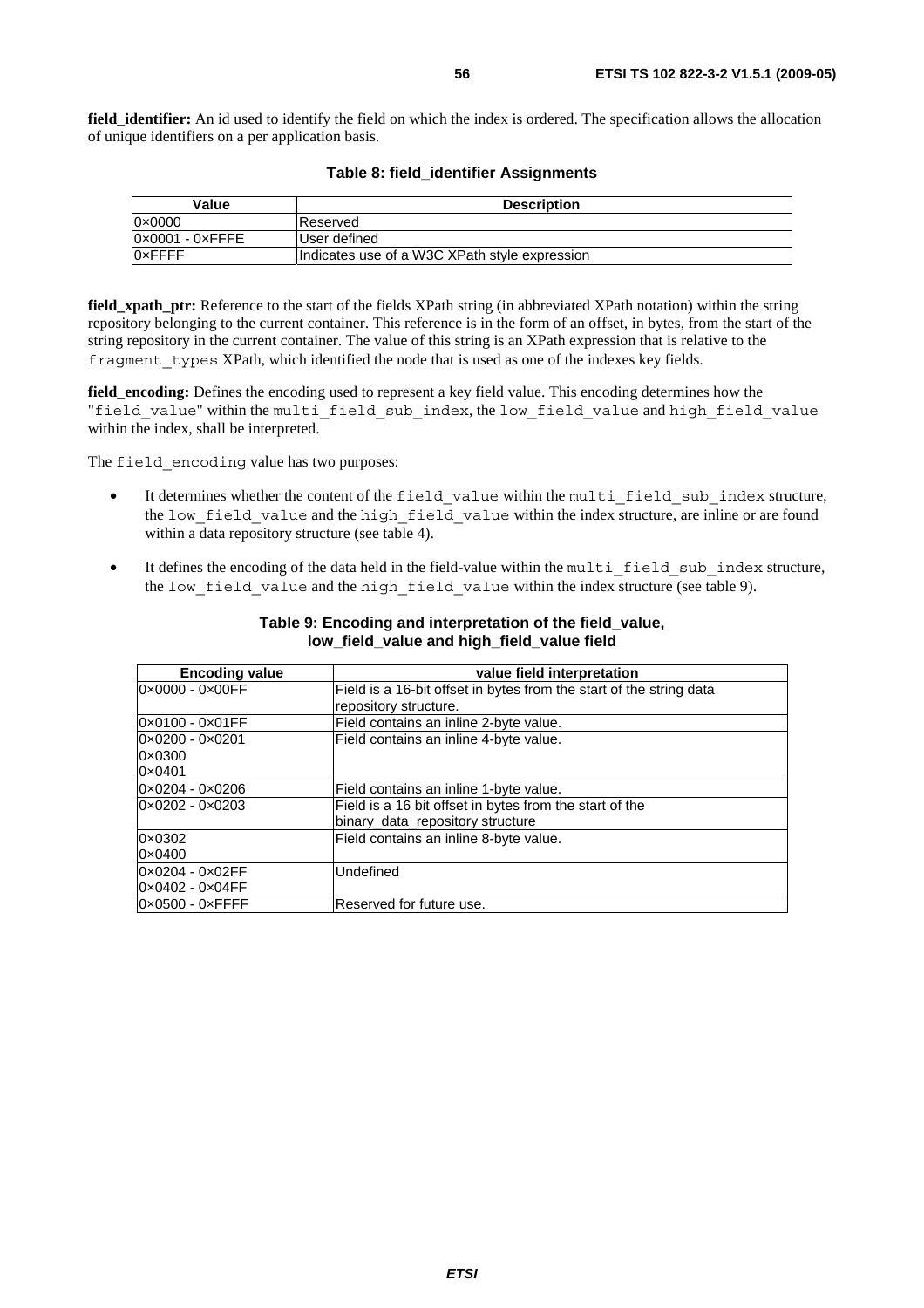**field identifier:** An id used to identify the field on which the index is ordered. The specification allows the allocation of unique identifiers on a per application basis.

| Value                           | <b>Description</b>                            |
|---------------------------------|-----------------------------------------------|
| $0 \times 0000$                 | Reserved                                      |
| $0 \times 0001 - 0 \times$ FFFE | User defined                                  |
| <b>OxFFFF</b>                   | Indicates use of a W3C XPath style expression |

#### **Table 8: field\_identifier Assignments**

**field xpath ptr:** Reference to the start of the fields XPath string (in abbreviated XPath notation) within the string repository belonging to the current container. This reference is in the form of an offset, in bytes, from the start of the string repository in the current container. The value of this string is an XPath expression that is relative to the fragment types XPath, which identified the node that is used as one of the indexes key fields.

**field\_encoding:** Defines the encoding used to represent a key field value. This encoding determines how the "field value" within the multi field sub index, the low field value and high field value within the index, shall be interpreted.

The field encoding value has two purposes:

- It determines whether the content of the field value within the multi field sub index structure, the low field value and the high field value within the index structure, are inline or are found within a data repository structure (see table 4).
- It defines the encoding of the data held in the field-value within the multi field sub index structure, the low field value and the high field value within the index structure (see table 9).

| <b>Encoding value</b>           | value field interpretation                                          |
|---------------------------------|---------------------------------------------------------------------|
| 0×0000 - 0×00FF                 | Field is a 16-bit offset in bytes from the start of the string data |
|                                 | repository structure.                                               |
| $0 \times 0100 - 0 \times 01FF$ | Field contains an inline 2-byte value.                              |
| $0 \times 0200 - 0 \times 0201$ | Field contains an inline 4-byte value.                              |
| $0 \times 0300$                 |                                                                     |
| 0×0401                          |                                                                     |
| 0×0204 - 0×0206                 | Field contains an inline 1-byte value.                              |
| 0×0202 - 0×0203                 | Field is a 16 bit offset in bytes from the start of the             |
|                                 | binary_data_repository structure                                    |
| $0 \times 0302$                 | Field contains an inline 8-byte value.                              |
| $0 \times 0400$                 |                                                                     |
| 0x0204 - 0x02FF                 | Undefined                                                           |
| $0 \times 0402 - 0 \times 04FF$ |                                                                     |
| $0 \times 0500 - 0 \times$ FFFF | Reserved for future use.                                            |

#### **Table 9: Encoding and interpretation of the field\_value, low\_field\_value and high\_field\_value field**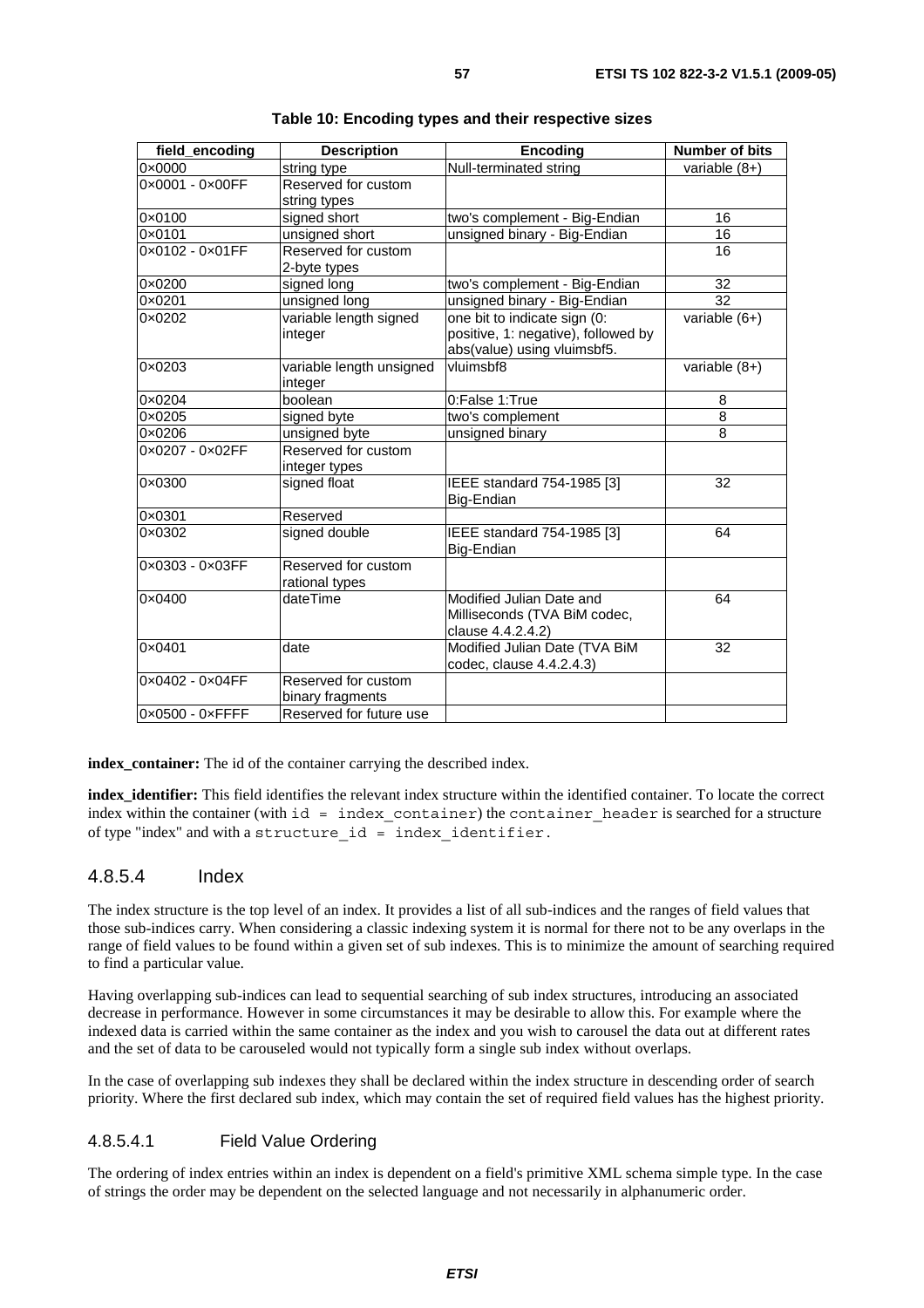| field_encoding                  | <b>Description</b>       | <b>Encoding</b>                     | <b>Number of bits</b> |
|---------------------------------|--------------------------|-------------------------------------|-----------------------|
| 0x0000                          | string type              | Null-terminated string              | variable $(8+)$       |
| 0x0001 - 0x00FF                 | Reserved for custom      |                                     |                       |
|                                 | string types             |                                     |                       |
| $0 \times 0100$                 | signed short             | two's complement - Big-Endian       | 16                    |
| 0x0101                          | unsigned short           | unsigned binary - Big-Endian        | 16                    |
| $0 \times 0102 - 0 \times 01FF$ | Reserved for custom      |                                     | 16                    |
|                                 | 2-byte types             |                                     |                       |
| 0×0200                          | signed long              | two's complement - Big-Endian       | 32                    |
| 0×0201                          | unsigned long            | unsigned binary - Big-Endian        | 32                    |
| 0×0202                          | variable length signed   | one bit to indicate sign (0:        | variable (6+)         |
|                                 | integer                  | positive, 1: negative), followed by |                       |
|                                 |                          | abs(value) using vluimsbf5.         |                       |
| 0×0203                          | variable length unsigned | vluimsbf8                           | variable $(8+)$       |
|                                 | integer                  |                                     |                       |
| 0×0204                          | boolean                  | 0:False 1:True                      | 8                     |
| 0×0205                          | signed byte              | two's complement                    | $\overline{8}$        |
| 0×0206                          | unsigned byte            | unsigned binary                     | 8                     |
| 0×0207 - 0×02FF                 | Reserved for custom      |                                     |                       |
|                                 | integer types            |                                     |                       |
| 0×0300                          | signed float             | IEEE standard 754-1985 [3]          | 32                    |
|                                 |                          | Big-Endian                          |                       |
| 0×0301                          | Reserved                 |                                     |                       |
| 0×0302                          | signed double            | IEEE standard 754-1985 [3]          | 64                    |
|                                 |                          | Big-Endian                          |                       |
| 0×0303 - 0×03FF                 | Reserved for custom      |                                     |                       |
|                                 | rational types           |                                     |                       |
| 0×0400                          | dateTime                 | Modified Julian Date and            | 64                    |
|                                 |                          | Milliseconds (TVA BiM codec,        |                       |
|                                 |                          | clause 4.4.2.4.2)                   |                       |
| 0×0401                          | date                     | Modified Julian Date (TVA BiM       | 32                    |
|                                 |                          | codec, clause 4.4.2.4.3)            |                       |
| 0×0402 - 0×04FF                 | Reserved for custom      |                                     |                       |
|                                 | binary fragments         |                                     |                       |
| 0×0500 - 0×FFFF                 | Reserved for future use  |                                     |                       |

**index\_container:** The id of the container carrying the described index.

**index\_identifier:** This field identifies the relevant index structure within the identified container. To locate the correct index within the container (with  $id = index content$  container) the container header is searched for a structure of type "index" and with a structure\_id = index\_identifier.

### 4.8.5.4 Index

The index structure is the top level of an index. It provides a list of all sub-indices and the ranges of field values that those sub-indices carry. When considering a classic indexing system it is normal for there not to be any overlaps in the range of field values to be found within a given set of sub indexes. This is to minimize the amount of searching required to find a particular value.

Having overlapping sub-indices can lead to sequential searching of sub index structures, introducing an associated decrease in performance. However in some circumstances it may be desirable to allow this. For example where the indexed data is carried within the same container as the index and you wish to carousel the data out at different rates and the set of data to be carouseled would not typically form a single sub index without overlaps.

In the case of overlapping sub indexes they shall be declared within the index structure in descending order of search priority. Where the first declared sub index, which may contain the set of required field values has the highest priority.

### 4.8.5.4.1 Field Value Ordering

The ordering of index entries within an index is dependent on a field's primitive XML schema simple type. In the case of strings the order may be dependent on the selected language and not necessarily in alphanumeric order.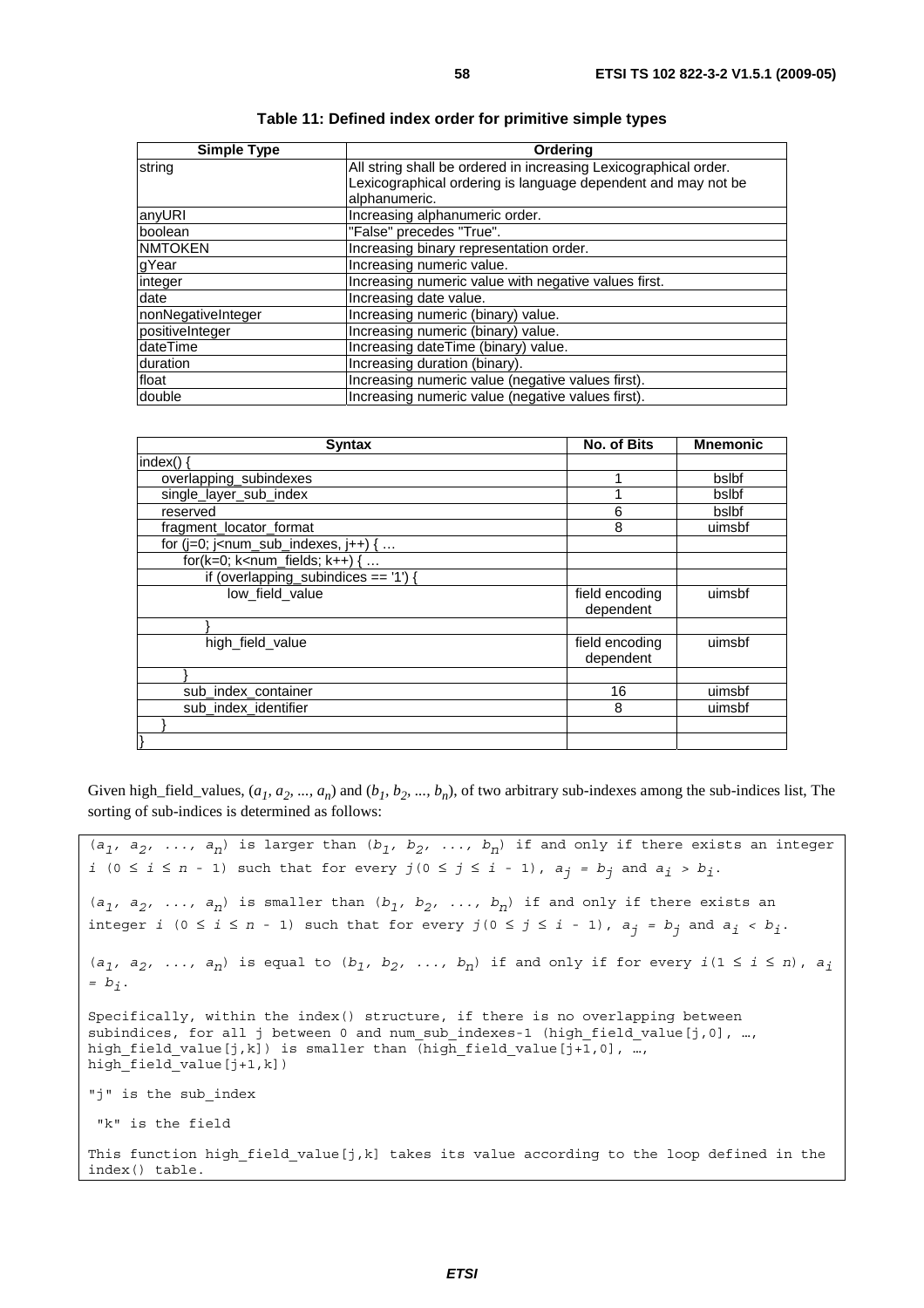| <b>Simple Type</b> | Orderina                                                         |
|--------------------|------------------------------------------------------------------|
| string             | All string shall be ordered in increasing Lexicographical order. |
|                    | Lexicographical ordering is language dependent and may not be    |
|                    | alphanumeric.                                                    |
| anyURI             | Increasing alphanumeric order.                                   |
| boolean            | "False" precedes "True".                                         |
| <b>NMTOKEN</b>     | Increasing binary representation order.                          |
| gYear              | Increasing numeric value.                                        |
| integer            | Increasing numeric value with negative values first.             |
| date               | Increasing date value.                                           |
| nonNegativeInteger | Increasing numeric (binary) value.                               |
| positiveInteger    | Increasing numeric (binary) value.                               |
| dateTime           | Increasing dateTime (binary) value.                              |
| duration           | Increasing duration (binary).                                    |
| float              | Increasing numeric value (negative values first).                |
| double             | Increasing numeric value (negative values first).                |

| <b>Syntax</b>                            | <b>No. of Bits</b>          | <b>Mnemonic</b> |
|------------------------------------------|-----------------------------|-----------------|
| index()                                  |                             |                 |
| overlapping_subindexes                   |                             | bslbf           |
| single_layer_sub_index                   |                             | bslbf           |
| reserved                                 | 6                           | bslbf           |
| fragment_locator_format                  | 8                           | uimsbf          |
| for $(i=0; j1 - num_sub_indexes, i++)$ { |                             |                 |
| for( $k=0$ ; $k<$ num_fields; $k++$ ) {  |                             |                 |
| if (overlapping_subindices == $'1'$ )    |                             |                 |
| low_field_value                          | field encoding<br>dependent | uimsbf          |
|                                          |                             |                 |
| high field value                         | field encoding<br>dependent | uimsbf          |
|                                          |                             |                 |
| sub index container                      | 16                          | uimsbf          |
| sub_index_identifier                     | 8                           | uimsbf          |
|                                          |                             |                 |
|                                          |                             |                 |

Given high\_field\_values,  $(a_1, a_2, ..., a_n)$  and  $(b_1, b_2, ..., b_n)$ , of two arbitrary sub-indexes among the sub-indices list, The sorting of sub-indices is determined as follows:

```
(a_1, a_2, \ldots, a_n) is larger than (b_1, b_2, \ldots, b_n) if and only if there exists an integer
i (0 ≤ i ≤ n - 1) such that for every j (0 ≤ j ≤ i - 1), a_j = b_j and a_i > b_j.
(a_1, a_2, \ldots, a_n) is smaller than (b_1, b_2, \ldots, b_n) if and only if there exists an
integer i (0 ≤ i ≤ n - 1) such that for every j(0 ≤ j ≤ i - 1), aj = bj and ai < bi. 
(a_1, a_2, \ldots, a_n) is equal to (b_1, b_2, \ldots, b_n) if and only if for every i(1 \leq i \leq n), a_i= bi. 
Specifically, within the index() structure, if there is no overlapping between 
subindices, for all j between 0 and num sub indexes-1 (high field value[j,0], …,
high_field_value[j,k]) is smaller than (high_field_value[j+1,0], …,
high\overline{field}value[j+1,k])"j" is the sub_index 
 "k" is the field
This function high field value[j,k] takes its value according to the loop defined in the
index() table.
```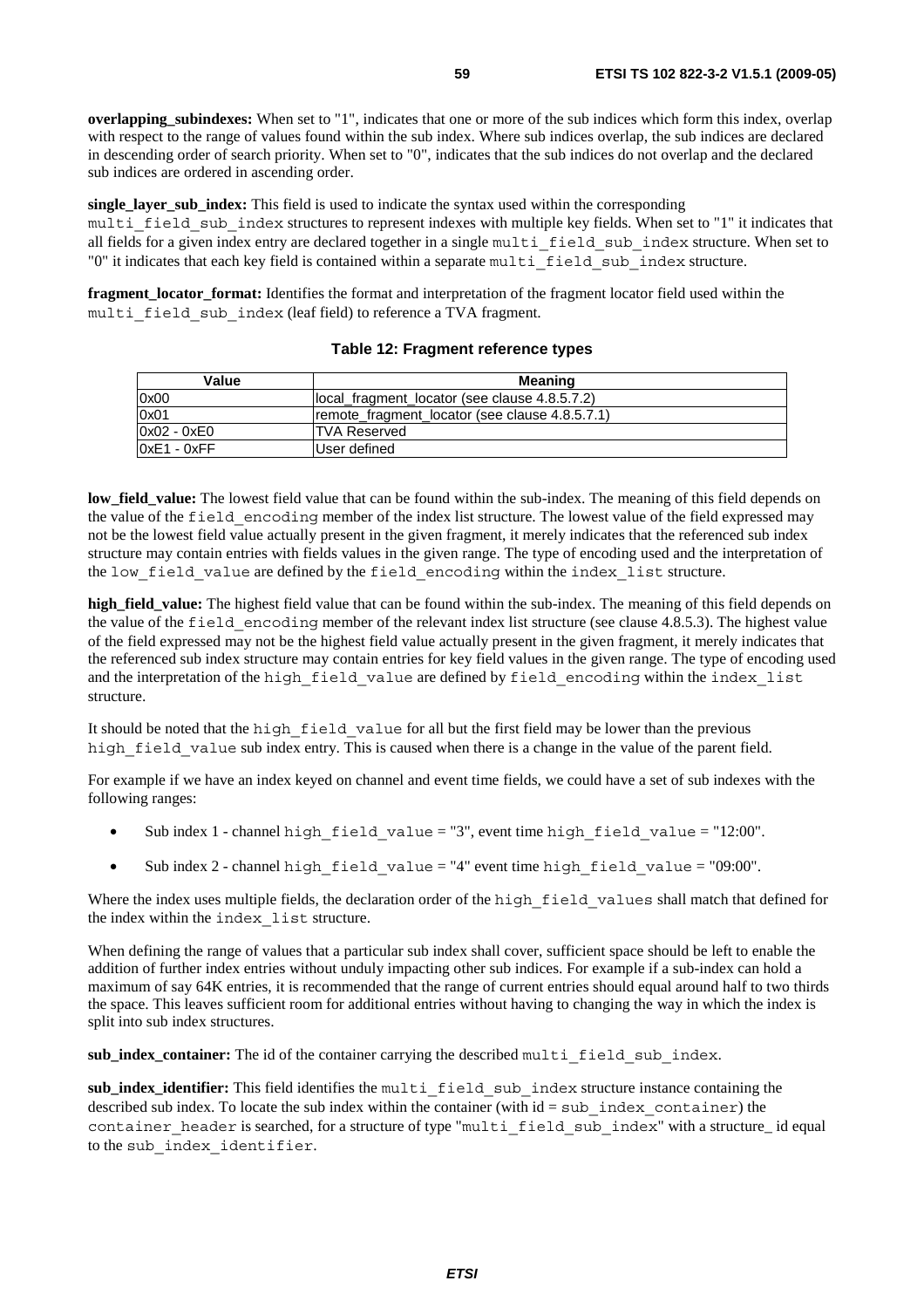**overlapping\_subindexes:** When set to "1", indicates that one or more of the sub indices which form this index, overlap with respect to the range of values found within the sub index. Where sub indices overlap, the sub indices are declared in descending order of search priority. When set to "0", indicates that the sub indices do not overlap and the declared sub indices are ordered in ascending order.

**single layer sub index:** This field is used to indicate the syntax used within the corresponding multi field sub index structures to represent indexes with multiple key fields. When set to "1" it indicates that all fields for a given index entry are declared together in a single multi field sub index structure. When set to "0" it indicates that each key field is contained within a separate multi\_field\_sub\_index structure.

**fragment\_locator\_format:** Identifies the format and interpretation of the fragment locator field used within the multi field sub index (leaf field) to reference a TVA fragment.

| Value         | <b>Meaning</b>                                 |
|---------------|------------------------------------------------|
| 0x00          | llocal fragment locator (see clause 4.8.5.7.2) |
| 0x01          | remote fragment locator (see clause 4.8.5.7.1) |
| $0x02 - 0xE0$ | ITVA Reserved                                  |
| $0xE1 - 0xFF$ | User defined                                   |

#### **Table 12: Fragment reference types**

**low\_field\_value:** The lowest field value that can be found within the sub-index. The meaning of this field depends on the value of the field\_encoding member of the index list structure. The lowest value of the field expressed may not be the lowest field value actually present in the given fragment, it merely indicates that the referenced sub index structure may contain entries with fields values in the given range. The type of encoding used and the interpretation of the low field value are defined by the field encoding within the index list structure.

**high\_field\_value:** The highest field value that can be found within the sub-index. The meaning of this field depends on the value of the field\_encoding member of the relevant index list structure (see clause 4.8.5.3). The highest value of the field expressed may not be the highest field value actually present in the given fragment, it merely indicates that the referenced sub index structure may contain entries for key field values in the given range. The type of encoding used and the interpretation of the high field value are defined by field encoding within the index list structure.

It should be noted that the high\_field\_value for all but the first field may be lower than the previous high field value sub index entry. This is caused when there is a change in the value of the parent field.

For example if we have an index keyed on channel and event time fields, we could have a set of sub indexes with the following ranges:

- Sub index 1 channel high field value = "3", event time high field value = "12:00".
- Sub index 2 channel high field value = "4" event time high field value = "09:00".

Where the index uses multiple fields, the declaration order of the high field values shall match that defined for the index within the index\_list structure.

When defining the range of values that a particular sub index shall cover, sufficient space should be left to enable the addition of further index entries without unduly impacting other sub indices. For example if a sub-index can hold a maximum of say 64K entries, it is recommended that the range of current entries should equal around half to two thirds the space. This leaves sufficient room for additional entries without having to changing the way in which the index is split into sub index structures.

sub\_index\_container: The id of the container carrying the described multi field sub index.

sub index identifier: This field identifies the multi field sub index structure instance containing the described sub index. To locate the sub index within the container (with  $id = sub$  index container) the container header is searched, for a structure of type "multi field sub index" with a structure id equal to the sub\_index\_identifier.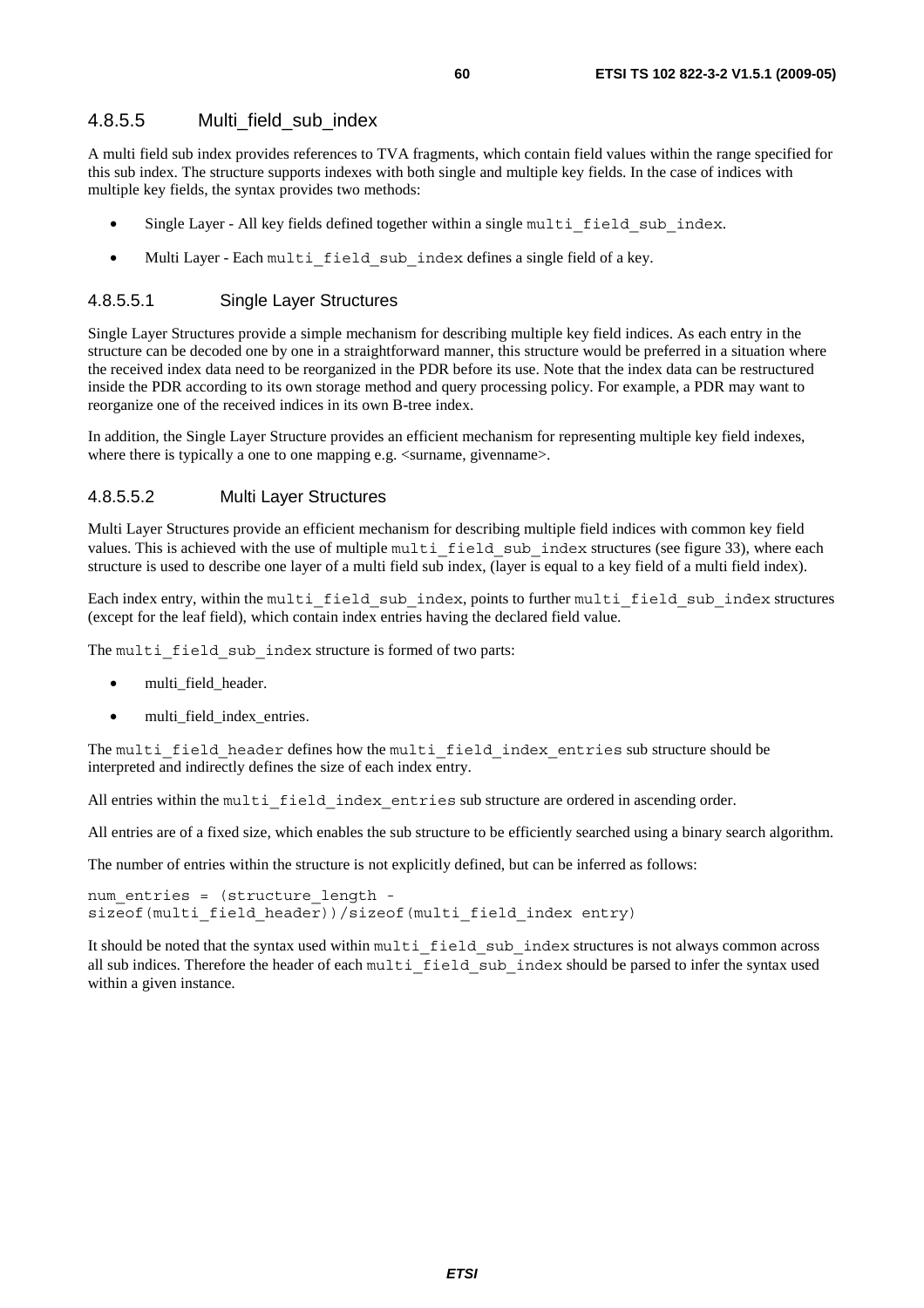### 4.8.5.5 Multi field sub\_index

A multi field sub index provides references to TVA fragments, which contain field values within the range specified for this sub index. The structure supports indexes with both single and multiple key fields. In the case of indices with multiple key fields, the syntax provides two methods:

- Single Layer All key fields defined together within a single multi field sub index.
- Multi Layer Each multi field sub index defines a single field of a key.

#### 4.8.5.5.1 Single Layer Structures

Single Layer Structures provide a simple mechanism for describing multiple key field indices. As each entry in the structure can be decoded one by one in a straightforward manner, this structure would be preferred in a situation where the received index data need to be reorganized in the PDR before its use. Note that the index data can be restructured inside the PDR according to its own storage method and query processing policy. For example, a PDR may want to reorganize one of the received indices in its own B-tree index.

In addition, the Single Layer Structure provides an efficient mechanism for representing multiple key field indexes, where there is typically a one to one mapping e.g.  $\langle$ surname, givenname $\rangle$ .

#### 4.8.5.5.2 Multi Layer Structures

Multi Layer Structures provide an efficient mechanism for describing multiple field indices with common key field values. This is achieved with the use of multiple multilaged sub-index structures (see figure 33), where each structure is used to describe one layer of a multi field sub index, (layer is equal to a key field of a multi field index).

Each index entry, within the multi\_field\_sub\_index, points to further multi\_field\_sub\_index structures (except for the leaf field), which contain index entries having the declared field value.

The multi field sub index structure is formed of two parts:

- multi\_field\_header.
- multi\_field\_index\_entries.

The multi field header defines how the multi field index entries sub structure should be interpreted and indirectly defines the size of each index entry.

All entries within the multi field index entries sub structure are ordered in ascending order.

All entries are of a fixed size, which enables the sub structure to be efficiently searched using a binary search algorithm.

The number of entries within the structure is not explicitly defined, but can be inferred as follows:

```
num entries = (structure length -
sizeof(multi field header))/sizeof(multi field index entry)
```
It should be noted that the syntax used within multi\_field\_sub\_index structures is not always common across all sub indices. Therefore the header of each multi field sub index should be parsed to infer the syntax used within a given instance.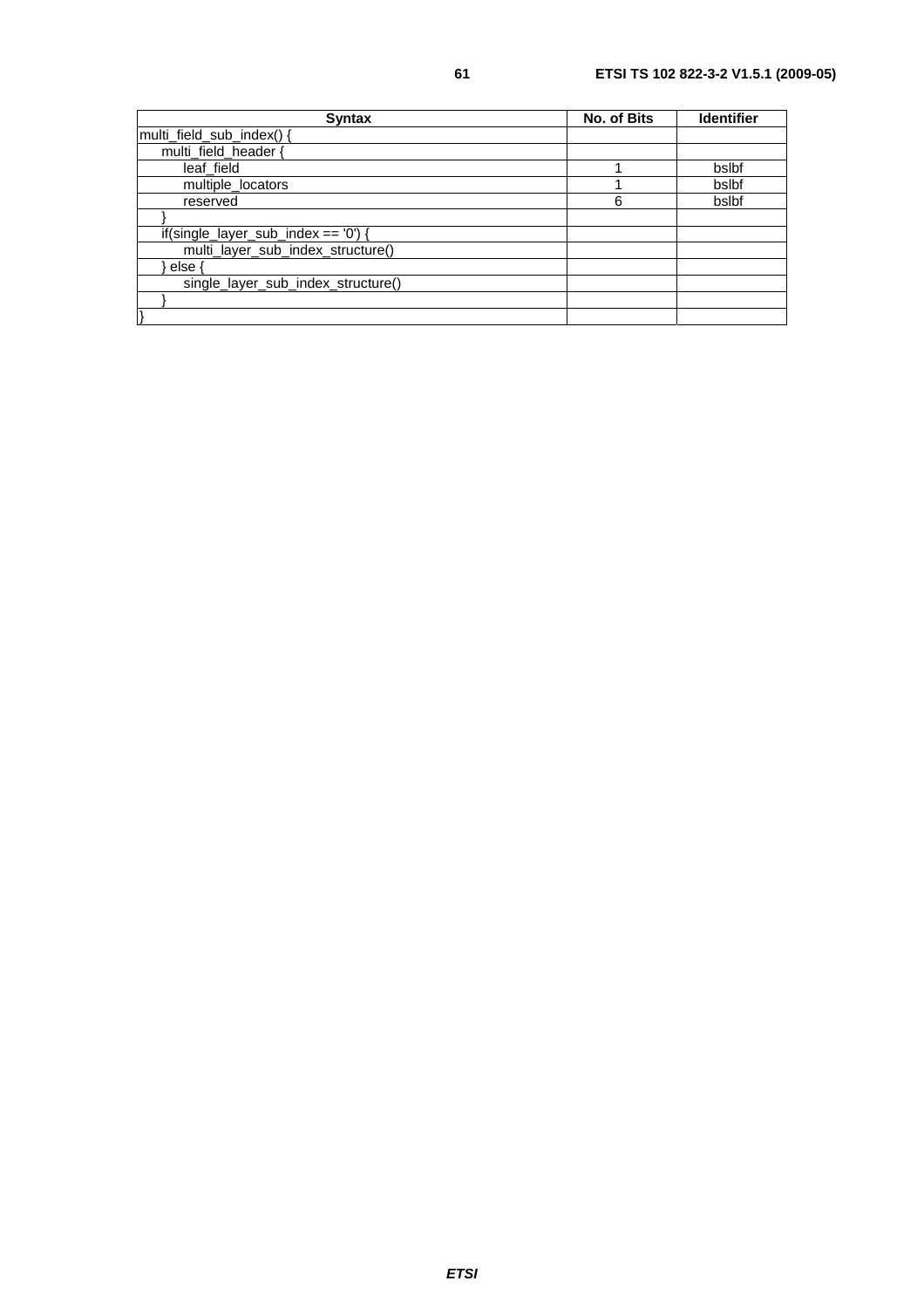| <b>Syntax</b>                        | No. of Bits | <b>Identifier</b> |
|--------------------------------------|-------------|-------------------|
| multi_field_sub_index() {            |             |                   |
| multi field header {                 |             |                   |
| leaf field                           |             | bslbf             |
| multiple_locators                    |             | bslbf             |
| reserved                             | 6           | bslbf             |
|                                      |             |                   |
| $if(single_layer\_sub_index == '0')$ |             |                   |
| multi_layer_sub_index_structure()    |             |                   |
| else                                 |             |                   |
| single_layer_sub_index_structure()   |             |                   |
|                                      |             |                   |
|                                      |             |                   |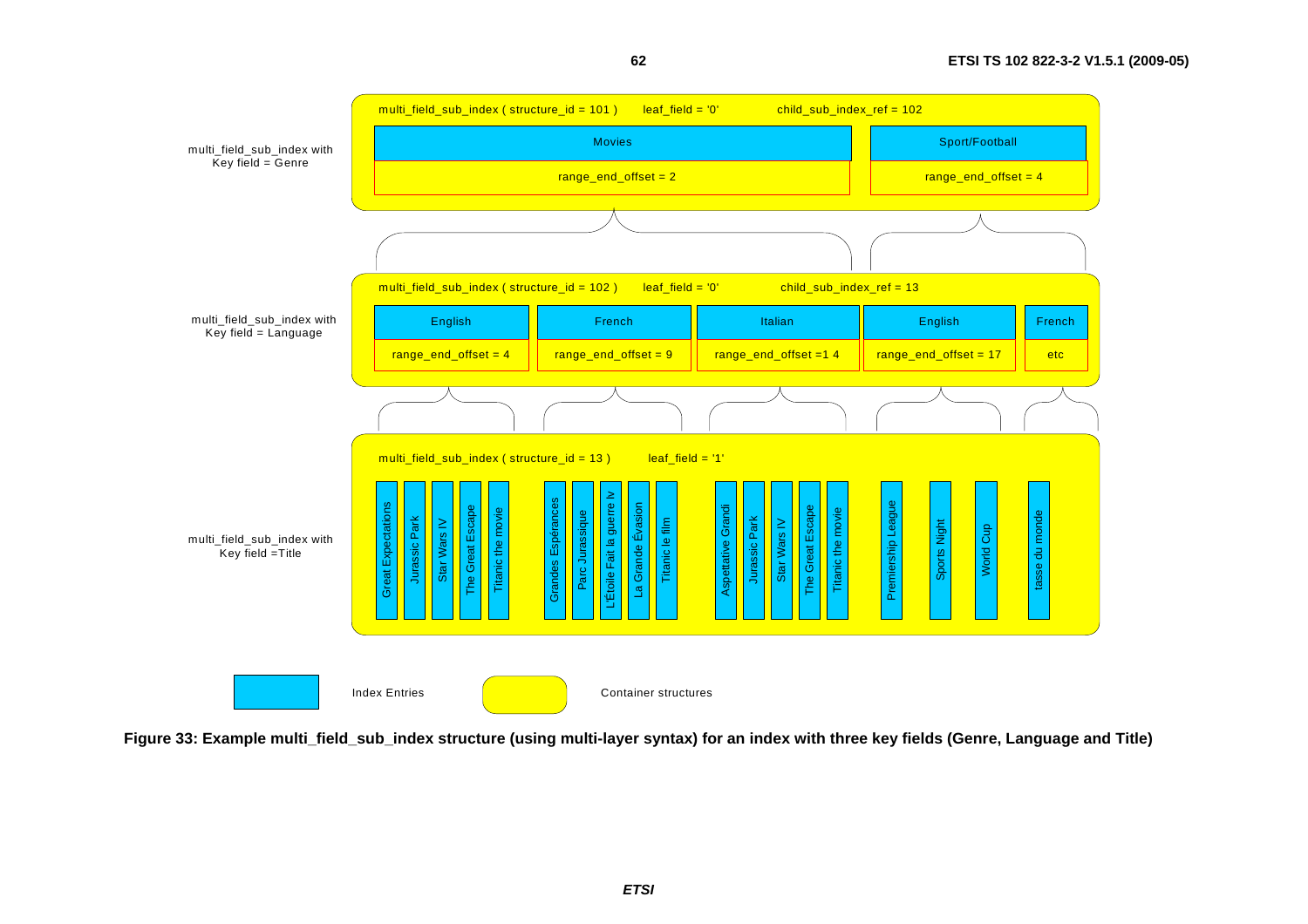

**62**

**Figure 33: Example multi\_field\_sub\_index structure (using multi-layer syntax) for an index with three key fields (Genre, Language and Title)**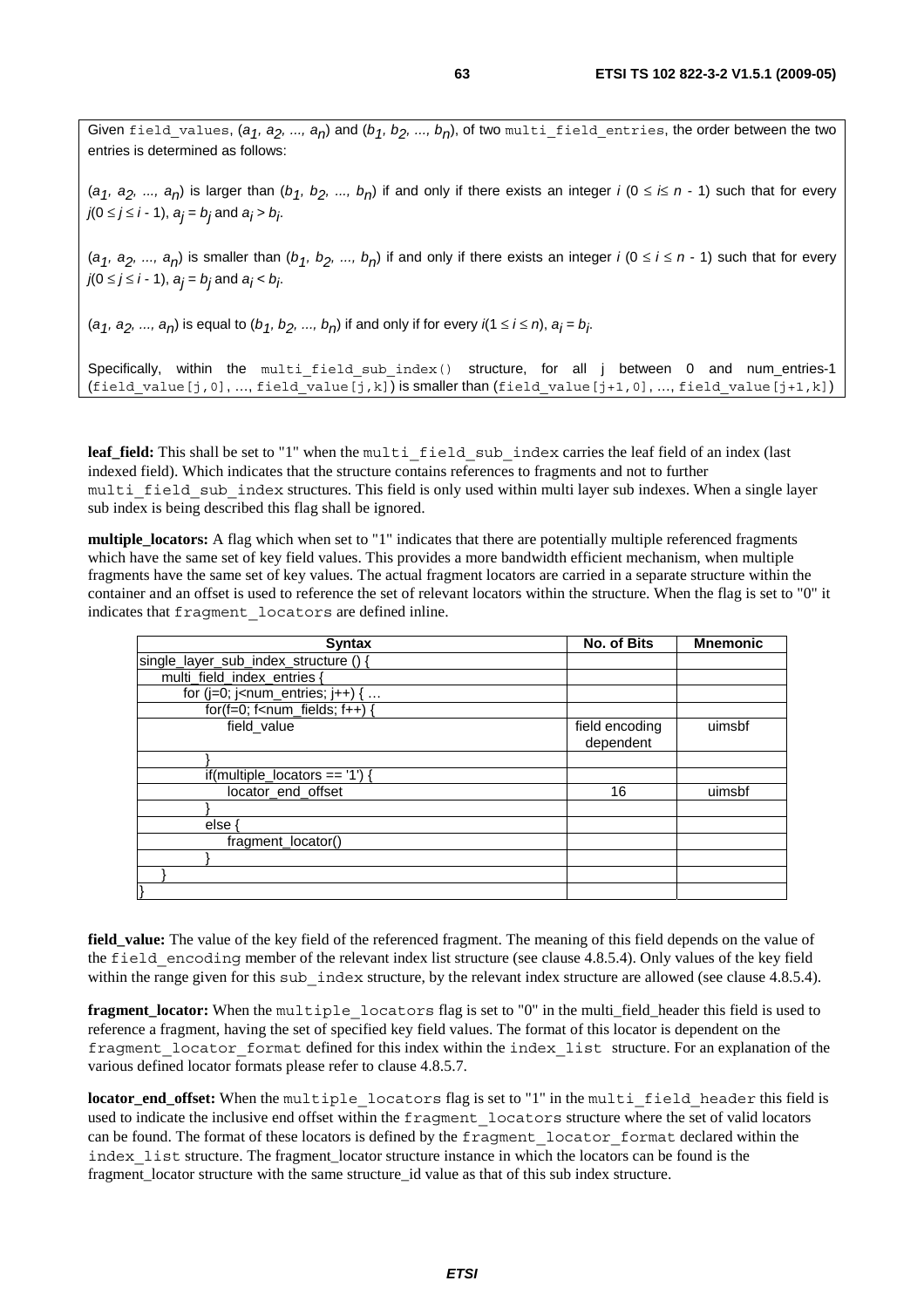Given field\_values,  $(a_1, a_2, ..., a_n)$  and  $(b_1, b_2, ..., b_n)$ , of two multi\_field entries, the order between the two entries is determined as follows:

( $a_1$ ,  $a_2$ , ...,  $a_n$ ) is larger than ( $b_1$ ,  $b_2$ , ...,  $b_n$ ) if and only if there exists an integer *i* ( $0 \le k \le n - 1$ ) such that for every *j*(0 ≤ *j* ≤ *i* − 1), *a<sub>j</sub>* = *b<sub>j</sub>* and *a<sub>j</sub>* > *b<sub>j</sub>.* 

 $(a_1, a_2, ..., a_n)$  is smaller than  $(b_1, b_2, ..., b_n)$  if and only if there exists an integer *i*  $(0 \le i \le n - 1)$  such that for every *j*(0 ≤ *j* ≤ *i* − 1), *a<sub>j</sub>* = *b<sub>j</sub>* and *a<sub>j</sub>* < *b<sub>j</sub>*.

 $(a_1, a_2, ..., a_n)$  is equal to  $(b_1, b_2, ..., b_n)$  if and only if for every *i*(1 ≤ *i* ≤ *n*),  $a_j$  =  $b_j$ .

Specifically, within the multi field sub index() structure, for all j between 0 and num\_entries-1 (field value[j,0], …, field value[j,k]) is smaller than (field value[j+1,0], …, field value[j+1,k])

leaf\_field: This shall be set to "1" when the multi field sub index carries the leaf field of an index (last indexed field). Which indicates that the structure contains references to fragments and not to further multi field sub index structures. This field is only used within multi layer sub indexes. When a single layer sub index is being described this flag shall be ignored.

**multiple** locators: A flag which when set to "1" indicates that there are potentially multiple referenced fragments which have the same set of key field values. This provides a more bandwidth efficient mechanism, when multiple fragments have the same set of key values. The actual fragment locators are carried in a separate structure within the container and an offset is used to reference the set of relevant locators within the structure. When the flag is set to "0" it indicates that fragment\_locators are defined inline.

| <b>Syntax</b>                                                   | No. of Bits                 | <b>Mnemonic</b> |
|-----------------------------------------------------------------|-----------------------------|-----------------|
| single_layer_sub_index_structure () {                           |                             |                 |
| multi_field_index_entries {                                     |                             |                 |
| for ( $j=0$ ; $j$ <num_entries; <math="">j++) { </num_entries;> |                             |                 |
| $for(f=0; f$                                                    |                             |                 |
| field value                                                     | field encoding<br>dependent | uimsbf          |
|                                                                 |                             |                 |
| if(multiple_locators == '1') {                                  |                             |                 |
| locator end offset                                              | 16                          | uimsbf          |
|                                                                 |                             |                 |
| else                                                            |                             |                 |
| fragment locator()                                              |                             |                 |
|                                                                 |                             |                 |
|                                                                 |                             |                 |
|                                                                 |                             |                 |

**field\_value:** The value of the key field of the referenced fragment. The meaning of this field depends on the value of the field encoding member of the relevant index list structure (see clause 4.8.5.4). Only values of the key field within the range given for this sub index structure, by the relevant index structure are allowed (see clause 4.8.5.4).

**fragment\_locator:** When the multiple\_locators flag is set to "0" in the multi\_field\_header this field is used to reference a fragment, having the set of specified key field values. The format of this locator is dependent on the fragment\_locator\_format defined for this index within the index\_list structure. For an explanation of the various defined locator formats please refer to clause 4.8.5.7.

**locator\_end\_offset:** When the multiple\_locators flag is set to "1" in the multi\_field\_header this field is used to indicate the inclusive end offset within the fragment\_locators structure where the set of valid locators can be found. The format of these locators is defined by the fragment locator format declared within the index\_list structure. The fragment\_locator structure instance in which the locators can be found is the fragment\_locator structure with the same structure\_id value as that of this sub index structure.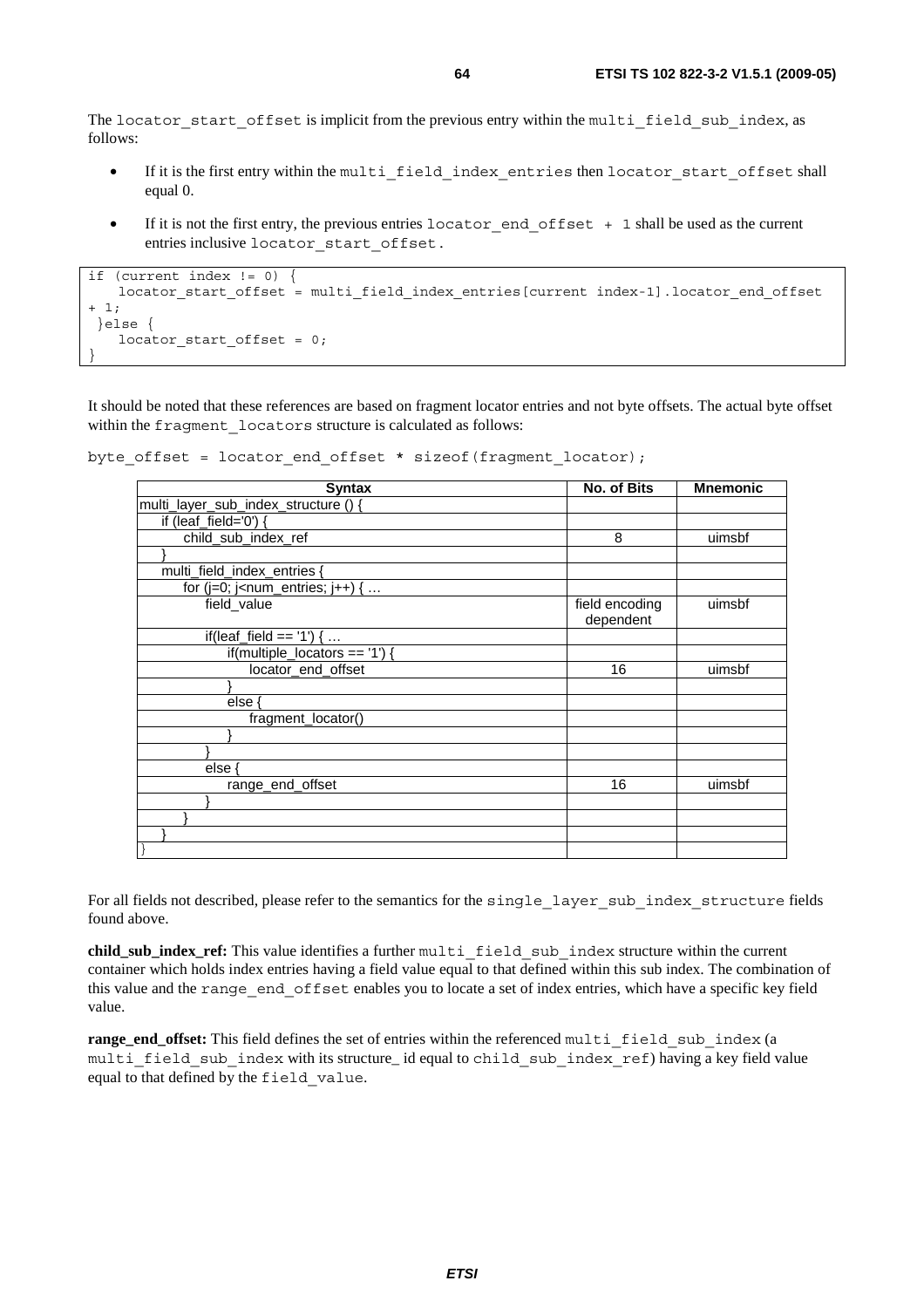The locator start offset is implicit from the previous entry within the multi field sub index, as follows:

- If it is the first entry within the multi\_field\_index\_entries then locator\_start\_offset shall equal 0.
- If it is not the first entry, the previous entries locator end offset + 1 shall be used as the current entries inclusive locator\_start\_offset.

```
if (current index != 0) { 
   locator start offset = multi field index entries[current index-1].locator end offset
+ 1; 
  }else { 
   locator start offset = 0;}
```
It should be noted that these references are based on fragment locator entries and not byte offsets. The actual byte offset within the fragment locators structure is calculated as follows:

```
byte offset = locator end offset * sizeof(fragment locator);
```

| <b>Syntax</b>                                                   | No. of Bits                 | <b>Mnemonic</b> |
|-----------------------------------------------------------------|-----------------------------|-----------------|
| multi_layer_sub_index_structure () {                            |                             |                 |
| if (leaf_field='0') {                                           |                             |                 |
| child_sub_index_ref                                             | 8                           | uimsbf          |
|                                                                 |                             |                 |
| multi field index entries {                                     |                             |                 |
| for ( $j=0$ ; $j$ <num_entries; <math="">j++) { </num_entries;> |                             |                 |
| field_value                                                     | field encoding<br>dependent | uimsbf          |
| if(leaf_field == '1') {                                         |                             |                 |
| if(multiple_locators == '1') {                                  |                             |                 |
| locator_end_offset                                              | 16                          | uimsbf          |
|                                                                 |                             |                 |
| else {                                                          |                             |                 |
| fragment_locator()                                              |                             |                 |
|                                                                 |                             |                 |
|                                                                 |                             |                 |
| else                                                            |                             |                 |
| range end offset                                                | 16                          | uimsbf          |
|                                                                 |                             |                 |
|                                                                 |                             |                 |
|                                                                 |                             |                 |
|                                                                 |                             |                 |

For all fields not described, please refer to the semantics for the single\_layer\_sub\_index\_structure fields found above.

**child\_sub\_index\_ref:** This value identifies a further multi\_field\_sub\_index structure within the current container which holds index entries having a field value equal to that defined within this sub index. The combination of this value and the range\_end\_offset enables you to locate a set of index entries, which have a specific key field value.

**range\_end\_offset:** This field defines the set of entries within the referenced multi\_field\_sub\_index (a multi field sub index with its structure\_ id equal to child sub index ref) having a key field value equal to that defined by the field\_value.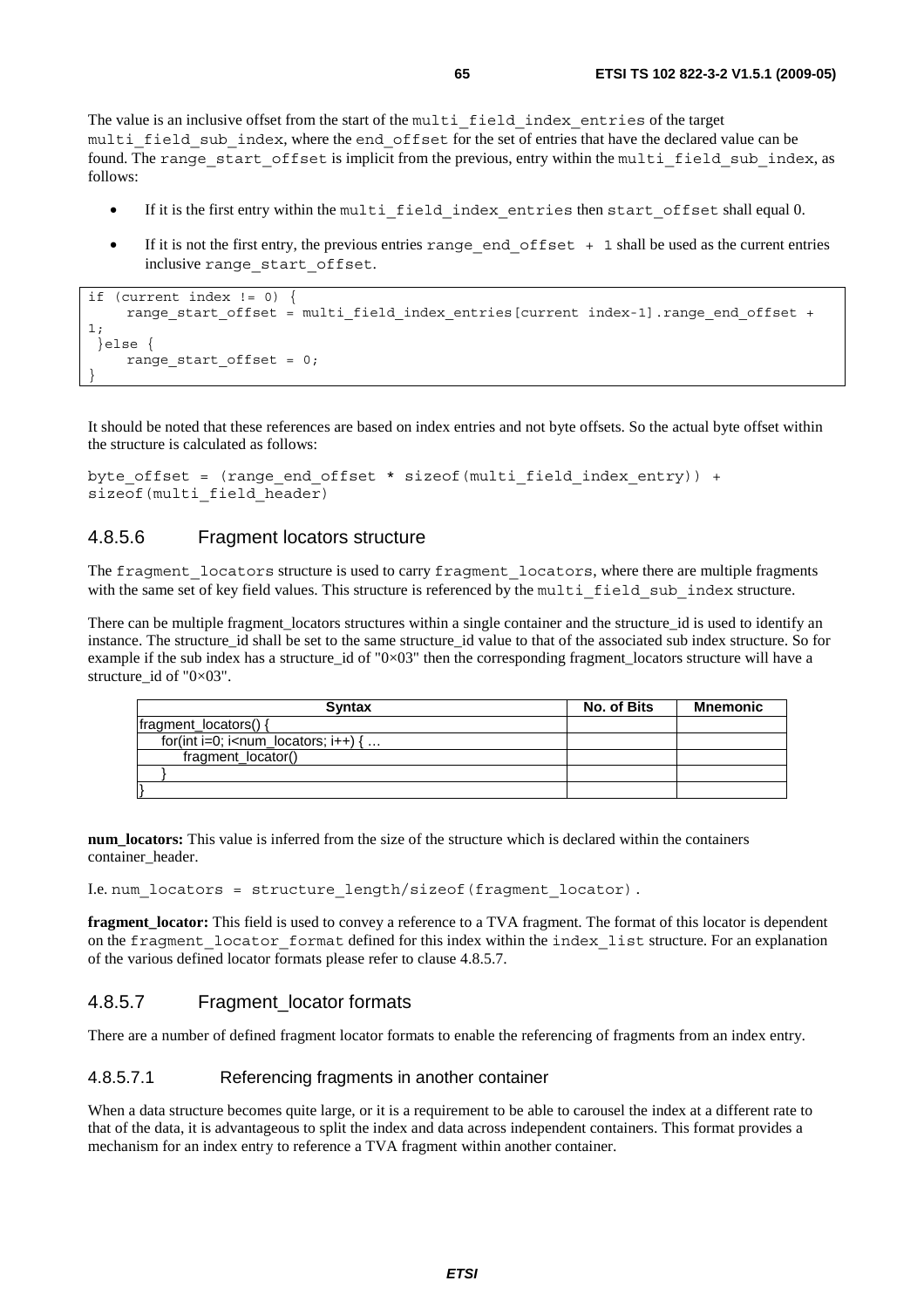The value is an inclusive offset from the start of the multi\_field\_index\_entries of the target multi field sub index, where the end offset for the set of entries that have the declared value can be found. The range start offset is implicit from the previous, entry within the multi field sub index, as follows:

- If it is the first entry within the multi field index entries then start offset shall equal 0.
- If it is not the first entry, the previous entries range end  $offset + 1$  shall be used as the current entries inclusive range\_start\_offset.

```
if (current index != 0) { 
    range start offset = multi field index entries[current index-1].range end offset +
1; 
  }else { 
     range_start_offset = 0; 
}
```
It should be noted that these references are based on index entries and not byte offsets. So the actual byte offset within the structure is calculated as follows:

```
byte_offset = (range_end_offset * sizeof(multi_field_index_entry)) + 
sizeof(multi field header)
```
### 4.8.5.6 Fragment locators structure

The fragment locators structure is used to carry fragment locators, where there are multiple fragments with the same set of key field values. This structure is referenced by the multi\_field\_sub\_index structure.

There can be multiple fragment locators structures within a single container and the structure id is used to identify an instance. The structure id shall be set to the same structure id value to that of the associated sub index structure. So for example if the sub index has a structure id of "0 $\times$ 03" then the corresponding fragment locators structure will have a structure id of " $0\times03$ ".

| <b>Syntax</b>                                                           | No. of Bits | Mnemonic |
|-------------------------------------------------------------------------|-------------|----------|
| fragment_locators() {                                                   |             |          |
| for(int i=0; i <num_locators; <math="" i++)="">\{ \dots</num_locators;> |             |          |
| fragment_locator()                                                      |             |          |
|                                                                         |             |          |
|                                                                         |             |          |

**num\_locators:** This value is inferred from the size of the structure which is declared within the containers container\_header.

I.e. num\_locators = structure\_length/sizeof(fragment\_locator).

**fragment\_locator:** This field is used to convey a reference to a TVA fragment. The format of this locator is dependent on the fragment locator format defined for this index within the index list structure. For an explanation of the various defined locator formats please refer to clause 4.8.5.7.

### 4.8.5.7 Fragment locator formats

There are a number of defined fragment locator formats to enable the referencing of fragments from an index entry.

### 4.8.5.7.1 Referencing fragments in another container

When a data structure becomes quite large, or it is a requirement to be able to carousel the index at a different rate to that of the data, it is advantageous to split the index and data across independent containers. This format provides a mechanism for an index entry to reference a TVA fragment within another container.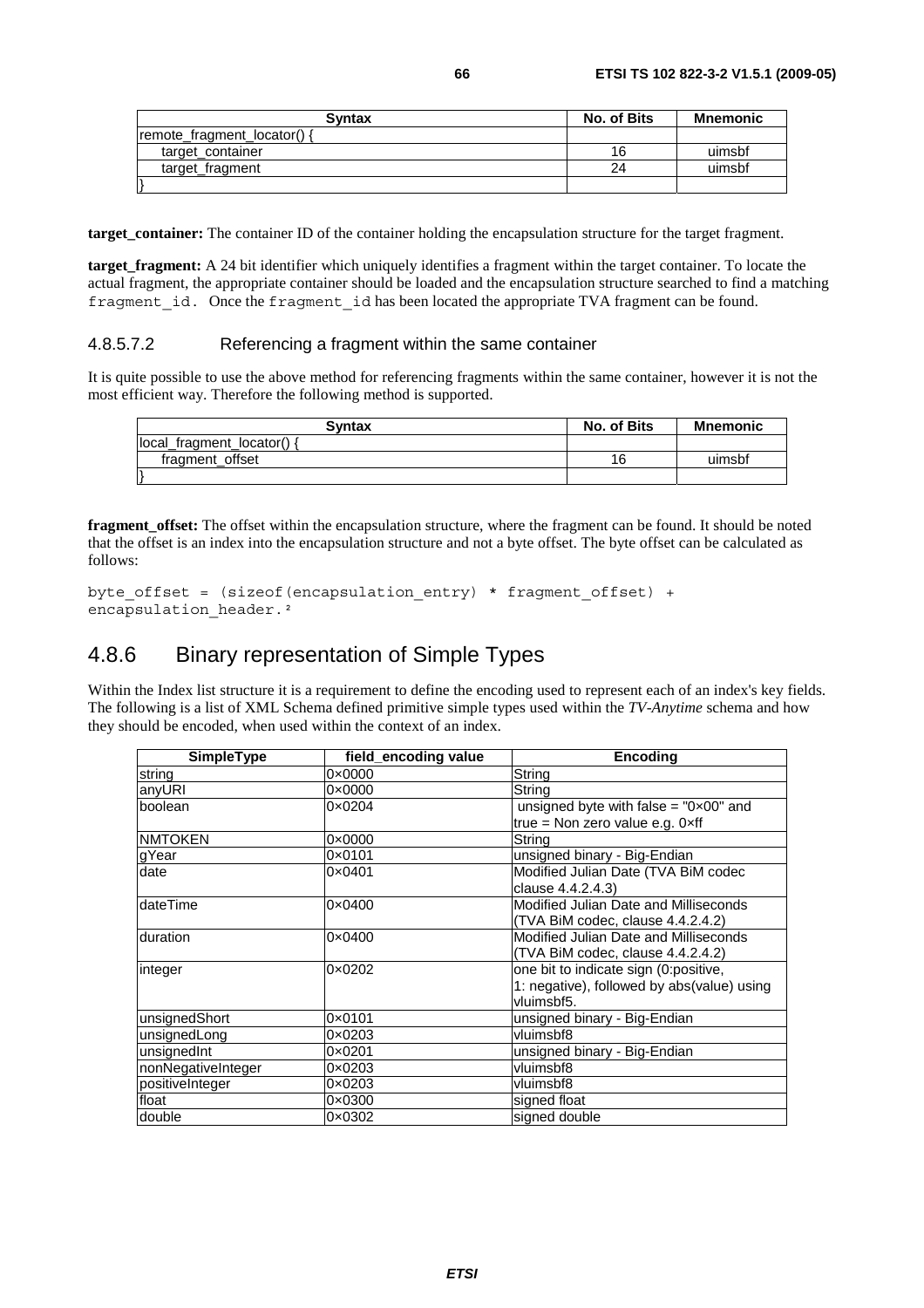| <b>Syntax</b>               | No. of Bits | <b>Mnemonic</b> |
|-----------------------------|-------------|-----------------|
| remote fragment locator() { |             |                 |
| target container            | 16          | uimsbf          |
| target_fragment             | 24          | uimsbf          |
|                             |             |                 |

**target\_container:** The container ID of the container holding the encapsulation structure for the target fragment.

**target fragment:** A 24 bit identifier which uniquely identifies a fragment within the target container. To locate the actual fragment, the appropriate container should be loaded and the encapsulation structure searched to find a matching fragment id. Once the fragment id has been located the appropriate TVA fragment can be found.

#### 4.8.5.7.2 Referencing a fragment within the same container

It is quite possible to use the above method for referencing fragments within the same container, however it is not the most efficient way. Therefore the following method is supported.

| <b>Syntax</b>            | No. of Bits | <b>Mnemonic</b> |
|--------------------------|-------------|-----------------|
| local fragment locator() |             |                 |
| fragment offset          | 16          | uimsbf          |
|                          |             |                 |

**fragment\_offset:** The offset within the encapsulation structure, where the fragment can be found. It should be noted that the offset is an index into the encapsulation structure and not a byte offset. The byte offset can be calculated as follows:

```
byte offset = (sizeof(encapsulation entry) * fragment offset) +
encapsulation header.<sup>2</sup>
```
# 4.8.6 Binary representation of Simple Types

Within the Index list structure it is a requirement to define the encoding used to represent each of an index's key fields. The following is a list of XML Schema defined primitive simple types used within the *TV-Anytime* schema and how they should be encoded, when used within the context of an index.

| <b>SimpleType</b>  | field encoding value | <b>Encoding</b>                                |
|--------------------|----------------------|------------------------------------------------|
| string             | $0 \times 0000$      | String                                         |
| anyURI             | $0 \times 0000$      | String                                         |
| boolean            | 0×0204               | unsigned byte with false = $"0 \times 00"$ and |
|                    |                      | true = Non zero value e.g. $0 \times ff$       |
| <b>NMTOKEN</b>     | $0 \times 0000$      | String                                         |
| gYear              | 0×0101               | unsigned binary - Big-Endian                   |
| date               | 0×0401               | Modified Julian Date (TVA BiM codec            |
|                    |                      | clause 4.4.2.4.3)                              |
| dateTime           | $0 \times 0400$      | Modified Julian Date and Milliseconds          |
|                    |                      | (TVA BiM codec, clause 4.4.2.4.2)              |
| duration           | $0 \times 0400$      | Modified Julian Date and Milliseconds          |
|                    |                      | (TVA BiM codec, clause 4.4.2.4.2)              |
| integer            | $0 \times 0202$      | one bit to indicate sign (0:positive,          |
|                    |                      | 1: negative), followed by abs(value) using     |
|                    |                      | vluimsbf5.                                     |
| unsignedShort      | 0×0101               | unsigned binary - Big-Endian                   |
| unsignedLong       | 0×0203               | vluimsbf8                                      |
| unsignedInt        | 0×0201               | unsigned binary - Big-Endian                   |
| nonNegativeInteger | 0×0203               | vluimsbf8                                      |
| positiveInteger    | 0×0203               | vluimsbf8                                      |
| float              | $0 \times 0300$      | signed float                                   |
| double             | 0×0302               | signed double                                  |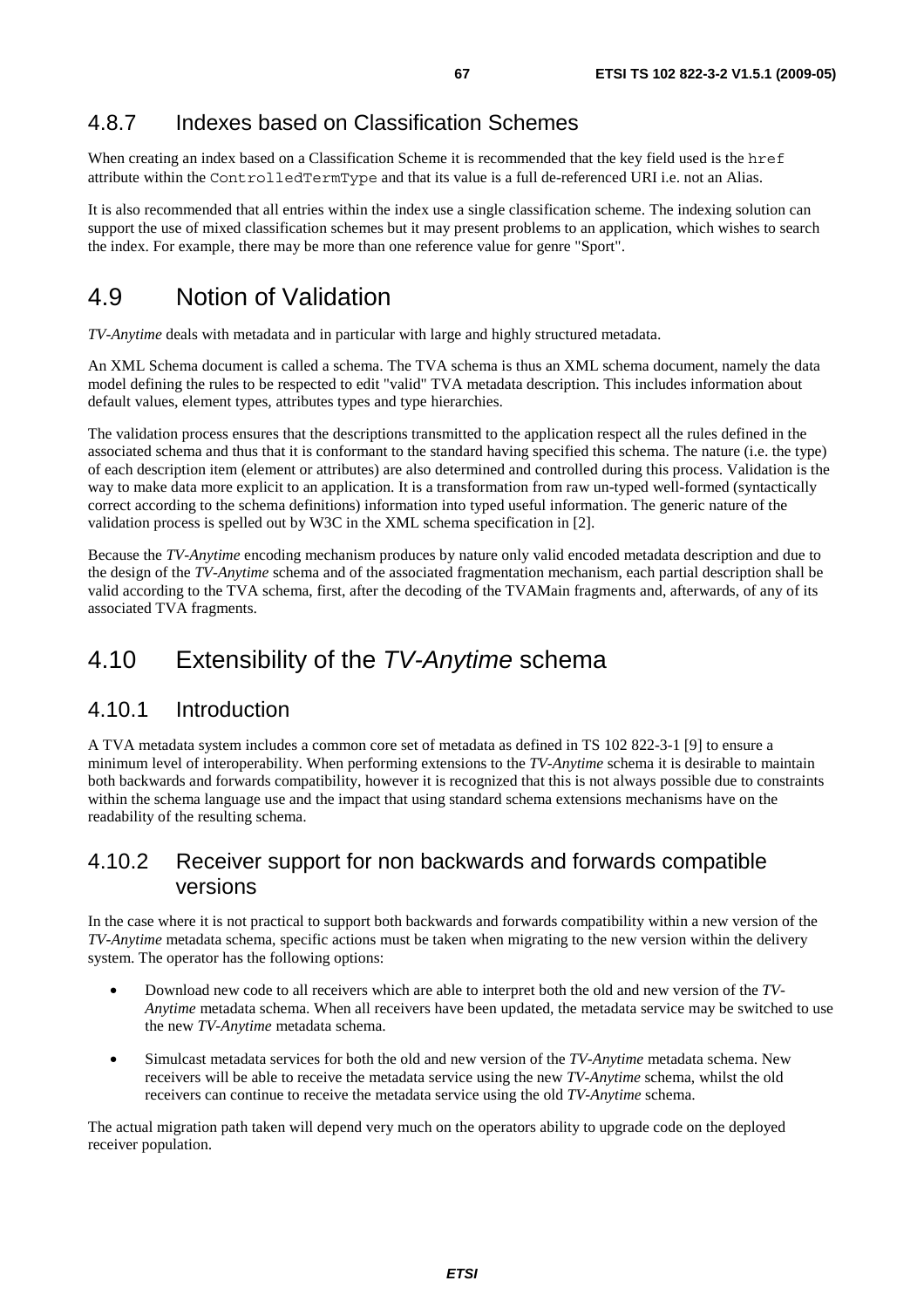# 4.8.7 Indexes based on Classification Schemes

When creating an index based on a Classification Scheme it is recommended that the key field used is the href attribute within the ControlledTermType and that its value is a full de-referenced URI i.e. not an Alias.

It is also recommended that all entries within the index use a single classification scheme. The indexing solution can support the use of mixed classification schemes but it may present problems to an application, which wishes to search the index. For example, there may be more than one reference value for genre "Sport".

# 4.9 Notion of Validation

*TV-Anytime* deals with metadata and in particular with large and highly structured metadata.

An XML Schema document is called a schema. The TVA schema is thus an XML schema document, namely the data model defining the rules to be respected to edit "valid" TVA metadata description. This includes information about default values, element types, attributes types and type hierarchies.

The validation process ensures that the descriptions transmitted to the application respect all the rules defined in the associated schema and thus that it is conformant to the standard having specified this schema. The nature (i.e. the type) of each description item (element or attributes) are also determined and controlled during this process. Validation is the way to make data more explicit to an application. It is a transformation from raw un-typed well-formed (syntactically correct according to the schema definitions) information into typed useful information. The generic nature of the validation process is spelled out by W3C in the XML schema specification in [2].

Because the *TV-Anytime* encoding mechanism produces by nature only valid encoded metadata description and due to the design of the *TV-Anytime* schema and of the associated fragmentation mechanism, each partial description shall be valid according to the TVA schema, first, after the decoding of the TVAMain fragments and, afterwards, of any of its associated TVA fragments.

# 4.10 Extensibility of the *TV-Anytime* schema

# 4.10.1 Introduction

A TVA metadata system includes a common core set of metadata as defined in TS 102 822-3-1 [9] to ensure a minimum level of interoperability. When performing extensions to the *TV-Anytime* schema it is desirable to maintain both backwards and forwards compatibility, however it is recognized that this is not always possible due to constraints within the schema language use and the impact that using standard schema extensions mechanisms have on the readability of the resulting schema.

# 4.10.2 Receiver support for non backwards and forwards compatible versions

In the case where it is not practical to support both backwards and forwards compatibility within a new version of the *TV-Anytime* metadata schema, specific actions must be taken when migrating to the new version within the delivery system. The operator has the following options:

- Download new code to all receivers which are able to interpret both the old and new version of the *TV-Anytime* metadata schema. When all receivers have been updated, the metadata service may be switched to use the new *TV-Anytime* metadata schema.
- Simulcast metadata services for both the old and new version of the *TV-Anytime* metadata schema. New receivers will be able to receive the metadata service using the new *TV-Anytime* schema, whilst the old receivers can continue to receive the metadata service using the old *TV-Anytime* schema.

The actual migration path taken will depend very much on the operators ability to upgrade code on the deployed receiver population.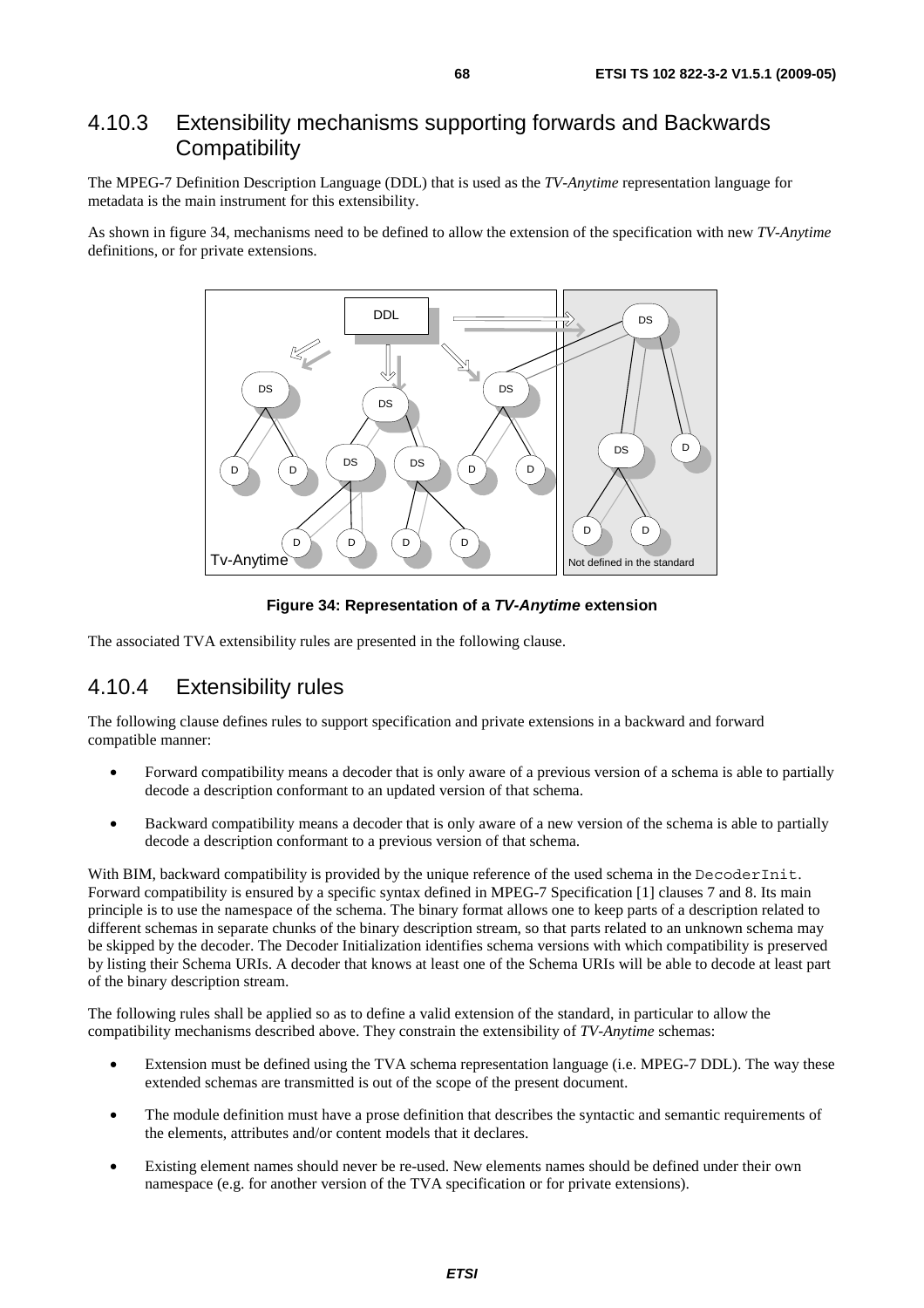# 4.10.3 Extensibility mechanisms supporting forwards and Backwards **Compatibility**

The MPEG-7 Definition Description Language (DDL) that is used as the *TV-Anytime* representation language for metadata is the main instrument for this extensibility.

As shown in figure 34, mechanisms need to be defined to allow the extension of the specification with new *TV-Anytime* definitions, or for private extensions.



**Figure 34: Representation of a** *TV-Anytime* **extension** 

The associated TVA extensibility rules are presented in the following clause.

# 4.10.4 Extensibility rules

The following clause defines rules to support specification and private extensions in a backward and forward compatible manner:

- Forward compatibility means a decoder that is only aware of a previous version of a schema is able to partially decode a description conformant to an updated version of that schema.
- Backward compatibility means a decoder that is only aware of a new version of the schema is able to partially decode a description conformant to a previous version of that schema.

With BIM, backward compatibility is provided by the unique reference of the used schema in the DecoderInit. Forward compatibility is ensured by a specific syntax defined in MPEG-7 Specification [1] clauses 7 and 8. Its main principle is to use the namespace of the schema. The binary format allows one to keep parts of a description related to different schemas in separate chunks of the binary description stream, so that parts related to an unknown schema may be skipped by the decoder. The Decoder Initialization identifies schema versions with which compatibility is preserved by listing their Schema URIs. A decoder that knows at least one of the Schema URIs will be able to decode at least part of the binary description stream.

The following rules shall be applied so as to define a valid extension of the standard, in particular to allow the compatibility mechanisms described above. They constrain the extensibility of *TV-Anytime* schemas:

- Extension must be defined using the TVA schema representation language (i.e. MPEG-7 DDL). The way these extended schemas are transmitted is out of the scope of the present document.
- The module definition must have a prose definition that describes the syntactic and semantic requirements of the elements, attributes and/or content models that it declares.
- Existing element names should never be re-used. New elements names should be defined under their own namespace (e.g. for another version of the TVA specification or for private extensions).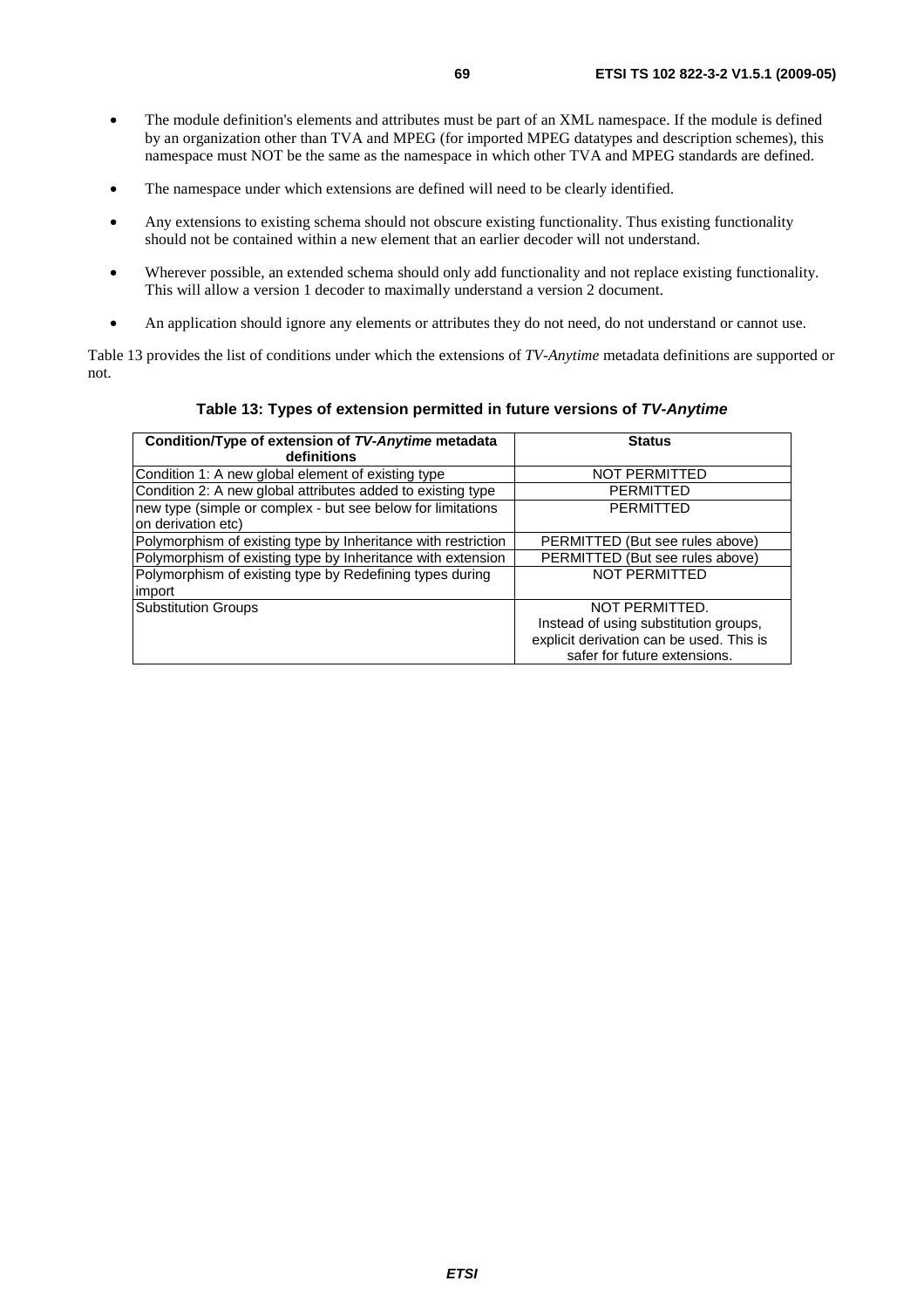- The module definition's elements and attributes must be part of an XML namespace. If the module is defined by an organization other than TVA and MPEG (for imported MPEG datatypes and description schemes), this namespace must NOT be the same as the namespace in which other TVA and MPEG standards are defined.
- The namespace under which extensions are defined will need to be clearly identified.
- Any extensions to existing schema should not obscure existing functionality. Thus existing functionality should not be contained within a new element that an earlier decoder will not understand.
- Wherever possible, an extended schema should only add functionality and not replace existing functionality. This will allow a version 1 decoder to maximally understand a version 2 document.
- An application should ignore any elements or attributes they do not need, do not understand or cannot use.

Table 13 provides the list of conditions under which the extensions of *TV-Anytime* metadata definitions are supported or not.

#### **Table 13: Types of extension permitted in future versions of** *TV-Anytime*

| Condition/Type of extension of TV-Anytime metadata<br>definitions                 | <b>Status</b>                            |
|-----------------------------------------------------------------------------------|------------------------------------------|
| Condition 1: A new global element of existing type                                | <b>NOT PERMITTED</b>                     |
| Condition 2: A new global attributes added to existing type                       | <b>PERMITTED</b>                         |
| new type (simple or complex - but see below for limitations<br>on derivation etc) | <b>PERMITTED</b>                         |
| Polymorphism of existing type by Inheritance with restriction                     | PERMITTED (But see rules above)          |
| Polymorphism of existing type by Inheritance with extension                       | PERMITTED (But see rules above)          |
| Polymorphism of existing type by Redefining types during<br>import                | <b>NOT PERMITTED</b>                     |
| Substitution Groups                                                               | NOT PERMITTED.                           |
|                                                                                   | Instead of using substitution groups,    |
|                                                                                   | explicit derivation can be used. This is |
|                                                                                   | safer for future extensions.             |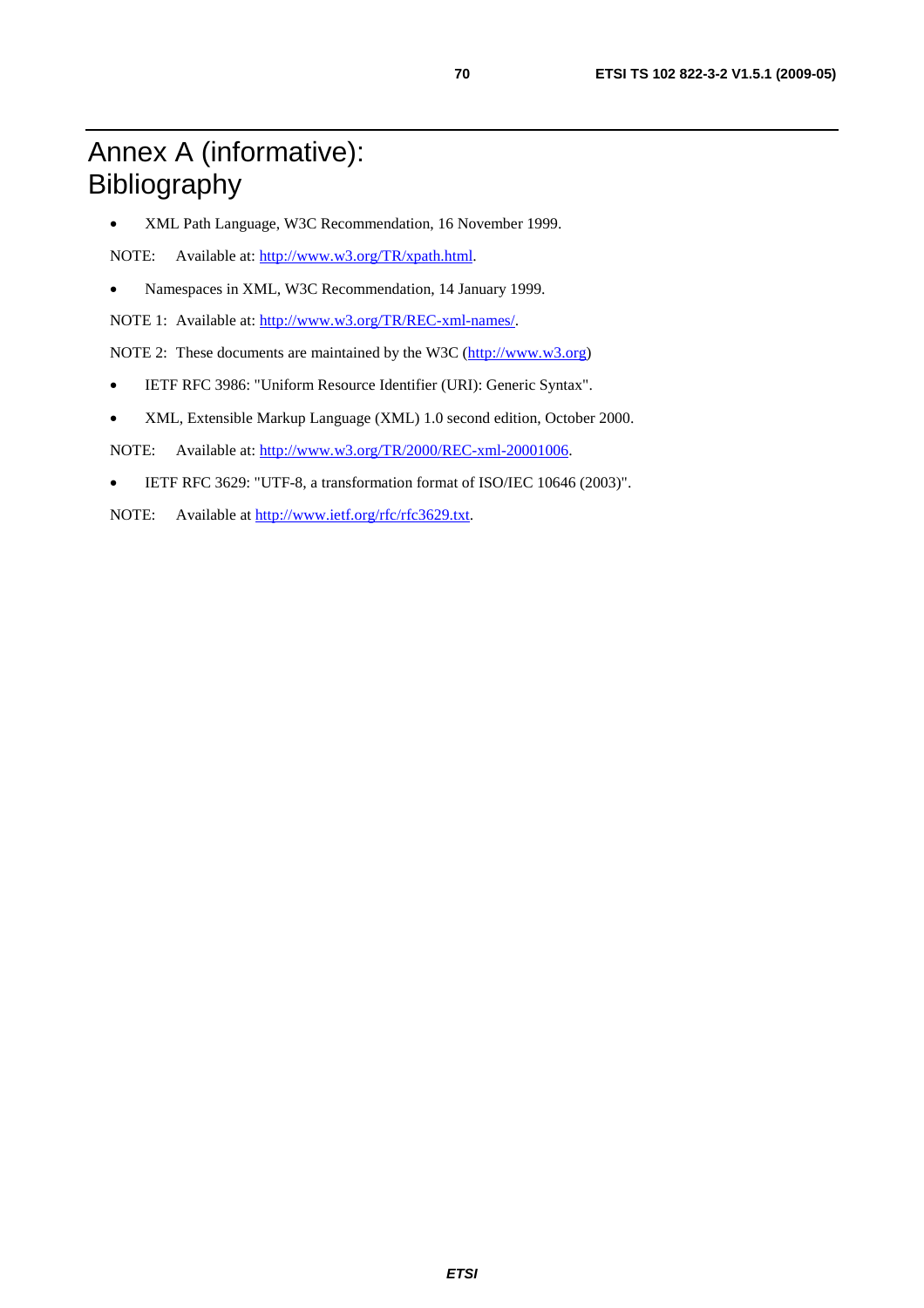# Annex A (informative): Bibliography

• XML Path Language, W3C Recommendation, 16 November 1999.

NOTE: Available at:<http://www.w3.org/TR/xpath.html>.

• Namespaces in XML, W3C Recommendation, 14 January 1999.

NOTE 1: Available at: [http://www.w3.org/TR/REC-xml-names/.](http://www.w3.org/TR/REC-xml-names/)

NOTE 2: These documents are maintained by the W3C [\(http://www.w3.org\)](http://www.w3.org/)

- IETF RFC 3986: "Uniform Resource Identifier (URI): Generic Syntax".
- XML, Extensible Markup Language (XML) 1.0 second edition, October 2000.

NOTE: Available at:<http://www.w3.org/TR/2000/REC-xml-20001006>.

- IETF RFC 3629: "UTF-8, a transformation format of ISO/IEC 10646 (2003)".
- NOTE: Available at [http://www.ietf.org/rfc/rfc3629.txt.](http://www.ietf.org/rfc/rfc3629.txt)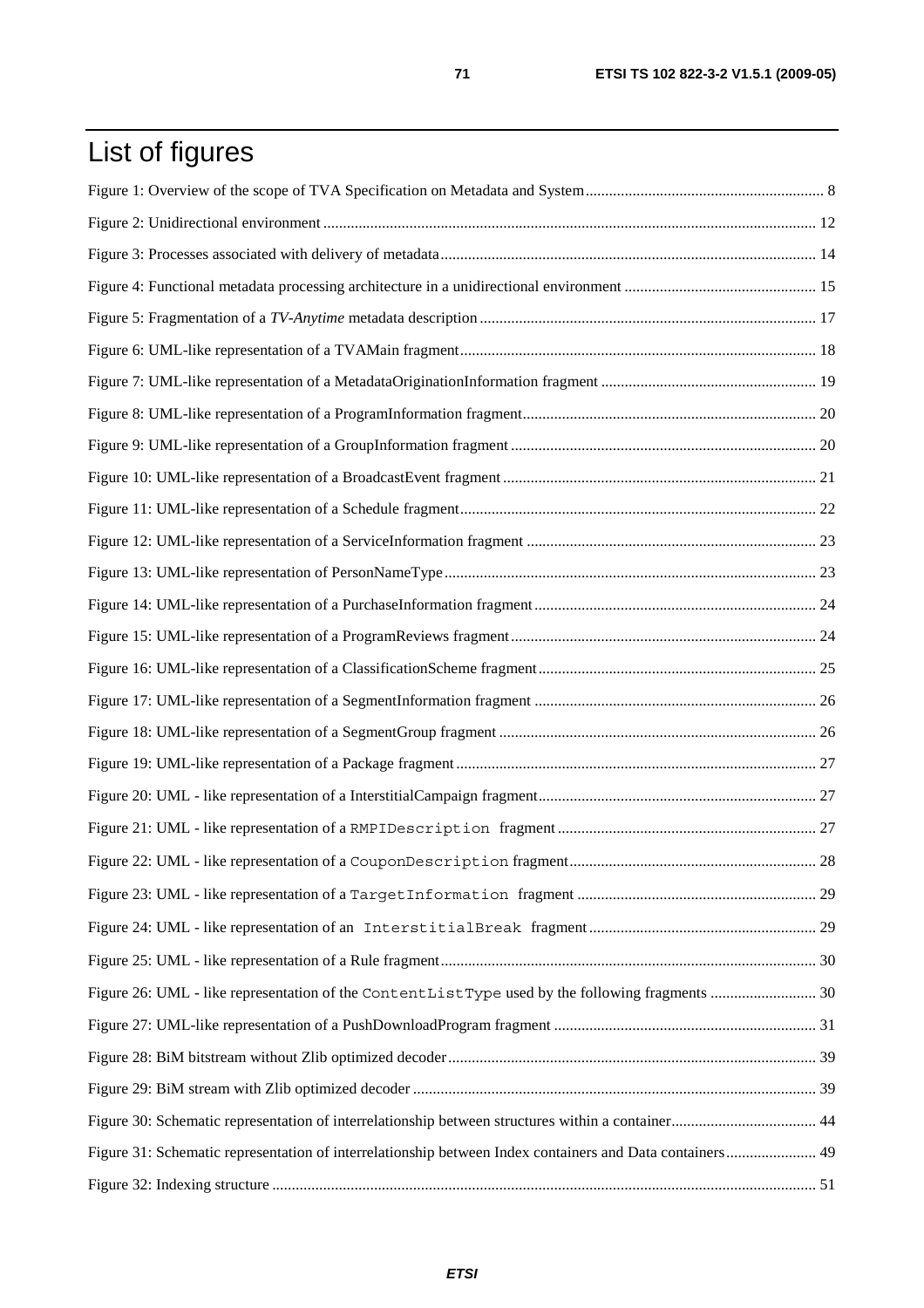# List of figures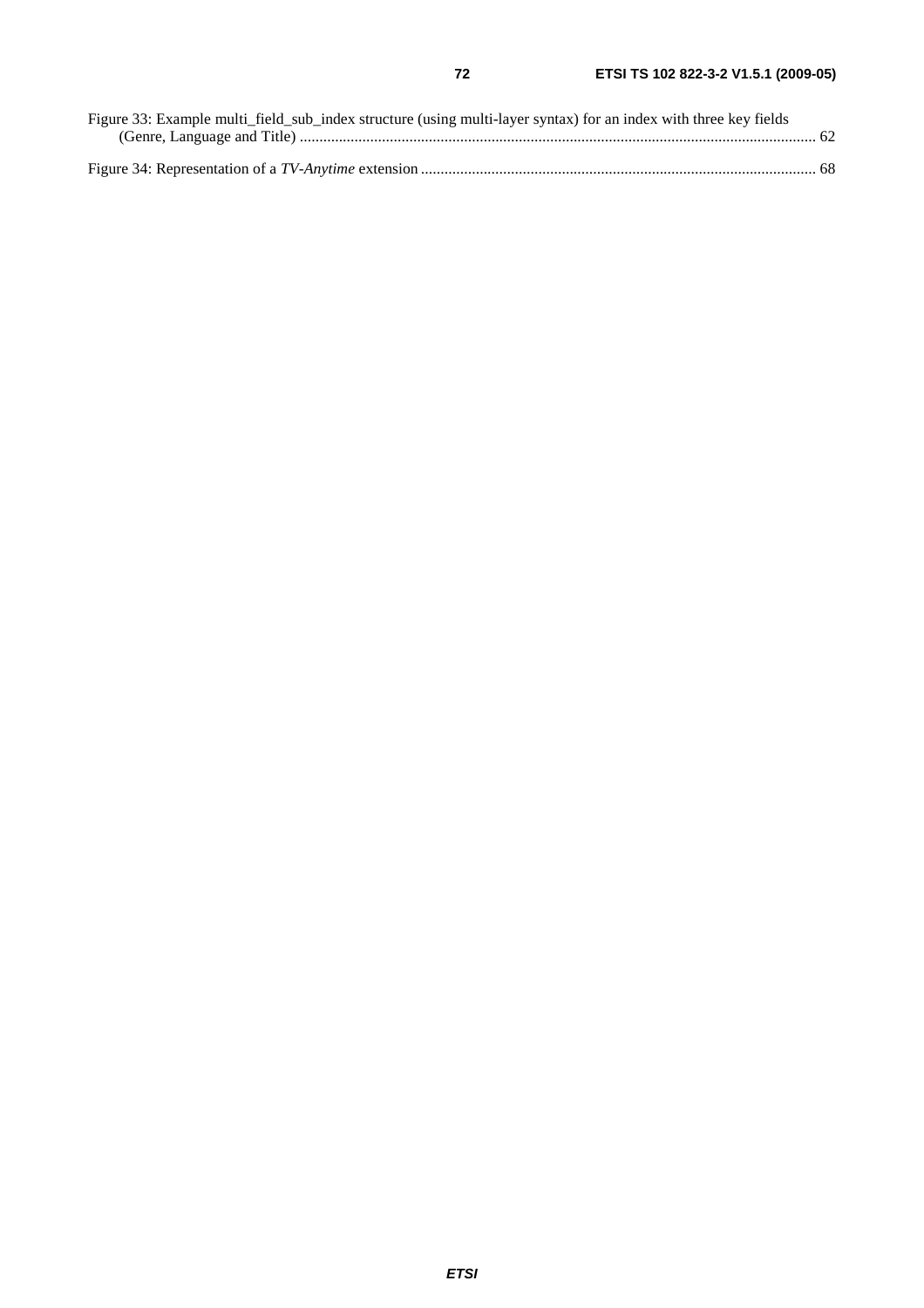| Figure 33: Example multi_field_sub_index structure (using multi-layer syntax) for an index with three key fields |  |
|------------------------------------------------------------------------------------------------------------------|--|
|                                                                                                                  |  |
|                                                                                                                  |  |
|                                                                                                                  |  |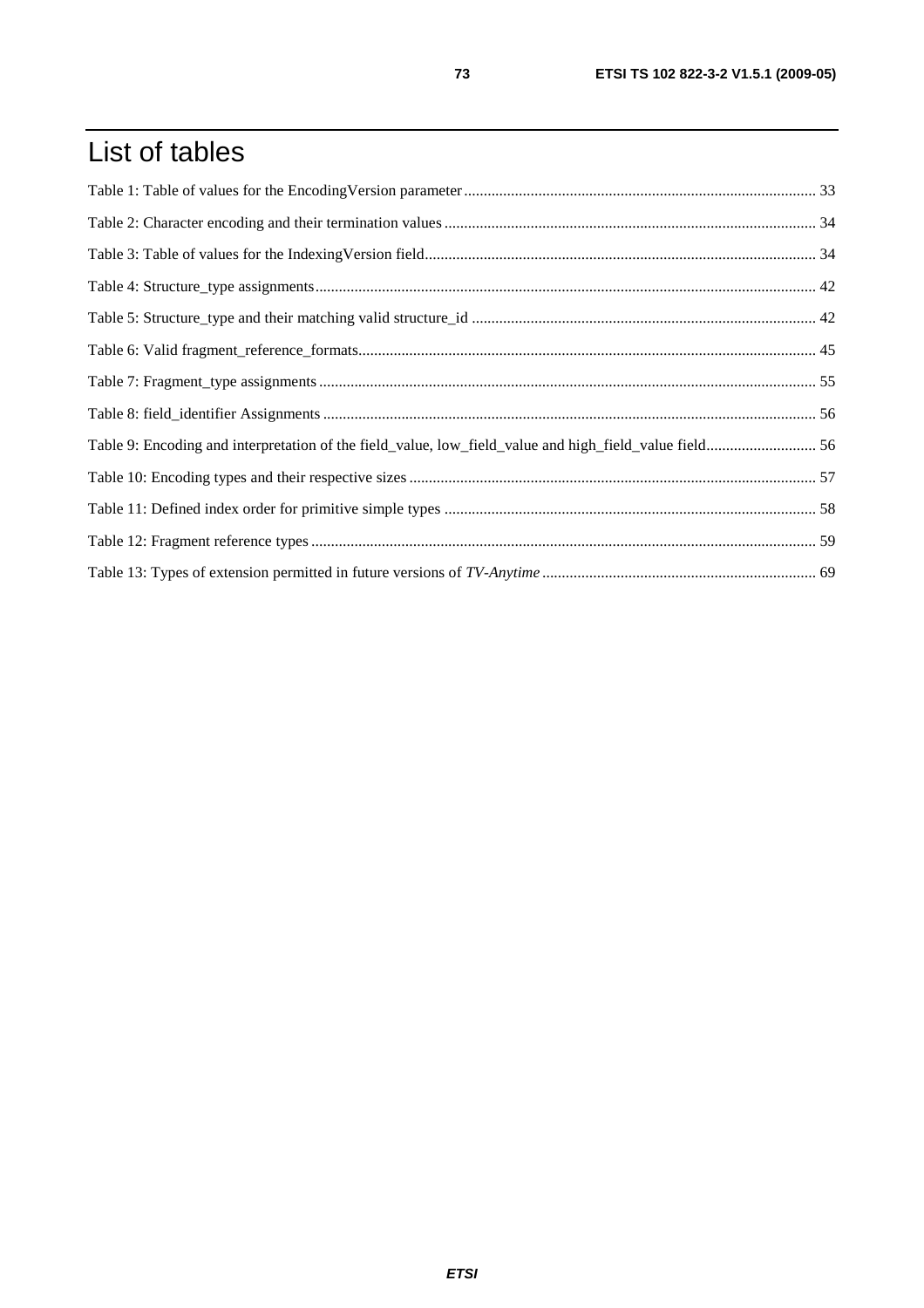## List of tables

| Table 9: Encoding and interpretation of the field_value, low_field_value and high_field_value field 56 |  |
|--------------------------------------------------------------------------------------------------------|--|
|                                                                                                        |  |
|                                                                                                        |  |
|                                                                                                        |  |
|                                                                                                        |  |